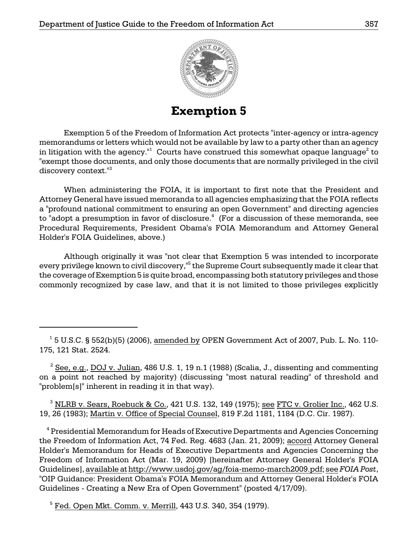

**Exemption 5** 

Exemption 5 of the Freedom of Information Act protects "inter-agency or intra-agency memorandums or letters which would not be available by law to a party other than an agency in litigation with the agency."<sup>1</sup> Courts have construed this somewhat opaque language<sup>2</sup> to "exempt those documents, and only those documents that are normally privileged in the civil discovery context."<sup>3</sup>

When administering the FOIA, it is important to first note that the President and Attorney General have issued memoranda to all agencies emphasizing that the FOIA reflects a "profound national commitment to ensuring an open Government" and directing agencies to "adopt a presumption in favor of disclosure. $4\,$  (For a discussion of these memoranda, see Procedural Requirements, President Obama's FOIA Memorandum and Attorney General Holder's FOIA Guidelines, above.)

Although originally it was "not clear that Exemption 5 was intended to incorporate every privilege known to civil discovery," $^{\rm 5}$  the Supreme Court subsequently made it clear that the coverage of Exemption 5 is quite broad, encompassing both statutory privileges and those commonly recognized by case law, and that it is not limited to those privileges explicitly

 $^3$  NLRB v. Sears, Roebuck & Co., 421 U.S. 132, 149 (1975); <u>see FTC v. Grolier Inc.,</u> 462 U.S. 19, 26 (1983); Martin v. Office of Special Counsel, 819 F.2d 1181, 1184 (D.C. Cir. 1987).

 <sup>4</sup> Presidential Memorandum for Heads of Executive Departments and Agencies Concerning the Freedom of Information Act, 74 Fed. Reg. 4683 (Jan. 21, 2009); accord Attorney General Holder's Memorandum for Heads of Executive Departments and Agencies Concerning the Freedom of Information Act (Mar. 19, 2009) [hereinafter Attorney General Holder's FOIA Guidelines], available at http://www.usdoj.gov/ag/foia-memo-march2009.pdf; see *FOIA Post*, "OIP Guidance: President Obama's FOIA Memorandum and Attorney General Holder's FOIA Guidelines - Creating a New Era of Open Government" (posted 4/17/09).

<sup>5</sup> Fed. Open Mkt. Comm. v. Merrill, 443 U.S. 340, 354 (1979).

 $^1$  5 U.S.C. § 552(b)(5) (2006), <u>amended by</u> OPEN Government Act of 2007, Pub. L. No. 110-175, 121 Stat. 2524.

 $2$  See, e.g., DOJ v. Julian, 486 U.S. 1, 19 n.1 (1988) (Scalia, J., dissenting and commenting on a point not reached by majority) (discussing "most natural reading" of threshold and "problem[s]" inherent in reading it in that way).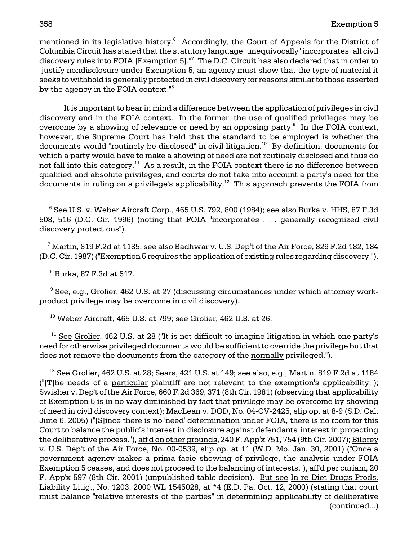mentioned in its legislative history.<sup>6</sup> Accordingly, the Court of Appeals for the District of Columbia Circuit has stated that the statutory language "unequivocally" incorporates "all civil discovery rules into FOIA [Exemption 5]."<sup>7</sup> The D.C. Circuit has also declared that in order to "justify nondisclosure under Exemption 5, an agency must show that the type of material it seeks to withhold is generally protected in civil discovery for reasons similar to those asserted by the agency in the FOIA context.<sup>18</sup>

It is important to bear in mind a difference between the application of privileges in civil discovery and in the FOIA context. In the former, the use of qualified privileges may be overcome by a showing of relevance or need by an opposing party. $\degree$  In the FOIA context, however, the Supreme Court has held that the standard to be employed is whether the documents would "routinely be disclosed" in civil litigation.<sup>10</sup> By definition, documents for which a party would have to make a showing of need are not routinely disclosed and thus do not fall into this category.<sup>11</sup> As a result, in the FOIA context there is no difference between qualified and absolute privileges, and courts do not take into account a party's need for the documents in ruling on a privilege's applicability.12 This approach prevents the FOIA from

 <sup>7</sup> Martin, 819 F.2d at 1185; see also Badhwar v. U.S. Dep't of the Air Force, 829 F.2d 182, 184 (D.C. Cir. 1987) ("Exemption 5 requires the application of existing rules regarding discovery.").

 $^8$  <u>Burka</u>, 87 F.3d at 517.

<sup>9</sup> See, e.g., Grolier, 462 U.S. at 27 (discussing circumstances under which attorney workproduct privilege may be overcome in civil discovery).

 $^{10}$  Weber Aircraft, 465 U.S. at 799; see Grolier, 462 U.S. at 26.

 $11$  See Grolier, 462 U.S. at 28 ("It is not difficult to imagine litigation in which one party's need for otherwise privileged documents would be sufficient to override the privilege but that does not remove the documents from the category of the normally privileged.").

 $12$  See Grolier, 462 U.S. at 28; Sears, 421 U.S. at 149; see also, e.g., Martin, 819 F.2d at 1184 ("[T]he needs of a particular plaintiff are not relevant to the exemption's applicability."); Swisher v. Dep't of the Air Force, 660 F.2d 369, 371 (8th Cir. 1981) (observing that applicability of Exemption 5 is in no way diminished by fact that privilege may be overcome by showing of need in civil discovery context); MacLean v. DOD, No. 04-CV-2425, slip op. at 8-9 (S.D. Cal. June 6, 2005) ("[S]ince there is no 'need' determination under FOIA, there is no room for this Court to balance the public's interest in disclosure against defendants' interest in protecting the deliberative process."), aff'd on other grounds, 240 F. App'x 751, 754 (9th Cir. 2007); Bilbrey v. U.S. Dep't of the Air Force, No. 00-0539, slip op. at 11 (W.D. Mo. Jan. 30, 2001) ("Once a government agency makes a prima facie showing of privilege, the analysis under FOIA Exemption 5 ceases, and does not proceed to the balancing of interests."), aff'd per curiam, 20 F. App'x 597 (8th Cir. 2001) (unpublished table decision). But see In re Diet Drugs Prods. Liability Litig., No. 1203, 2000 WL 1545028, at \*4 (E.D. Pa. Oct. 12, 2000) (stating that court must balance "relative interests of the parties" in determining applicability of deliberative (continued...)

 $^6$  <u>See U.S. v. Weber Aircraft Corp.,</u> 465 U.S. 792, 800 (1984); <u>see also Burka v. HHS</u>, 87 F.3d 508, 516 (D.C. Cir. 1996) (noting that FOIA "incorporates . . . generally recognized civil discovery protections").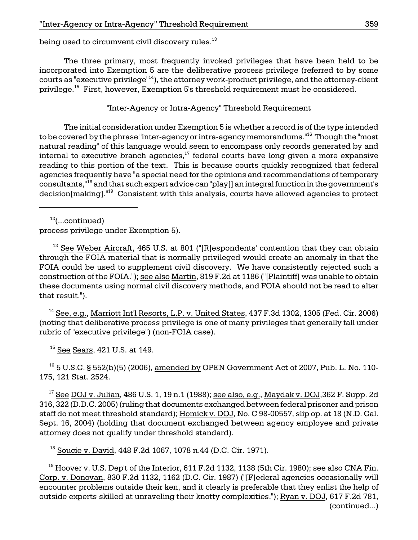being used to circumvent civil discovery rules.<sup>13</sup>

The three primary, most frequently invoked privileges that have been held to be incorporated into Exemption 5 are the deliberative process privilege (referred to by some courts as "executive privilege"<sup>14</sup>), the attorney work-product privilege, and the attorney-client privilege.15 First, however, Exemption 5's threshold requirement must be considered.

# "Inter-Agency or Intra-Agency" Threshold Requirement

The initial consideration under Exemption 5 is whether a record is of the type intended to be covered by the phrase "inter-agency or intra-agency memorandums."<sup>16</sup> Though the "most natural reading" of this language would seem to encompass only records generated by and internal to executive branch agencies, $17$  federal courts have long given a more expansive reading to this portion of the text. This is because courts quickly recognized that federal agencies frequently have "a special need for the opinions and recommendations of temporary consultants,"18 and that such expert advice can "play[] an integral function in the government's decision[making].<sup>"19</sup> Consistent with this analysis, courts have allowed agencies to protect

 $12$ (...continued)

process privilege under Exemption 5).

<sup>13</sup> See Weber Aircraft, 465 U.S. at 801 ("[R]espondents' contention that they can obtain through the FOIA material that is normally privileged would create an anomaly in that the FOIA could be used to supplement civil discovery. We have consistently rejected such a construction of the FOIA."); see also Martin, 819 F.2d at 1186 ("[Plaintiff] was unable to obtain these documents using normal civil discovery methods, and FOIA should not be read to alter that result.").

rubric of "executive privilege") (non-FOIA case).<br><sup>15</sup> <u>See Sears</u>, 421 U.S. at 149. <sup>14</sup> See, e.g., Marriott Int'l Resorts, L.P. v. United States, 437 F.3d 1302, 1305 (Fed. Cir. 2006) (noting that deliberative process privilege is one of many privileges that generally fall under

 $^{16}$  5 U.S.C. § 552(b)(5) (2006), amended by OPEN Government Act of 2007, Pub. L. No. 110-175, 121 Stat. 2524.

 $17$  See DOJ v. Julian, 486 U.S. 1, 19 n.1 (1988); see also, e.g., Maydak v. DOJ,362 F. Supp. 2d 316, 322 (D.D.C. 2005) (ruling that documents exchanged between federal prisoner and prison staff do not meet threshold standard); Homick v. DOJ, No. C 98-00557, slip op. at 18 (N.D. Cal. Sept. 16, 2004) (holding that document exchanged between agency employee and private attorney does not qualify under threshold standard).

18 Soucie v. David, 448 F.2d 1067, 1078 n.44 (D.C. Cir. 1971).

outside experts skilled at unraveling their knotty complexities."); <u>Ryan v. DOJ,</u> 617 F.2d 781,  $19$  Hoover v. U.S. Dep't of the Interior, 611 F.2d 1132, 1138 (5th Cir. 1980); see also CNA Fin. Corp. v. Donovan, 830 F.2d 1132, 1162 (D.C. Cir. 1987) ("[F]ederal agencies occasionally will encounter problems outside their ken, and it clearly is preferable that they enlist the help of (continued...)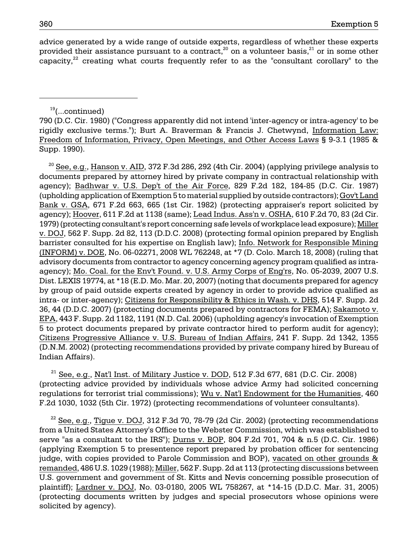advice generated by a wide range of outside experts, regardless of whether these experts provided their assistance pursuant to a contract,<sup>20</sup> on a volunteer basis,<sup>21</sup> or in some other capacity.<sup>22</sup> creating what courts frequently refer to as the "consultant corollary" to the

### $19$ (...continued)

790 (D.C. Cir. 1980) ("Congress apparently did not intend 'inter-agency or intra-agency' to be rigidly exclusive terms."); Burt A. Braverman & Francis J. Chetwynd, Information Law: Freedom of Information, Privacy, Open Meetings, and Other Access Laws § 9-3.1 (1985 & Supp. 1990).

 $^{20}$  See, e.g., Hanson v. AID, 372 F.3d 286, 292 (4th Cir. 2004) (applying privilege analysis to documents prepared by attorney hired by private company in contractual relationship with agency); Badhwar v. U.S. Dep't of the Air Force, 829 F.2d 182, 184-85 (D.C. Cir. 1987) (upholding application of Exemption 5 to material supplied by outside contractors); Gov't Land Bank v. GSA, 671 F.2d 663, 665 (1st Cir. 1982) (protecting appraiser's report solicited by agency); Hoover, 611 F.2d at 1138 (same); Lead Indus. Ass'n v. OSHA, 610 F.2d 70, 83 (2d Cir. 1979) (protecting consultant's report concerning safe levels of workplace lead exposure); Miller v. DOJ, 562 F. Supp. 2d 82, 113 (D.D.C. 2008) (protecting formal opinion prepared by English barrister consulted for his expertise on English law); Info. Network for Responsible Mining (INFORM) v. DOE, No. 06-02271, 2008 WL 762248, at \*7 (D. Colo. March 18, 2008) (ruling that advisory documents from contractor to agency concerning agency program qualified as intraagency); Mo. Coal. for the Env't Found. v. U.S. Army Corps of Eng'rs, No. 05-2039, 2007 U.S. Dist. LEXIS 19774, at \*18 (E.D. Mo. Mar. 20, 2007) (noting that documents prepared for agency by group of paid outside experts created by agency in order to provide advice qualified as intra- or inter-agency); Citizens for Responsibility & Ethics in Wash. v. DHS, 514 F. Supp. 2d 36, 44 (D.D.C. 2007) (protecting documents prepared by contractors for FEMA); Sakamoto v. EPA, 443 F. Supp. 2d 1182, 1191 (N.D. Cal. 2006) (upholding agency's invocation of Exemption 5 to protect documents prepared by private contractor hired to perform audit for agency); Citizens Progressive Alliance v. U.S. Bureau of Indian Affairs, 241 F. Supp. 2d 1342, 1355 (D.N.M. 2002) (protecting recommendations provided by private company hired by Bureau of Indian Affairs).

 $21$  See, e.g., Nat'l Inst. of Military Justice v. DOD, 512 F.3d 677, 681 (D.C. Cir. 2008) (protecting advice provided by individuals whose advice Army had solicited concerning regulations for terrorist trial commissions); Wu v. Nat'l Endowment for the Humanities, 460 F.2d 1030, 1032 (5th Cir. 1972) (protecting recommendations of volunteer consultants).

 $^{22}$  See, e.g., Tigue v. DOJ, 312 F.3d 70, 78-79 (2d Cir. 2002) (protecting recommendations from a United States Attorney's Office to the Webster Commission, which was established to serve "as a consultant to the IRS"); Durns v. BOP, 804 F.2d 701, 704 & n.5 (D.C. Cir. 1986) (applying Exemption 5 to presentence report prepared by probation officer for sentencing judge, with copies provided to Parole Commission and BOP), vacated on other grounds & remanded, 486 U.S. 1029 (1988); Miller, 562 F. Supp. 2d at 113 (protecting discussions between U.S. government and government of St. Kitts and Nevis concerning possible prosecution of plaintiff); Lardner v. DOJ, No. 03-0180, 2005 WL 758267, at \*14-15 (D.D.C. Mar. 31, 2005) (protecting documents written by judges and special prosecutors whose opinions were solicited by agency).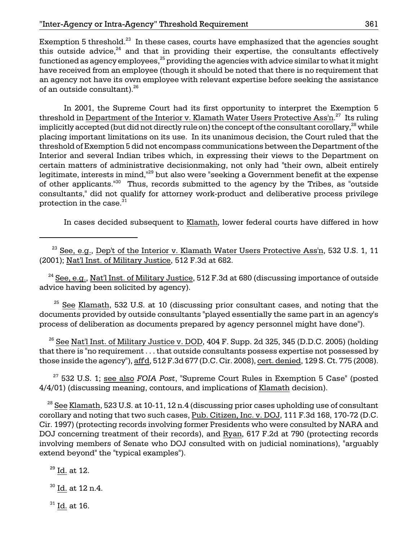Exemption 5 threshold.<sup>23</sup> In these cases, courts have emphasized that the agencies sought this outside advice, $24$  and that in providing their expertise, the consultants effectively functioned as agency employees, $^{25}$  providing the agencies with advice similar to what it might have received from an employee (though it should be noted that there is no requirement that an agency not have its own employee with relevant expertise before seeking the assistance of an outside consultant).<sup>26</sup>

 placing important limitations on its use. In its unanimous decision, the Court ruled that the protection in the case. $^{\rm 31}$ In 2001, the Supreme Court had its first opportunity to interpret the Exemption 5 threshold in <u>Department of the Interior v. Klamath Water Users Protective Ass'n.<sup>27</sup> Its ruling</u> implicitly accepted (but did not directly rule on) the concept of the consultant corollary,  $^{28}$  while threshold of Exemption 5 did not encompass communications between the Department of the Interior and several Indian tribes which, in expressing their views to the Department on certain matters of administrative decisionmaking, not only had "their own, albeit entirely legitimate, interests in mind,"<sup>29</sup> but also were "seeking a Government benefit at the expense of other applicants."30 Thus, records submitted to the agency by the Tribes, as "outside consultants," did not qualify for attorney work-product and deliberative process privilege

In cases decided subsequent to Klamath, lower federal courts have differed in how

 $^{23}$  See, e.g., Dep't of the Interior v. Klamath Water Users Protective Ass'n, 532 U.S. 1, 11 (2001); Nat'l Inst. of Military Justice, 512 F.3d at 682.

 advice having been solicited by agency).  $^{24}$  See, e.g., Nat'l Inst. of Military Justice, 512 F.3d at 680 (discussing importance of outside

 documents provided by outside consultants "played essentially the same part in an agency's  $25$  See Klamath, 532 U.S. at 10 (discussing prior consultant cases, and noting that the process of deliberation as documents prepared by agency personnel might have done").

 $^{26}$  See Nat'l Inst. of Military Justice v. DOD, 404 F. Supp. 2d 325, 345 (D.D.C. 2005) (holding that there is "no requirement . . . that outside consultants possess expertise not possessed by those inside the agency"), aff'd, 512 F.3d 677 (D.C. Cir. 2008), cert. denied, 129 S. Ct. 775 (2008).

27 532 U.S. 1; see also *FOIA Post*, "Supreme Court Rules in Exemption 5 Case" (posted 4/4/01) (discussing meaning, contours, and implications of Klamath decision).

corollary and noting that two such cases, Pub. Citizen, Inc. v. DOJ, 111 F.3d 168, 170-72 (D.C. extend beyond" the "typical examples").  $^{28}$  See Klamath, 523 U.S. at 10-11, 12 n.4 (discussing prior cases upholding use of consultant Cir. 1997) (protecting records involving former Presidents who were consulted by NARA and DOJ concerning treatment of their records), and Ryan, 617 F.2d at 790 (protecting records involving members of Senate who DOJ consulted with on judicial nominations), "arguably

 $29$  Id. at 12.

30 Id. at 12 n.4.

 $31$  Id. at 16.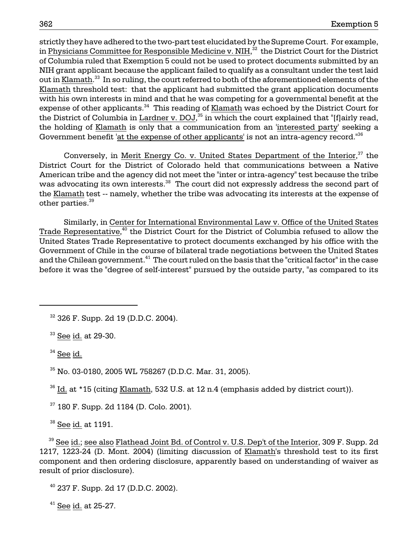strictly they have adhered to the two-part test elucidated by the Supreme Court. For example, in <u>Physicians Committee for Responsible Medicine v. NIH,<sup>32</sup> the District Court for the District</u> of Columbia ruled that Exemption 5 could not be used to protect documents submitted by an NIH grant applicant because the applicant failed to qualify as a consultant under the test laid out in <u>Klamath.<sup>33</sup> In so ruling, the court referred to both of the aforementioned elements of the </u> Klamath threshold test: that the applicant had submitted the grant application documents with his own interests in mind and that he was competing for a governmental benefit at the expense of other applicants.<sup>34</sup> This reading of Klamath was echoed by the District Court for the District of Columbia in  $\underline{\text{Lardner v. DOJ}}^{35}$  in which the court explained that "[f]airly read, the holding of Klamath is only that a communication from an 'interested party' seeking a Government benefit 'at the expense of other applicants' is not an intra-agency record.<sup>"36</sup>

other parties. $^{39}$ Conversely, in Merit Energy Co. v. United States Department of the Interior,<sup>37</sup> the District Court for the District of Colorado held that communications between a Native American tribe and the agency did not meet the "inter or intra-agency" test because the tribe was advocating its own interests.<sup>38</sup> The court did not expressly address the second part of the Klamath test -- namely, whether the tribe was advocating its interests at the expense of

and the Chilean government. $^{41}$  The court ruled on the basis that the "critical factor" in the case before it was the "degree of self-interest" pursued by the outside party, "as compared to its Similarly, in Center for International Environmental Law v. Office of the United States <u>Trade Representative,<sup>40</sup> the District Court for the District of Columbia refused to allow the</u> United States Trade Representative to protect documents exchanged by his office with the Government of Chile in the course of bilateral trade negotiations between the United States

 $32$  326 F. Supp. 2d 19 (D.D.C. 2004).

 $33$  See id. at 29-30.

 $34$  See id.

35 No. 03-0180, 2005 WL 758267 (D.D.C. Mar. 31, 2005).

<sup>36</sup> Id. at \*15 (citing Klamath, 532 U.S. at 12 n.4 (emphasis added by district court)).

37 180 F. Supp. 2d 1184 (D. Colo. 2001).

 $38$  See id. at 1191.

 $39$  See id.; see also Flathead Joint Bd. of Control v. U.S. Dep't of the Interior, 309 F. Supp. 2d 1217, 1223-24 (D. Mont. 2004) (limiting discussion of Klamath's threshold test to its first component and then ordering disclosure, apparently based on understanding of waiver as result of prior disclosure).

 $40$  237 F. Supp. 2d 17 (D.D.C. 2002).

41 See id. at 25-27.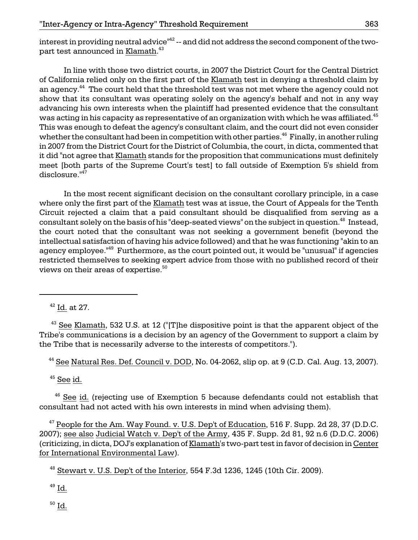interest in providing neutral advice $^{\mathsf{H}^{2}}$  -- and did not address the second component of the twopart test announced in <u>Klamath.</u><sup>43</sup>

an agency.<sup>44</sup> The court held that the threshold test was not met where the agency could not whether the consultant had been in competition with other parties. $^{46}$  Finally, in another ruling disclosure."47 In line with those two district courts, in 2007 the District Court for the Central District of California relied only on the first part of the Klamath test in denying a threshold claim by show that its consultant was operating solely on the agency's behalf and not in any way advancing his own interests when the plaintiff had presented evidence that the consultant was acting in his capacity as representative of an organization with which he was affiliated.<sup>45</sup> This was enough to defeat the agency's consultant claim, and the court did not even consider in 2007 from the District Court for the District of Columbia, the court, in dicta, commented that it did "not agree that Klamath stands for the proposition that communications must definitely meet [both parts of the Supreme Court's test] to fall outside of Exemption 5's shield from

In the most recent significant decision on the consultant corollary principle, in a case where only the first part of the Klamath test was at issue, the Court of Appeals for the Tenth Circuit rejected a claim that a paid consultant should be disqualified from serving as a consultant solely on the basis of his "deep-seated views" on the subject in question.<sup>48</sup> Instead, the court noted that the consultant was not seeking a government benefit (beyond the intellectual satisfaction of having his advice followed) and that he was functioning "akin to an agency employee.<sup>"49</sup> Furthermore, as the court pointed out, it would be "unusual" if agencies restricted themselves to seeking expert advice from those with no published record of their views on their areas of expertise.<sup>50</sup>

 $42$  Id. at 27.

 $43$  See Klamath, 532 U.S. at 12 ("[T]he dispositive point is that the apparent object of the Tribe's communications is a decision by an agency of the Government to support a claim by the Tribe that is necessarily adverse to the interests of competitors.").

 $44$  See Natural Res. Def. Council v. DOD, No. 04-2062, slip op. at 9 (C.D. Cal. Aug. 13, 2007).

 $45$  See id.

<sup>46</sup> See id. (rejecting use of Exemption 5 because defendants could not establish that consultant had not acted with his own interests in mind when advising them).

 $47$  People for the Am. Way Found. v. U.S. Dep't of Education, 516 F. Supp. 2d 28, 37 (D.D.C.) 2007); see also Judicial Watch v. Dep't of the Army, 435 F. Supp. 2d 81, 92 n.6 (D.D.C. 2006) (criticizing, in dicta, DOJ's explanation of Klamath's two-part test in favor of decision in Center for International Environmental Law).

 $48$  Stewart v. U.S. Dep't of the Interior, 554 F.3d 1236, 1245 (10th Cir. 2009).

 $^{49}$  Id.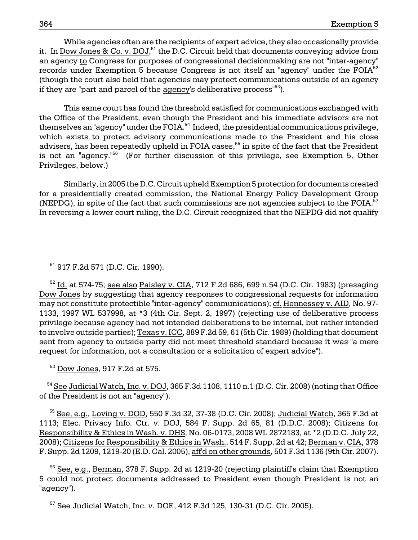While agencies often are the recipients of expert advice, they also occasionally provide it. In Dow Jones & Co. v. DOJ, $^{51}$  the D.C. Circuit held that documents conveying advice from an agency to Congress for purposes of congressional decisionmaking are not "inter-agency" records under Exemption 5 because Congress is not itself an "agency" under the  $FOIA<sup>52</sup>$ (though the court also held that agencies may protect communications outside of an agency if they are "part and parcel of the agency's deliberative process"<sup>53</sup>).

This same court has found the threshold satisfied for communications exchanged with the Office of the President, even though the President and his immediate advisors are not themselves an "agency" under the FOIA.<sup>54</sup> Indeed, the presidential communications privilege, which exists to protect advisory communications made to the President and his close advisers, has been repeatedly upheld in FOIA cases,<sup>55</sup> in spite of the fact that the President is not an "agency."<sup>56</sup> (For further discussion of this privilege, see Exemption 5, Other Privileges, below.)

Similarly, in 2005 the D.C. Circuit upheld Exemption 5 protection for documents created for a presidentially created commission, the National Energy Policy Development Group (NEPDG), in spite of the fact that such commissions are not agencies subject to the FOIA. $57$ In reversing a lower court ruling, the D.C. Circuit recognized that the NEPDG did not qualify

# 51 917 F.2d 571 (D.C. Cir. 1990).

 $52$  Id. at 574-75; see also Paisley v. CIA, 712 F.2d 686, 699 n.54 (D.C. Cir. 1983) (presaging Dow Jones by suggesting that agency responses to congressional requests for information may not constitute protectible "inter-agency" communications); cf. Hennessey v. AID, No. 97 1133, 1997 WL 537998, at \*3 (4th Cir. Sept. 2, 1997) (rejecting use of deliberative process privilege because agency had not intended deliberations to be internal, but rather intended to involve outside parties); Texas v. ICC, 889 F.2d 59, 61 (5th Cir. 1989) (holding that document sent from agency to outside party did not meet threshold standard because it was "a mere request for information, not a consultation or a solicitation of expert advice").

53 Dow Jones, 917 F.2d at 575.

<sup>54</sup> See Judicial Watch, Inc. v. DOJ, 365 F.3d 1108, 1110 n.1 (D.C. Cir. 2008) (noting that Office of the President is not an "agency").

 $55$  See, e.g., Loving v. DOD, 550 F.3d 32, 37-38 (D.C. Cir. 2008); Judicial Watch, 365 F.3d at 1113; Elec. Privacy Info. Ctr. v. DOJ, 584 F. Supp. 2d 65, 81 (D.D.C. 2008); Citizens for Responsibility & Ethics in Wash. v. DHS, No. 06-0173, 2008 WL 2872183, at \*2 (D.D.C. July 22, 2008); Citizens for Responsibility & Ethics in Wash., 514 F. Supp. 2d at 42; Berman v. CIA, 378 F. Supp. 2d 1209, 1219-20 (E.D. Cal. 2005), aff'd on other grounds, 501 F.3d 1136 (9th Cir. 2007).

 $56$  See, e.g., Berman, 378 F. Supp. 2d at 1219-20 (rejecting plaintiff's claim that Exemption 5 could not protect documents addressed to President even though President is not an "agency").

 $57$  See Judicial Watch, Inc. v. DOE, 412 F.3d 125, 130-31 (D.C. Cir. 2005).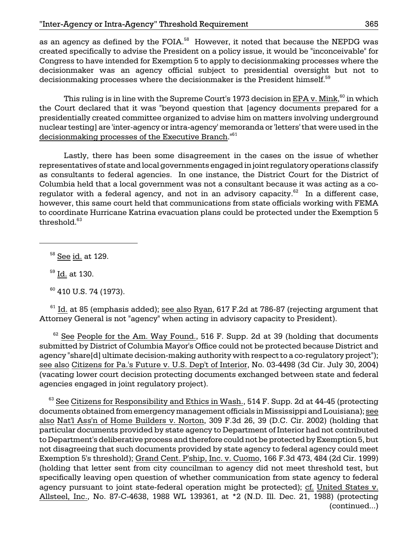Congress to have intended for Exemption 5 to apply to decisionmaking processes where the decisionmaker was an agency official subject to presidential oversight but not to decisionmaking processes where the decisionmaker is the President himself. $^{59}$ as an agency as defined by the FOIA.<sup>58</sup> However, it noted that because the NEPDG was created specifically to advise the President on a policy issue, it would be "inconceivable" for

This ruling is in line with the Supreme Court's 1973 decision in <u>EPA v. Mink,  $^{60}$ </u> in which the Court declared that it was "beyond question that [agency documents prepared for a presidentially created committee organized to advise him on matters involving underground nuclear testing] are 'inter-agency or intra-agency' memoranda or 'letters' that were used in the decisionmaking processes of the Executive Branch."<sup>61</sup>

Lastly, there has been some disagreement in the cases on the issue of whether representatives of state and local governments engaged in joint regulatory operations classify as consultants to federal agencies. In one instance, the District Court for the District of Columbia held that a local government was not a consultant because it was acting as a coregulator with a federal agency, and not in an advisory capacity.<sup>62</sup> In a different case, however, this same court held that communications from state officials working with FEMA to coordinate Hurricane Katrina evacuation plans could be protected under the Exemption 5 threshold.<sup>63</sup>

58 See id. at 129.

59 Id. at 130.

 $60$  410 U.S. 74 (1973).

 $61$  Id. at 85 (emphasis added); <u>see also Ryan,</u> 617 F.2d at 786-87 (rejecting argument that Attorney General is not "agency" when acting in advisory capacity to President).

 agency "share[d] ultimate decision-making authority with respect to a co-regulatory project");  $62$  See People for the Am. Way Found., 516 F. Supp. 2d at 39 (holding that documents submitted by District of Columbia Mayor's Office could not be protected because District and see also Citizens for Pa.'s Future v. U.S. Dep't of Interior, No. 03-4498 (3d Cir. July 30, 2004) (vacating lower court decision protecting documents exchanged between state and federal agencies engaged in joint regulatory project).

 Exemption 5's threshold); Grand Cent. P'ship, Inc. v. Cuomo, 166 F.3d 473, 484 (2d Cir. 1999)  $^{63}$  See Citizens for Responsibility and Ethics in Wash., 514 F. Supp. 2d at 44-45 (protecting documents obtained from emergency management officials in Mississippi and Louisiana); see also Nat'l Ass'n of Home Builders v. Norton, 309 F.3d 26, 39 (D.C. Cir. 2002) (holding that particular documents provided by state agency to Department of Interior had not contributed to Department's deliberative process and therefore could not be protected by Exemption 5, but not disagreeing that such documents provided by state agency to federal agency could meet (holding that letter sent from city councilman to agency did not meet threshold test, but specifically leaving open question of whether communication from state agency to federal agency pursuant to joint state-federal operation might be protected); cf. United States v. Allsteel, Inc., No. 87-C-4638, 1988 WL 139361, at \*2 (N.D. Ill. Dec. 21, 1988) (protecting (continued...)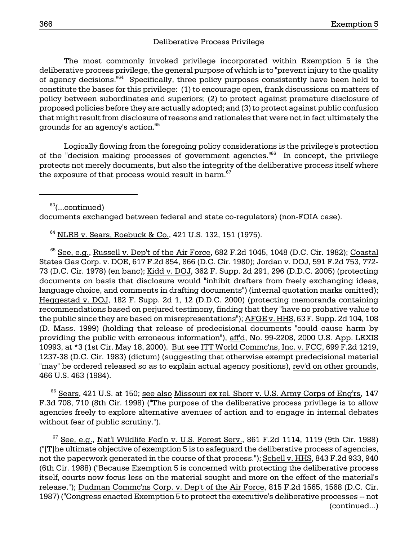#### Deliberative Process Privilege

The most commonly invoked privilege incorporated within Exemption 5 is the deliberative process privilege, the general purpose of which is to "prevent injury to the quality of agency decisions."<sup>64</sup> Specifically, three policy purposes consistently have been held to constitute the bases for this privilege: (1) to encourage open, frank discussions on matters of policy between subordinates and superiors; (2) to protect against premature disclosure of proposed policies before they are actually adopted; and (3) to protect against public confusion that might result from disclosure of reasons and rationales that were not in fact ultimately the grounds for an agency's action.<sup>65</sup>

Logically flowing from the foregoing policy considerations is the privilege's protection of the "decision making processes of government agencies."<sup>66</sup> In concept, the privilege protects not merely documents, but also the integrity of the deliberative process itself where the exposure of that process would result in harm.<sup>67</sup>

<sup>63</sup>(...continued)

documents exchanged between federal and state co-regulators) (non-FOIA case).

64 NLRB v. Sears, Roebuck & Co., 421 U.S. 132, 151 (1975).

 $65$  See, e.g., Russell v. Dep't of the Air Force, 682 F.2d 1045, 1048 (D.C. Cir. 1982); Coastal States Gas Corp. v. DOE, 617 F.2d 854, 866 (D.C. Cir. 1980); Jordan v. DOJ, 591 F.2d 753, 772 73 (D.C. Cir. 1978) (en banc); Kidd v. DOJ, 362 F. Supp. 2d 291, 296 (D.D.C. 2005) (protecting documents on basis that disclosure would "inhibit drafters from freely exchanging ideas, language choice, and comments in drafting documents") (internal quotation marks omitted); Heggestad v. DOJ, 182 F. Supp. 2d 1, 12 (D.D.C. 2000) (protecting memoranda containing recommendations based on perjured testimony, finding that they "have no probative value to the public since they are based on misrepresentations"); AFGE v. HHS, 63 F. Supp. 2d 104, 108 (D. Mass. 1999) (holding that release of predecisional documents "could cause harm by providing the public with erroneous information"), aff'd, No. 99-2208, 2000 U.S. App. LEXIS 10993, at \*3 (1st Cir. May 18, 2000). But see ITT World Commc'ns, Inc. v. FCC, 699 F.2d 1219, 1237-38 (D.C. Cir. 1983) (dictum) (suggesting that otherwise exempt predecisional material "may" be ordered released so as to explain actual agency positions), rev'd on other grounds, 466 U.S. 463 (1984).

<sup>66</sup> Sears, 421 U.S. at 150; see also Missouri ex rel. Shorr v. U.S. Army Corps of Eng'rs, 147 F.3d 708, 710 (8th Cir. 1998) ("The purpose of the deliberative process privilege is to allow agencies freely to explore alternative avenues of action and to engage in internal debates without fear of public scrutiny.").

 $67$  See, e.g., Nat'l Wildlife Fed'n v. U.S. Forest Serv., 861 F.2d 1114, 1119 (9th Cir. 1988) ("[T]he ultimate objective of exemption 5 is to safeguard the deliberative process of agencies, not the paperwork generated in the course of that process."); Schell v. HHS, 843 F.2d 933, 940 (6th Cir. 1988) ("Because Exemption 5 is concerned with protecting the deliberative process itself, courts now focus less on the material sought and more on the effect of the material's release."); Dudman Commc'ns Corp. v. Dep't of the Air Force, 815 F.2d 1565, 1568 (D.C. Cir. 1987) ("Congress enacted Exemption 5 to protect the executive's deliberative processes -- not (continued...)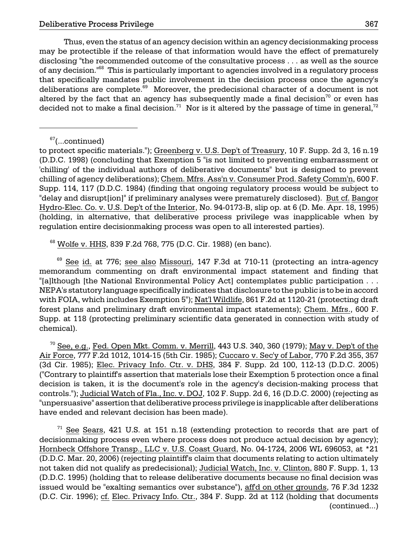Thus, even the status of an agency decision within an agency decisionmaking process may be protectible if the release of that information would have the effect of prematurely disclosing "the recommended outcome of the consultative process . . . as well as the source of any decision.<sup>"68</sup> This is particularly important to agencies involved in a regulatory process that specifically mandates public involvement in the decision process once the agency's deliberations are complete.<sup>69</sup> Moreover, the predecisional character of a document is not altered by the fact that an agency has subsequently made a final decision<sup>70</sup> or even has decided not to make a final decision.<sup>71</sup> Nor is it altered by the passage of time in general,<sup>72</sup>

68 Wolfe v. HHS, 839 F.2d 768, 775 (D.C. Cir. 1988) (en banc).

<sup>69</sup> See id. at 776; see also Missouri, 147 F.3d at 710-11 (protecting an intra-agency memorandum commenting on draft environmental impact statement and finding that "[a]lthough [the National Environmental Policy Act] contemplates public participation . . . NEPA's statutory language specifically indicates that disclosure to the public is to be in accord with FOIA, which includes Exemption 5"); Nat'l Wildlife, 861 F.2d at 1120-21 (protecting draft forest plans and preliminary draft environmental impact statements); Chem. Mfrs., 600 F. Supp. at 118 (protecting preliminary scientific data generated in connection with study of chemical).

 $^{70}$  See, e.g., Fed. Open Mkt. Comm. v. Merrill, 443 U.S. 340, 360 (1979); May v. Dep't of the Air Force, 777 F.2d 1012, 1014-15 (5th Cir. 1985); Cuccaro v. Sec'y of Labor, 770 F.2d 355, 357 (3d Cir. 1985); Elec. Privacy Info. Ctr. v. DHS, 384 F. Supp. 2d 100, 112-13 (D.D.C. 2005) ("Contrary to plaintiff's assertion that materials lose their Exemption 5 protection once a final decision is taken, it is the document's role in the agency's decision-making process that controls."); Judicial Watch of Fla., Inc. v. DOJ, 102 F. Supp. 2d 6, 16 (D.D.C. 2000) (rejecting as "unpersuasive" assertion that deliberative process privilege is inapplicable after deliberations have ended and relevant decision has been made).

 $71$  See Sears, 421 U.S. at 151 n.18 (extending protection to records that are part of decisionmaking process even where process does not produce actual decision by agency); Hornbeck Offshore Transp., LLC v. U.S. Coast Guard, No. 04-1724, 2006 WL 696053, at \*21 (D.D.C. Mar. 20, 2006) (rejecting plaintiff's claim that documents relating to action ultimately not taken did not qualify as predecisional); Judicial Watch, Inc. v. Clinton, 880 F. Supp. 1, 13 (D.D.C. 1995) (holding that to release deliberative documents because no final decision was issued would be "exalting semantics over substance"), aff'd on other grounds, 76 F.3d 1232 (D.C. Cir. 1996); cf. Elec. Privacy Info. Ctr., 384 F. Supp. 2d at 112 (holding that documents (continued...)

 $67$ (...continued)

to protect specific materials."); Greenberg v. U.S. Dep't of Treasury, 10 F. Supp. 2d 3, 16 n.19 (D.D.C. 1998) (concluding that Exemption 5 "is not limited to preventing embarrassment or 'chilling' of the individual authors of deliberative documents" but is designed to prevent chilling of agency deliberations); Chem. Mfrs. Ass'n v. Consumer Prod. Safety Comm'n, 600 F. Supp. 114, 117 (D.D.C. 1984) (finding that ongoing regulatory process would be subject to "delay and disrupt[ion]" if preliminary analyses were prematurely disclosed). But cf. Bangor Hydro-Elec. Co. v. U.S. Dep't of the Interior, No. 94-0173-B, slip op. at 6 (D. Me. Apr. 18, 1995) (holding, in alternative, that deliberative process privilege was inapplicable when by regulation entire decisionmaking process was open to all interested parties).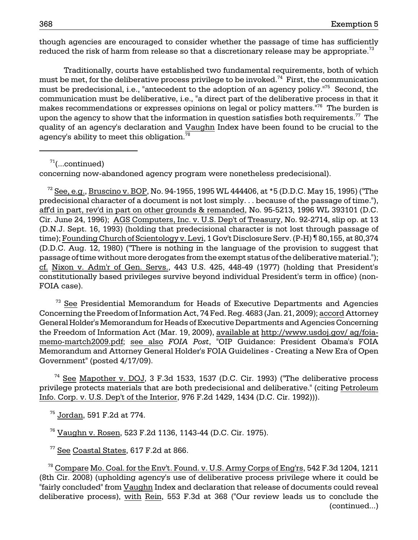though agencies are encouraged to consider whether the passage of time has sufficiently reduced the risk of harm from release so that a discretionary release may be appropriate.<sup>73</sup>

Traditionally, courts have established two fundamental requirements, both of which must be met, for the deliberative process privilege to be invoked.<sup>74</sup> First, the communication must be predecisional, i.e., "antecedent to the adoption of an agency policy."<sup>75</sup> Second, the communication must be deliberative, i.e., "a direct part of the deliberative process in that it makes recommendations or expresses opinions on legal or policy matters.<sup>"76</sup> The burden is upon the agency to show that the information in question satisfies both requirements.<sup>77</sup> The quality of an agency's declaration and Vaughn Index have been found to be crucial to the agency's ability to meet this obligation. $78$ 

 $71$ (...continued)

concerning now-abandoned agency program were nonetheless predecisional).

 $^{72}$  See, e.g., Bruscino v. BOP, No. 94-1955, 1995 WL 444406, at \*5 (D.D.C. May 15, 1995) ("The predecisional character of a document is not lost simply. . . because of the passage of time."), aff'd in part, rev'd in part on other grounds & remanded, No. 95-5213, 1996 WL 393101 (D.C. Cir. June 24, 1996); AGS Computers, Inc. v. U.S. Dep't of Treasury, No. 92-2714, slip op. at 13 (D.N.J. Sept. 16, 1993) (holding that predecisional character is not lost through passage of time); Founding Church of Scientology v. Levi, 1 Gov't Disclosure Serv. (P-H) ¶ 80,155, at 80,374 (D.D.C. Aug. 12, 1980) ("There is nothing in the language of the provision to suggest that passage of time without more derogates from the exempt status of the deliberative material."); cf. Nixon v. Adm'r of Gen. Servs., 443 U.S. 425, 448-49 (1977) (holding that President's constitutionally based privileges survive beyond individual President's term in office) (non-FOIA case).

 $73$  See Presidential Memorandum for Heads of Executive Departments and Agencies Concerning the Freedom of Information Act, 74 Fed. Reg. 4683 (Jan. 21, 2009); accord Attorney General Holder's Memorandum for Heads of Executive Departments and Agencies Concerning the Freedom of Information Act (Mar. 19, 2009), available at http://www.usdoj.gov/ ag/foiamemo-martch2009.pdf; see also *FOIA Post*, "OIP Guidance: President Obama's FOIA Memorandum and Attorney General Holder's FOIA Guidelines - Creating a New Era of Open Government" (posted 4/17/09).

 74 See Mapother v. DOJ, 3 F.3d 1533, 1537 (D.C. Cir. 1993) ("The deliberative process privilege protects materials that are both predecisional and deliberative." (citing Petroleum Info. Corp. v. U.S. Dep't of the Interior, 976 F.2d 1429, 1434 (D.C. Cir. 1992))).

75 Jordan, 591 F.2d at 774.

76 Vaughn v. Rosen, 523 F.2d 1136, 1143-44 (D.C. Cir. 1975).

77 See Coastal States, 617 F.2d at 866.

 $^{78}$  Compare Mo. Coal. for the Env't. Found. v. U.S. Army Corps of Eng'rs, 542 F.3d 1204, 1211 (8th Cir. 2008) (upholding agency's use of deliberative process privilege where it could be "fairly concluded" from Vaughn Index and declaration that release of documents could reveal deliberative process), with Rein, 553 F.3d at 368 ("Our review leads us to conclude the (continued...)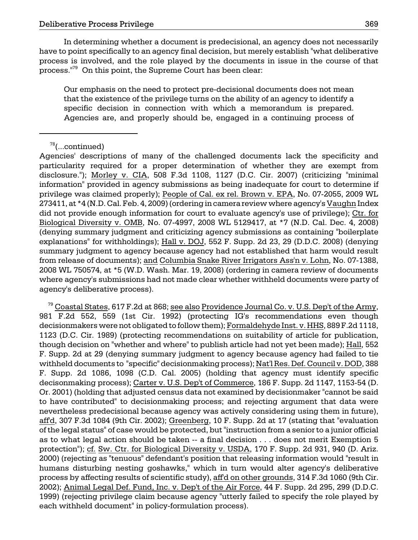In determining whether a document is predecisional, an agency does not necessarily have to point specifically to an agency final decision, but merely establish "what deliberative process is involved, and the role played by the documents in issue in the course of that process."79 On this point, the Supreme Court has been clear:

Our emphasis on the need to protect pre-decisional documents does not mean that the existence of the privilege turns on the ability of an agency to identify a specific decision in connection with which a memorandum is prepared. Agencies are, and properly should be, engaged in a continuing process of

<sup>79</sup> Coastal States, 617 F.2d at 868; see also Providence Journal Co. v. U.S. Dep't of the Army, 981 F.2d 552, 559 (1st Cir. 1992) (protecting IG's recommendations even though decisionmakers were not obligated to follow them); Formaldehyde Inst. v. HHS, 889 F.2d 1118, 1123 (D.C. Cir. 1989) (protecting recommendations on suitability of article for publication, though decision on "whether and where" to publish article had not yet been made); Hall, 552 F. Supp. 2d at 29 (denying summary judgment to agency because agency had failed to tie withheld documents to "specific" decisionmaking process); Nat'l Res. Def. Council v. DOD, 388 F. Supp. 2d 1086, 1098 (C.D. Cal. 2005) (holding that agency must identify specific decisonmaking process); Carter v. U.S. Dep't of Commerce, 186 F. Supp. 2d 1147, 1153-54 (D. Or. 2001) (holding that adjusted census data not examined by decisionmaker "cannot be said to have contributed" to decisionmaking process; and rejecting argument that data were nevertheless predecisional because agency was actively considering using them in future), aff'd, 307 F.3d 1084 (9th Cir. 2002); Greenberg, 10 F. Supp. 2d at 17 (stating that "evaluation of the legal status" of case would be protected, but "instruction from a senior to a junior official as to what legal action should be taken -- a final decision . . . does not merit Exemption 5 protection"); cf. Sw. Ctr. for Biological Diversity v. USDA, 170 F. Supp. 2d 931, 940 (D. Ariz. 2000) (rejecting as "tenuous" defendant's position that releasing information would "result in humans disturbing nesting goshawks," which in turn would alter agency's deliberative process by affecting results of scientific study), aff'd on other grounds, 314 F.3d 1060 (9th Cir. 2002); Animal Legal Def. Fund, Inc. v. Dep't of the Air Force, 44 F. Supp. 2d 295, 299 (D.D.C. 1999) (rejecting privilege claim because agency "utterly failed to specify the role played by each withheld document" in policy-formulation process).

 $78$ (...continued)

Agencies' descriptions of many of the challenged documents lack the specificity and particularity required for a proper determination of whether they are exempt from disclosure."); Morley v. CIA, 508 F.3d 1108, 1127 (D.C. Cir. 2007) (criticizing "minimal information" provided in agency submissions as being inadequate for court to determine if privilege was claimed properly); People of Cal. ex rel. Brown v. EPA, No. 07-2055, 2009 WL 273411, at \*4 (N.D. Cal. Feb. 4, 2009) (ordering in camera review where agency's Vaughn Index did not provide enough information for court to evaluate agency's use of privilege); Ctr. for Biological Diversity v. OMB, No. 07-4997, 2008 WL 5129417, at \*7 (N.D. Cal. Dec. 4, 2008) (denying summary judgment and criticizing agency submissions as containing "boilerplate explanations" for withholdings); Hall v. DOJ, 552 F. Supp. 2d 23, 29 (D.D.C. 2008) (denying summary judgment to agency because agency had not established that harm would result from release of documents); and Columbia Snake River Irrigators Ass'n v. Lohn, No. 07-1388, 2008 WL 750574, at \*5 (W.D. Wash. Mar. 19, 2008) (ordering in camera review of documents where agency's submissions had not made clear whether withheld documents were party of agency's deliberative process).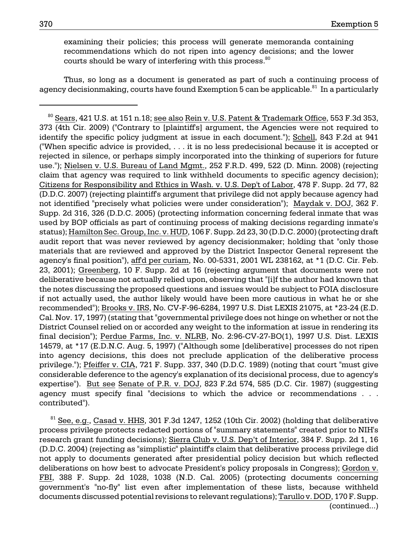examining their policies; this process will generate memoranda containing recommendations which do not ripen into agency decisions; and the lower courts should be wary of interfering with this process. $80$ 

Thus, so long as a document is generated as part of such a continuing process of agency decisionmaking, courts have found Exemption  $5$  can be applicable.<sup>81</sup> In a particularly

 $81$  See, e.g., Casad v. HHS, 301 F.3d 1247, 1252 (10th Cir. 2002) (holding that deliberative process privilege protects redacted portions of "summary statements" created prior to NIH's research grant funding decisions); Sierra Club v. U.S. Dep't of Interior, 384 F. Supp. 2d 1, 16 (D.D.C. 2004) (rejecting as "simplistic" plaintiff's claim that deliberative process privilege did not apply to documents generated after presidential policy decision but which reflected deliberations on how best to advocate President's policy proposals in Congress); Gordon v. FBI, 388 F. Supp. 2d 1028, 1038 (N.D. Cal. 2005) (protecting documents concerning government's "no-fly" list even after implementation of these lists, because withheld documents discussed potential revisions to relevant regulations); Tarullo v. DOD, 170 F. Supp. (continued...)

 $80$  Sears, 421 U.S. at 151 n.18; see also Rein v. U.S. Patent & Trademark Office, 553 F.3d 353, 373 (4th Cir. 2009) ("Contrary to [plaintiff's] argument, the Agencies were not required to identify the specific policy judgment at issue in each document."); Schell, 843 F.2d at 941 ("When specific advice is provided, . . . it is no less predecisional because it is accepted or rejected in silence, or perhaps simply incorporated into the thinking of superiors for future use."); Nielsen v. U.S. Bureau of Land Mgmt., 252 F.R.D. 499, 522 (D. Minn. 2008) (rejecting claim that agency was required to link withheld documents to specific agency decision); Citizens for Responsibility and Ethics in Wash. v. U.S. Dep't of Labor, 478 F. Supp. 2d 77, 82 (D.D.C. 2007) (rejecting plaintiff's argument that privilege did not apply because agency had not identified "precisely what policies were under consideration"); Maydak v. DOJ, 362 F. Supp. 2d 316, 326 (D.D.C. 2005) (protecting information concerning federal inmate that was used by BOP officials as part of continuing process of making decisions regarding inmate's status); Hamilton Sec. Group, Inc. v. HUD, 106 F. Supp. 2d 23, 30 (D.D.C. 2000) (protecting draft audit report that was never reviewed by agency decisionmaker; holding that "only those materials that are reviewed and approved by the District Inspector General represent the agency's final position"), aff'd per curiam, No. 00-5331, 2001 WL 238162, at \*1 (D.C. Cir. Feb. 23, 2001); Greenberg, 10 F. Supp. 2d at 16 (rejecting argument that documents were not deliberative because not actually relied upon, observing that "[i]f the author had known that the notes discussing the proposed questions and issues would be subject to FOIA disclosure if not actually used, the author likely would have been more cautious in what he or she recommended"); Brooks v. IRS, No. CV-F-96-6284, 1997 U.S. Dist LEXIS 21075, at \*23-24 (E.D. Cal. Nov. 17, 1997) (stating that "governmental privilege does not hinge on whether or not the District Counsel relied on or accorded any weight to the information at issue in rendering its final decision"); Perdue Farms, Inc. v. NLRB, No. 2:96-CV-27-BO(1), 1997 U.S. Dist. LEXIS 14579, at \*17 (E.D.N.C. Aug. 5, 1997) ("Although some [deliberative] processes do not ripen into agency decisions, this does not preclude application of the deliberative process privilege."); Pfeiffer v. CIA, 721 F. Supp. 337, 340 (D.D.C. 1989) (noting that court "must give considerable deference to the agency's explanation of its decisional process, due to agency's expertise"). But see Senate of P.R. v. DOJ, 823 F.2d 574, 585 (D.C. Cir. 1987) (suggesting agency must specify final "decisions to which the advice or recommendations . . . contributed").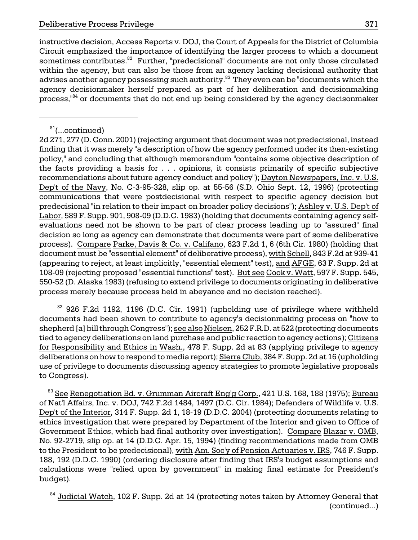advises another agency possessing such authority. $^\mathrm{83}$  They even can be "documents which the process,"<sup>84</sup> or documents that do not end up being considered by the agency decisonmaker instructive decision, Access Reports v. DOJ, the Court of Appeals for the District of Columbia Circuit emphasized the importance of identifying the larger process to which a document sometimes contributes.<sup>82</sup> Further, "predecisional" documents are not only those circulated within the agency, but can also be those from an agency lacking decisional authority that agency decisionmaker herself prepared as part of her deliberation and decisionmaking

108-09 (rejecting proposed "essential functions" test). <u>But see Cook v. Watt,</u> 597 F. Supp. 545, 2d 271, 277 (D. Conn. 2001) (rejecting argument that document was not predecisional, instead finding that it was merely "a description of how the agency performed under its then-existing policy," and concluding that although memorandum "contains some objective description of the facts providing a basis for . . . opinions, it consists primarily of specific subjective recommendations about future agency conduct and policy"); Dayton Newspapers, Inc. v. U.S. Dep't of the Navy, No. C-3-95-328, slip op. at 55-56 (S.D. Ohio Sept. 12, 1996) (protecting communications that were postdecisional with respect to specific agency decision but predecisional "in relation to their impact on broader policy decisions"); Ashley v. U.S. Dep't of Labor, 589 F. Supp. 901, 908-09 (D.D.C. 1983) (holding that documents containing agency selfevaluations need not be shown to be part of clear process leading up to "assured" final decision so long as agency can demonstrate that documents were part of some deliberative process). Compare Parke, Davis & Co. v. Califano, 623 F.2d 1, 6 (6th Cir. 1980) (holding that document must be "essential element" of deliberative process), with Schell, 843 F.2d at 939-41 (appearing to reject, at least implicitly, "essential element" test), and AFGE, 63 F. Supp. 2d at 550-52 (D. Alaska 1983) (refusing to extend privilege to documents originating in deliberative process merely because process held in abeyance and no decision reached).

<sup>82</sup> 926 F.2d 1192, 1196 (D.C. Cir. 1991) (upholding use of privilege where withheld documents had been shown to contribute to agency's decisionmaking process on "how to shepherd [a] bill through Congress"); see also Nielsen, 252 F.R.D. at 522 (protecting documents tied to agency deliberations on land purchase and public reaction to agency actions); Citizens for Responsibility and Ethics in Wash., 478 F. Supp. 2d at 83 (applying privilege to agency deliberations on how to respond to media report); Sierra Club, 384 F. Supp. 2d at 16 (upholding use of privilege to documents discussing agency strategies to promote legislative proposals to Congress).

 $83$  See Renegotiation Bd. v. Grumman Aircraft Eng'g Corp., 421 U.S. 168, 188 (1975); Bureau of Nat'l Affairs, Inc. v. DOJ, 742 F.2d 1484, 1497 (D.C. Cir. 1984); Defenders of Wildlife v. U.S. Dep't of the Interior, 314 F. Supp. 2d 1, 18-19 (D.D.C. 2004) (protecting documents relating to ethics investigation that were prepared by Department of the Interior and given to Office of Government Ethics, which had final authority over investigation). Compare Blazar v. OMB, No. 92-2719, slip op. at 14 (D.D.C. Apr. 15, 1994) (finding recommendations made from OMB to the President to be predecisional), with Am. Soc'y of Pension Actuaries v. IRS, 746 F. Supp. 188, 192 (D.D.C. 1990) (ordering disclosure after finding that IRS's budget assumptions and calculations were "relied upon by government" in making final estimate for President's budget).

<sup>84</sup> Judicial Watch, 102 F. Supp. 2d at 14 (protecting notes taken by Attorney General that (continued...)

 $81$ (...continued)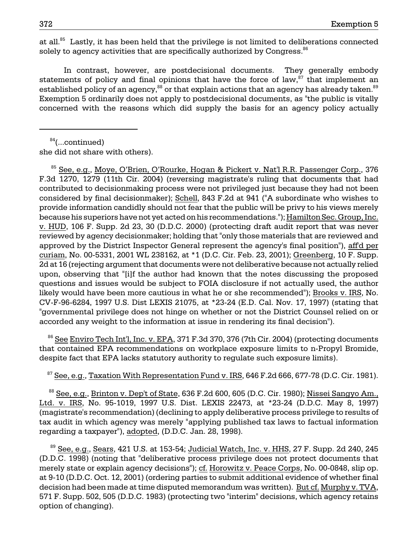at all.<sup>85</sup> Lastly, it has been held that the privilege is not limited to deliberations connected solely to agency activities that are specifically authorized by Congress. $86$ 

In contrast, however, are postdecisional documents. They generally embody statements of policy and final opinions that have the force of law, $87$  that implement an established policy of an agency,<sup>88</sup> or that explain actions that an agency has already taken.<sup>89</sup> Exemption 5 ordinarily does not apply to postdecisional documents, as "the public is vitally concerned with the reasons which did supply the basis for an agency policy actually

 $84$ (...continued) she did not share with others).

 85 See, e.g., Moye, O'Brien, O'Rourke, Hogan & Pickert v. Nat'l R.R. Passenger Corp., 376 F.3d 1270, 1279 (11th Cir. 2004) (reversing magistrate's ruling that documents that had contributed to decisionmaking process were not privileged just because they had not been considered by final decisionmaker); Schell, 843 F.2d at 941 ("A subordinate who wishes to provide information candidly should not fear that the public will be privy to his views merely because his superiors have not yet acted on his recommendations."); Hamilton Sec. Group, Inc. v. HUD, 106 F. Supp. 2d 23, 30 (D.D.C. 2000) (protecting draft audit report that was never reviewed by agency decisionmaker; holding that "only those materials that are reviewed and approved by the District Inspector General represent the agency's final position"), aff'd per curiam, No. 00-5331, 2001 WL 238162, at \*1 (D.C. Cir. Feb. 23, 2001); Greenberg, 10 F. Supp. 2d at 16 (rejecting argument that documents were not deliberative because not actually relied upon, observing that "[i]f the author had known that the notes discussing the proposed questions and issues would be subject to FOIA disclosure if not actually used, the author likely would have been more cautious in what he or she recommended"); Brooks v. IRS, No. CV-F-96-6284, 1997 U.S. Dist LEXIS 21075, at \*23-24 (E.D. Cal. Nov. 17, 1997) (stating that "governmental privilege does not hinge on whether or not the District Counsel relied on or accorded any weight to the information at issue in rendering its final decision").

<sup>86</sup> See Enviro Tech Int'l, Inc. v. EPA, 371 F.3d 370, 376 (7th Cir. 2004) (protecting documents that contained EPA recommendations on workplace exposure limits to n-Propyl Bromide, despite fact that EPA lacks statutory authority to regulate such exposure limits).

 $87$  See, e.g., Taxation With Representation Fund v. IRS, 646 F.2d 666, 677-78 (D.C. Cir. 1981).

 $88$  See, e.g., Brinton v. Dep't of State, 636 F.2d 600, 605 (D.C. Cir. 1980); Nissei Sangyo Am., Ltd. v. IRS, No. 95-1019, 1997 U.S. Dist. LEXIS 22473, at \*23-24 (D.D.C. May 8, 1997) (magistrate's recommendation) (declining to apply deliberative process privilege to results of tax audit in which agency was merely "applying published tax laws to factual information regarding a taxpayer"), adopted, (D.D.C. Jan. 28, 1998).

<sup>89</sup> See, e.g., Sears, 421 U.S. at 153-54; Judicial Watch, Inc. v. HHS, 27 F. Supp. 2d 240, 245 (D.D.C. 1998) (noting that "deliberative process privilege does not protect documents that merely state or explain agency decisions"); cf. Horowitz v. Peace Corps, No. 00-0848, slip op. at 9-10 (D.D.C. Oct. 12, 2001) (ordering parties to submit additional evidence of whether final decision had been made at time disputed memorandum was written). But cf. Murphy v. TVA, 571 F. Supp. 502, 505 (D.D.C. 1983) (protecting two "interim" decisions, which agency retains option of changing).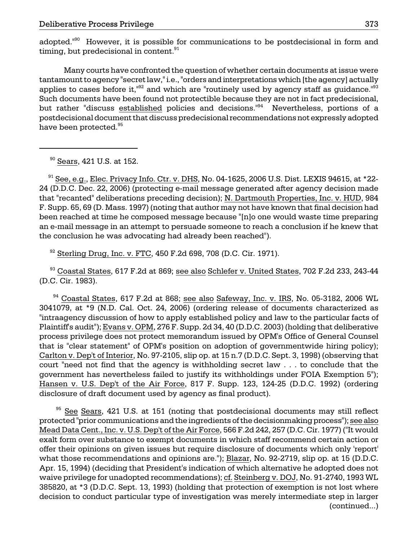adopted."<sup>90</sup> However, it is possible for communications to be postdecisional in form and timing, but predecisional in content. $91$ 

Many courts have confronted the question of whether certain documents at issue were tantamount to agency "secret law," i.e., "orders and interpretations which [the agency] actually applies to cases before it," $92$  and which are "routinely used by agency staff as guidance." $93$ Such documents have been found not protectible because they are not in fact predecisional, but rather "discuss established policies and decisions."<sup>94</sup> Nevertheless, portions of a postdecisional document that discuss predecisional recommendations not expressly adopted have been protected.<sup>95</sup>

<sup>90</sup> Sears, 421 U.S. at 152.

 $91$  See, e.g., Elec. Privacy Info. Ctr. v. DHS, No. 04-1625, 2006 U.S. Dist. LEXIS 94615, at \*22-24 (D.D.C. Dec. 22, 2006) (protecting e-mail message generated after agency decision made that "recanted" deliberations preceding decision); N. Dartmouth Properties, Inc. v. HUD, 984 F. Supp. 65, 69 (D. Mass. 1997) (noting that author may not have known that final decision had been reached at time he composed message because "[n]o one would waste time preparing an e-mail message in an attempt to persuade someone to reach a conclusion if he knew that the conclusion he was advocating had already been reached").

92 Sterling Drug, Inc. v. FTC, 450 F.2d 698, 708 (D.C. Cir. 1971).

<sup>93</sup> Coastal States, 617 F.2d at 869; see also Schlefer v. United States, 702 F.2d 233, 243-44 (D.C. Cir. 1983).

 $94$  Coastal States, 617 F.2d at 868; see also Safeway, Inc. v. IRS, No. 05-3182, 2006 WL 3041079, at \*9 (N.D. Cal. Oct. 24, 2006) (ordering release of documents characterized as "intraagency discussion of how to apply established policy and law to the particular facts of Plaintiff's audit"); Evans v. OPM, 276 F. Supp. 2d 34, 40 (D.D.C. 2003) (holding that deliberative process privilege does not protect memorandum issued by OPM's Office of General Counsel that is "clear statement" of OPM's position on adoption of governmentwide hiring policy); Carlton v. Dep't of Interior, No. 97-2105, slip op. at 15 n.7 (D.D.C. Sept. 3, 1998) (observing that court "need not find that the agency is withholding secret law . . . to conclude that the government has nevertheless failed to justify its withholdings under FOIA Exemption 5"); Hansen v. U.S. Dep't of the Air Force, 817 F. Supp. 123, 124-25 (D.D.C. 1992) (ordering disclosure of draft document used by agency as final product).

<sup>95</sup> See Sears, 421 U.S. at 151 (noting that postdecisional documents may still reflect protected "prior communications and the ingredients of the decisionmaking process"); see also Mead Data Cent., Inc. v. U.S. Dep't of the Air Force, 566 F.2d 242, 257 (D.C. Cir. 1977) ("It would exalt form over substance to exempt documents in which staff recommend certain action or offer their opinions on given issues but require disclosure of documents which only 'report' what those recommendations and opinions are."); Blazar, No. 92-2719, slip op. at 15 (D.D.C. Apr. 15, 1994) (deciding that President's indication of which alternative he adopted does not waive privilege for unadopted recommendations); cf. Steinberg v. DOJ, No. 91-2740, 1993 WL 385820, at \*3 (D.D.C. Sept. 13, 1993) (holding that protection of exemption is not lost where decision to conduct particular type of investigation was merely intermediate step in larger (continued...)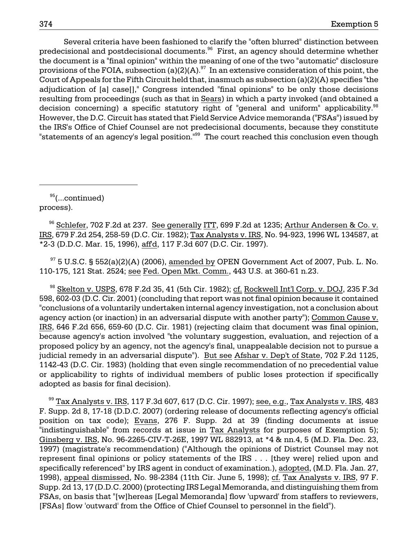Several criteria have been fashioned to clarify the "often blurred" distinction between predecisional and postdecisional documents.<sup>96</sup> First, an agency should determine whether the document is a "final opinion" within the meaning of one of the two "automatic" disclosure provisions of the FOIA, subsection (a)(2)(A).  $97$  In an extensive consideration of this point, the Court of Appeals for the Fifth Circuit held that, inasmuch as subsection (a)(2)(A) specifies "the adjudication of [a] case[]," Congress intended "final opinions" to be only those decisions resulting from proceedings (such as that in Sears) in which a party invoked (and obtained a decision concerning) a specific statutory right of "general and uniform" applicability. $98$ However, the D.C. Circuit has stated that Field Service Advice memoranda ("FSAs") issued by the IRS's Office of Chief Counsel are not predecisional documents, because they constitute "statements of an agency's legal position.<sup>"99</sup> The court reached this conclusion even though

 $95$ (...continued) process).

<sup>96</sup> Schlefer, 702 F.2d at 237. See generally ITT, 699 F.2d at 1235; Arthur Andersen & Co. v. IRS, 679 F.2d 254, 258-59 (D.C. Cir. 1982); Tax Analysts v. IRS, No. 94-923, 1996 WL 134587, at \*2-3 (D.D.C. Mar. 15, 1996), aff'd, 117 F.3d 607 (D.C. Cir. 1997).

 $97$  5 U.S.C. § 552(a)(2)(A) (2006), amended by OPEN Government Act of 2007, Pub. L. No. 110-175, 121 Stat. 2524; see Fed. Open Mkt. Comm., 443 U.S. at 360-61 n.23.

 98 Skelton v. USPS, 678 F.2d 35, 41 (5th Cir. 1982); cf. Rockwell Int'l Corp. v. DOJ, 235 F.3d 598, 602-03 (D.C. Cir. 2001) (concluding that report was not final opinion because it contained "conclusions of a voluntarily undertaken internal agency investigation, not a conclusion about agency action (or inaction) in an adversarial dispute with another party"); Common Cause v. IRS, 646 F.2d 656, 659-60 (D.C. Cir. 1981) (rejecting claim that document was final opinion, because agency's action involved "the voluntary suggestion, evaluation, and rejection of a proposed policy by an agency, not the agency's final, unappealable decision not to pursue a judicial remedy in an adversarial dispute"). But see Afshar v. Dep't of State, 702 F.2d 1125, 1142-43 (D.C. Cir. 1983) (holding that even single recommendation of no precedential value or applicability to rights of individual members of public loses protection if specifically adopted as basis for final decision).

 $99$  Tax Analysts v. IRS, 117 F.3d 607, 617 (D.C. Cir. 1997); see, e.g., Tax Analysts v. IRS, 483 F. Supp. 2d 8, 17-18 (D.D.C. 2007) (ordering release of documents reflecting agency's official position on tax code); Evans, 276 F. Supp. 2d at 39 (finding documents at issue "indistinguishable" from records at issue in Tax Analysts for purposes of Exemption 5); Ginsberg v. IRS, No. 96-2265-CIV-T-26E, 1997 WL 882913, at \*4 & nn.4, 5 (M.D. Fla. Dec. 23, 1997) (magistrate's recommendation) ("Although the opinions of District Counsel may not represent final opinions or policy statements of the IRS . . . [they were] relied upon and specifically referenced" by IRS agent in conduct of examination.), adopted, (M.D. Fla. Jan. 27, 1998), appeal dismissed, No. 98-2384 (11th Cir. June 5, 1998); cf. Tax Analysts v. IRS, 97 F. Supp. 2d 13, 17 (D.D.C. 2000) (protecting IRS Legal Memoranda, and distinguishing them from FSAs, on basis that "[w]hereas [Legal Memoranda] flow 'upward' from staffers to reviewers, [FSAs] flow 'outward' from the Office of Chief Counsel to personnel in the field").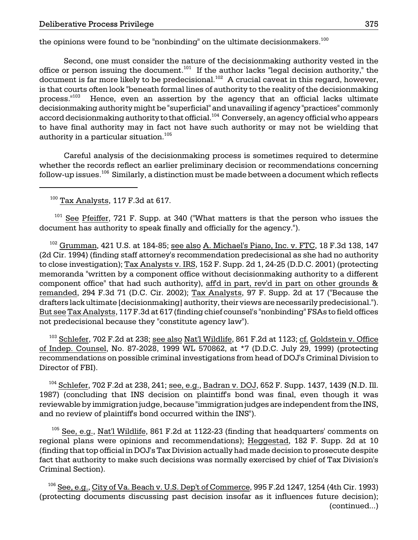the opinions were found to be "nonbinding" on the ultimate decisionmakers.<sup>100</sup>

document is far more likely to be predecisional. $^{102}$  A crucial caveat in this regard, however, Second, one must consider the nature of the decisionmaking authority vested in the office or person issuing the document.<sup>101</sup> If the author lacks "legal decision authority," the is that courts often look "beneath formal lines of authority to the reality of the decisionmaking process."103 Hence, even an assertion by the agency that an official lacks ultimate decisionmaking authority might be "superficial" and unavailing if agency "practices" commonly accord decisionmaking authority to that official.104 Conversely, an agency official who appears to have final authority may in fact not have such authority or may not be wielding that authority in a particular situation.<sup>105</sup>

Careful analysis of the decisionmaking process is sometimes required to determine whether the records reflect an earlier preliminary decision or recommendations concerning follow-up issues. $^{106}$  Similarly, a distinction must be made between a document which reflects

 $100$  Tax Analysts, 117 F.3d at 617.

 $101$  See Pfeiffer, 721 F. Supp. at 340 ("What matters is that the person who issues the document has authority to speak finally and officially for the agency.").

 $102$  Grumman, 421 U.S. at 184-85; see also A. Michael's Piano, Inc. v. FTC, 18 F.3d 138, 147 (2d Cir. 1994) (finding staff attorney's recommendation predecisional as she had no authority to close investigation); Tax Analysts v. IRS, 152 F. Supp. 2d 1, 24-25 (D.D.C. 2001) (protecting memoranda "written by a component office without decisionmaking authority to a different component office" that had such authority), aff'd in part, rev'd in part on other grounds & remanded, 294 F.3d 71 (D.C. Cir. 2002); Tax Analysts, 97 F. Supp. 2d at 17 ("Because the drafters lack ultimate [decisionmaking] authority, their views are necessarily predecisional."). But see Tax Analysts, 117 F.3d at 617 (finding chief counsel's "nonbinding" FSAs to field offices not predecisional because they "constitute agency law").

103 Schlefer, 702 F.2d at 238; see also Nat'l Wildlife, 861 F.2d at 1123; cf. Goldstein v. Office of Indep. Counsel, No. 87-2028, 1999 WL 570862, at \*7 (D.D.C. July 29, 1999) (protecting recommendations on possible criminal investigations from head of DOJ's Criminal Division to Director of FBI).

 $^{104}$  Schlefer, 702 F.2d at 238, 241; see, e.g., Badran v. DOJ, 652 F. Supp. 1437, 1439 (N.D. Ill. 1987) (concluding that INS decision on plaintiff's bond was final, even though it was reviewable by immigration judge, because "immigration judges are independent from the INS, and no review of plaintiff's bond occurred within the INS").

 fact that authority to make such decisions was normally exercised by chief of Tax Division's <sup>105</sup> See, e.g., Nat'l Wildlife, 861 F.2d at 1122-23 (finding that headquarters' comments on regional plans were opinions and recommendations); Heggestad, 182 F. Supp. 2d at 10 (finding that top official in DOJ's Tax Division actually had made decision to prosecute despite Criminal Section).

 $^{106}$  See, e.g., City of Va. Beach v. U.S. Dep't of Commerce, 995 F.2d 1247, 1254 (4th Cir. 1993) (protecting documents discussing past decision insofar as it influences future decision); (continued...)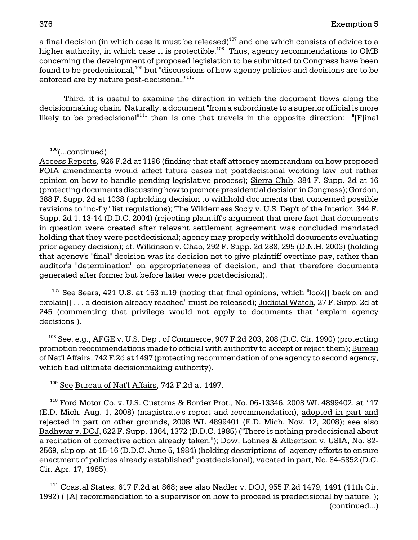a final decision (in which case it must be released)<sup>107</sup> and one which consists of advice to a higher authority, in which case it is protectible.<sup>108</sup> Thus, agency recommendations to OMB concerning the development of proposed legislation to be submitted to Congress have been found to be predecisional, $109$  but "discussions of how agency policies and decisions are to be enforced are by nature post-decisional."110

Third, it is useful to examine the direction in which the document flows along the decisionmaking chain. Naturally, a document "from a subordinate to a superior official is more likely to be predecisional<sup> $n111$ </sup> than is one that travels in the opposite direction: "[F]inal

<sup>107</sup> See Sears, 421 U.S. at 153 n.19 (noting that final opinions, which "look[] back on and explain[] . . . a decision already reached" must be released); Judicial Watch, 27 F. Supp. 2d at 245 (commenting that privilege would not apply to documents that "explain agency decisions").

 $108$  See, e.g., AFGE v. U.S. Dep't of Commerce, 907 F.2d 203, 208 (D.C. Cir. 1990) (protecting promotion recommendations made to official with authority to accept or reject them); Bureau of Nat'l Affairs, 742 F.2d at 1497 (protecting recommendation of one agency to second agency, which had ultimate decisionmaking authority).

 $109$  See Bureau of Nat'l Affairs, 742 F.2d at 1497.

<sup>110</sup> Ford Motor Co. v. U.S. Customs & Border Prot., No. 06-13346, 2008 WL 4899402, at \*17 (E.D. Mich. Aug. 1, 2008) (magistrate's report and recommendation), adopted in part and rejected in part on other grounds, 2008 WL 4899401 (E.D. Mich. Nov. 12, 2008); see also Badhwar v. DOJ, 622 F. Supp. 1364, 1372 (D.D.C. 1985) ("There is nothing predecisional about a recitation of corrective action already taken."); Dow, Lohnes & Albertson v. USIA, No. 82 2569, slip op. at 15-16 (D.D.C. June 5, 1984) (holding descriptions of "agency efforts to ensure enactment of policies already established" postdecisional), vacated in part, No. 84-5852 (D.C. Cir. Apr. 17, 1985).

 $111$  Coastal States, 617 F.2d at 868; see also Nadler v. DOJ, 955 F.2d 1479, 1491 (11th Cir. 1992) ("[A] recommendation to a supervisor on how to proceed is predecisional by nature."); (continued...)

 $106$ (...continued)

Access Reports, 926 F.2d at 1196 (finding that staff attorney memorandum on how proposed FOIA amendments would affect future cases not postdecisional working law but rather opinion on how to handle pending legislative process); Sierra Club, 384 F. Supp. 2d at 16 (protecting documents discussing how to promote presidential decision in Congress); Gordon, 388 F. Supp. 2d at 1038 (upholding decision to withhold documents that concerned possible revisions to "no-fly" list regulations); The Wilderness Soc'y v. U.S. Dep't of the Interior, 344 F. Supp. 2d 1, 13-14 (D.D.C. 2004) (rejecting plaintiff's argument that mere fact that documents in question were created after relevant settlement agreement was concluded mandated holding that they were postdecisional; agency may properly withhold documents evaluating prior agency decision); cf. Wilkinson v. Chao, 292 F. Supp. 2d 288, 295 (D.N.H. 2003) (holding that agency's "final" decision was its decision not to give plaintiff overtime pay, rather than auditor's "determination" on appropriateness of decision, and that therefore documents generated after former but before latter were postdecisional).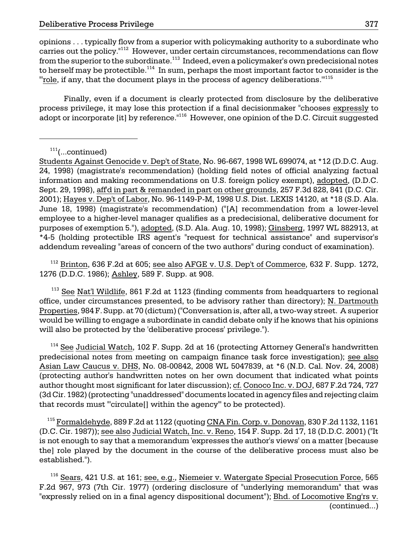opinions . . . typically flow from a superior with policymaking authority to a subordinate who carries out the policy.<sup>"112</sup> However, under certain circumstances, recommendations can flow from the superior to the subordinate.<sup>113</sup> Indeed, even a policymaker's own predecisional notes to herself may be protectible.<sup>114</sup> In sum, perhaps the most important factor to consider is the "Irole, if any, that the document plays in the process of agency deliberations."<sup>115</sup>

Finally, even if a document is clearly protected from disclosure by the deliberative process privilege, it may lose this protection if a final decisionmaker "chooses expressly to adopt or incorporate [it] by reference.<sup>"116</sup> However, one opinion of the D.C. Circuit suggested

<sup>112</sup> Brinton, 636 F.2d at 605; see also AFGE v. U.S. Dep't of Commerce, 632 F. Supp. 1272, 1276 (D.D.C. 1986); Ashley, 589 F. Supp. at 908.

 $113$  See Nat'l Wildlife, 861 F.2d at 1123 (finding comments from headquarters to regional office, under circumstances presented, to be advisory rather than directory); N. Dartmouth Properties, 984 F. Supp. at 70 (dictum) ("Conversation is, after all, a two-way street. A superior would be willing to engage a subordinate in candid debate only if he knows that his opinions will also be protected by the 'deliberative process' privilege.").

 $114$  See Judicial Watch, 102 F. Supp. 2d at 16 (protecting Attorney General's handwritten predecisional notes from meeting on campaign finance task force investigation); see also Asian Law Caucus v. DHS, No. 08-00842, 2008 WL 5047839, at \*6 (N.D. Cal. Nov. 24, 2008) (protecting author's handwritten notes on her own document that indicated what points author thought most significant for later discussion); cf. Conoco Inc. v. DOJ, 687 F.2d 724, 727 (3d Cir. 1982) (protecting "unaddressed" documents located in agency files and rejecting claim that records must "'circulate[] within the agency'" to be protected).

<sup>115</sup> Formaldehyde, 889 F.2d at 1122 (quoting CNA Fin. Corp. v. Donovan, 830 F.2d 1132, 1161 (D.C. Cir. 1987)); see also Judicial Watch, Inc. v. Reno, 154 F. Supp. 2d 17, 18 (D.D.C. 2001) ("It is not enough to say that a memorandum 'expresses the author's views' on a matter [because the] role played by the document in the course of the deliberative process must also be established.").

<sup>116</sup> Sears, 421 U.S. at 161; see, e.g., Niemeier v. Watergate Special Prosecution Force, 565 F.2d 967, 973 (7th Cir. 1977) (ordering disclosure of "underlying memorandum" that was "expressly relied on in a final agency dispositional document"); Bhd. of Locomotive Eng'rs v. (continued...)

 $111$ (...continued)

Students Against Genocide v. Dep't of State, No. 96-667, 1998 WL 699074, at \*12 (D.D.C. Aug. 24, 1998) (magistrate's recommendation) (holding field notes of official analyzing factual information and making recommendations on U.S. foreign policy exempt), adopted, (D.D.C. Sept. 29, 1998), aff'd in part & remanded in part on other grounds, 257 F.3d 828, 841 (D.C. Cir. 2001); Hayes v. Dep't of Labor, No. 96-1149-P-M, 1998 U.S. Dist. LEXIS 14120, at \*18 (S.D. Ala. June 18, 1998) (magistrate's recommendation) ("[A] recommendation from a lower-level employee to a higher-level manager qualifies as a predecisional, deliberative document for purposes of exemption 5."), adopted, (S.D. Ala. Aug. 10, 1998); Ginsberg, 1997 WL 882913, at \*4-5 (holding protectible IRS agent's "request for technical assistance" and supervisor's addendum revealing "areas of concern of the two authors" during conduct of examination).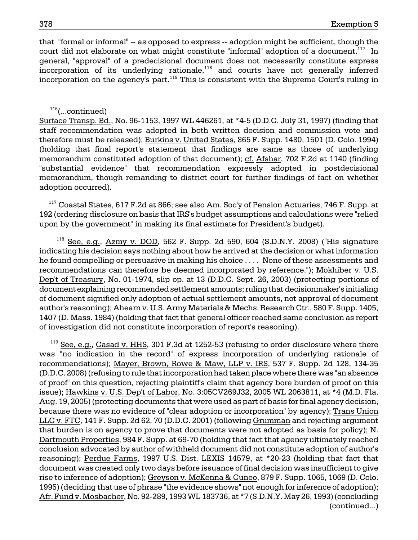that "formal or informal" -- as opposed to express -- adoption might be sufficient, though the court did not elaborate on what might constitute "informal" adoption of a document.<sup>117</sup> In general, "approval" of a predecisional document does not necessarily constitute express incorporation of its underlying rationale,<sup>118</sup> and courts have not generally inferred incorporation on the agency's part.119 This is consistent with the Supreme Court's ruling in

Surface Transp. Bd., No. 96-1153, 1997 WL 446261, at \*4-5 (D.D.C. July 31, 1997) (finding that staff recommendation was adopted in both written decision and commission vote and therefore must be released); Burkins v. United States, 865 F. Supp. 1480, 1501 (D. Colo. 1994) (holding that final report's statement that findings are same as those of underlying memorandum constituted adoption of that document); cf. Afshar, 702 F.2d at 1140 (finding "substantial evidence" that recommendation expressly adopted in postdecisional memorandum, though remanding to district court for further findings of fact on whether adoption occurred).

<sup>117</sup> Coastal States, 617 F.2d at 866; see also Am. Soc'y of Pension Actuaries, 746 F. Supp. at 192 (ordering disclosure on basis that IRS's budget assumptions and calculations were "relied upon by the government" in making its final estimate for President's budget).

 $118$  See, e.g., Azmy v. DOD, 562 F. Supp. 2d 590, 604 (S.D.N.Y. 2008) ("His signature indicating his decision says nothing about how he arrived at the decision or what information he found compelling or persuasive in making his choice . . . . None of these assessments and recommendations can therefore be deemed incorporated by reference."); Mokhiber v. U.S. Dep't of Treasury, No. 01-1974, slip op. at 13 (D.D.C. Sept. 26, 2003) (protecting portions of document explaining recommended settlement amounts; ruling that decisionmaker's initialing of document signified only adoption of actual settlement amounts, not approval of document author's reasoning); Ahearn v. U.S. Army Materials & Mechs. Research Ctr., 580 F. Supp. 1405, 1407 (D. Mass. 1984) (holding that fact that general officer reached same conclusion as report of investigation did not constitute incorporation of report's reasoning).

 $119$  See, e.g., Casad v. HHS, 301 F.3d at 1252-53 (refusing to order disclosure where there was "no indication in the record" of express incorporation of underlying rationale of recommendations); Mayer, Brown, Rowe & Maw, LLP v. IRS, 537 F. Supp. 2d 128, 134-35 (D.D.C. 2008) (refusing to rule that incorporation had taken place where there was "an absence of proof" on this question, rejecting plaintiff's claim that agency bore burden of proof on this issue); Hawkins v. U.S. Dep't of Labor, No. 3:05CV269J32, 2005 WL 2063811, at \*4 (M.D. Fla. Aug. 19, 2005) (protecting documents that were used as part of basis for final agency decision, because there was no evidence of "clear adoption or incorporation" by agency); Trans Union LLC v. FTC, 141 F. Supp. 2d 62, 70 (D.D.C. 2001) (following Grumman and rejecting argument that burden is on agency to prove that documents were not adopted as basis for policy); N. Dartmouth Properties, 984 F. Supp. at 69-70 (holding that fact that agency ultimately reached conclusion advocated by author of withheld document did not constitute adoption of author's reasoning); Perdue Farms, 1997 U.S. Dist. LEXIS 14579, at \*20-23 (holding that fact that document was created only two days before issuance of final decision was insufficient to give rise to inference of adoption); Greyson v. McKenna & Cuneo, 879 F. Supp. 1065, 1069 (D. Colo. 1995) (deciding that use of phrase "the evidence shows" not enough for inference of adoption); Afr. Fund v. Mosbacher, No. 92-289, 1993 WL 183736, at \*7 (S.D.N.Y. May 26, 1993) (concluding (continued...)

 $116$ (...continued)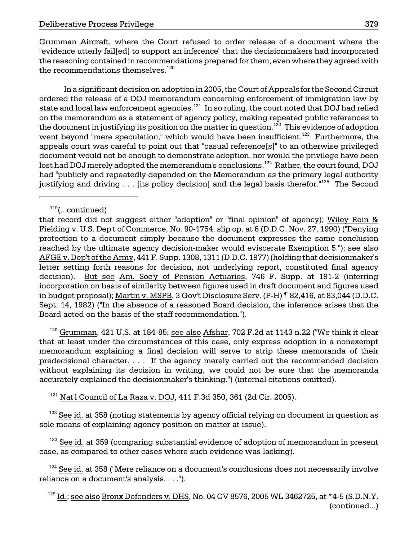Grumman Aircraft, where the Court refused to order release of a document where the "evidence utterly fail[ed] to support an inference" that the decisionmakers had incorporated the reasoning contained in recommendations prepared for them, even where they agreed with the recommendations themselves.<sup>120</sup>

state and local law enforcement agencies. $^{\rm 121}$  In so ruling, the court noted that DOJ had relied the document in justifying its position on the matter in question. $^{\rm 122}$  This evidence of adoption lost had DOJ merely adopted the memorandum's conclusions. $^{\rm 124}$  Rather, the court found, DOJ In a significant decision on adoption in 2005, the Court of Appeals for the Second Circuit ordered the release of a DOJ memorandum concerning enforcement of immigration law by on the memorandum as a statement of agency policy, making repeated public references to went beyond "mere speculation," which would have been insufficient.<sup>123</sup> Furthermore, the appeals court was careful to point out that "casual reference[s]" to an otherwise privileged document would not be enough to demonstrate adoption, nor would the privilege have been had "publicly and repeatedly depended on the Memorandum as the primary legal authority justifying and driving . . . [its policy decision] and the legal basis therefor.<sup>"125</sup> The Second

 $120$  Grumman, 421 U.S. at 184-85; see also Afshar, 702 F.2d at 1143 n.22 ("We think it clear that at least under the circumstances of this case, only express adoption in a nonexempt memorandum explaining a final decision will serve to strip these memoranda of their predecisional character. . . . If the agency merely carried out the recommended decision without explaining its decision in writing, we could not be sure that the memoranda accurately explained the decisionmaker's thinking.") (internal citations omitted).

 $121$  Nat'l Council of La Raza v. DOJ, 411 F.3d 350, 361 (2d Cir. 2005).

 $122$  See id. at 358 (noting statements by agency official relying on document in question as sole means of explaining agency position on matter at issue).

 $123$  See id. at 359 (comparing substantial evidence of adoption of memorandum in present case, as compared to other cases where such evidence was lacking).

 $124$  See id. at 358 ("Mere reliance on a document's conclusions does not necessarily involve reliance on a document's analysis. . . .").

 $125$  Id.; see also Bronx Defenders v. DHS, No. 04 CV 8576, 2005 WL 3462725, at  $*4-5$  (S.D.N.Y. (continued...)

 $119$ (...continued)

that record did not suggest either "adoption" or "final opinion" of agency); Wiley Rein & Fielding v. U.S. Dep't of Commerce, No. 90-1754, slip op. at 6 (D.D.C. Nov. 27, 1990) ("Denying protection to a document simply because the document expresses the same conclusion reached by the ultimate agency decision-maker would eviscerate Exemption 5."); see also AFGE v. Dep't of the Army, 441 F. Supp. 1308, 1311 (D.D.C. 1977) (holding that decisionmaker's letter setting forth reasons for decision, not underlying report, constituted final agency decision). But see Am. Soc'y of Pension Actuaries, 746 F. Supp. at 191-2 (inferring incorporation on basis of similarity between figures used in draft document and figures used in budget proposal); Martin v. MSPB, 3 Gov't Disclosure Serv. (P-H) ¶ 82,416, at 83,044 (D.D.C. Sept. 14, 1982) ("In the absence of a reasoned Board decision, the inference arises that the Board acted on the basis of the staff recommendation.").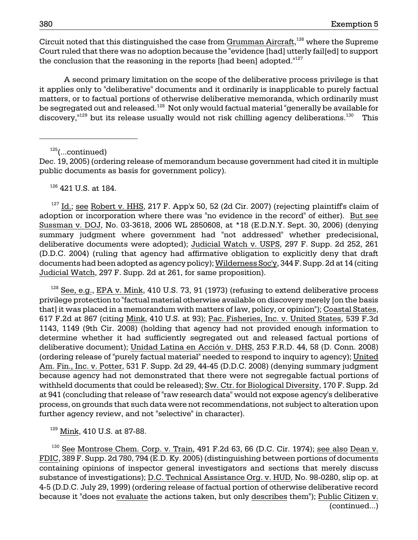Circuit noted that this distinguished the case from Grumman Aircraft, $126$  where the Supreme Court ruled that there was no adoption because the "evidence [had] utterly fail[ed] to support the conclusion that the reasoning in the reports [had been] adopted. $127$ 

A second primary limitation on the scope of the deliberative process privilege is that it applies only to "deliberative" documents and it ordinarily is inapplicable to purely factual matters, or to factual portions of otherwise deliberative memoranda, which ordinarily must be segregated out and released.<sup>128</sup> Not only would factual material "generally be available for discovery,<sup> $129$ </sup> but its release usually would not risk chilling agency deliberations.<sup>130</sup> This

 $125$ (...continued)

Dec. 19, 2005) (ordering release of memorandum because government had cited it in multiple public documents as basis for government policy).

<sup>126</sup> 421 U.S. at 184.

 $127$  Id.; see Robert v. HHS, 217 F. App'x 50, 52 (2d Cir. 2007) (rejecting plaintiff's claim of adoption or incorporation where there was "no evidence in the record" of either). But see Sussman v. DOJ, No. 03-3618, 2006 WL 2850608, at \*18 (E.D.N.Y. Sept. 30, 2006) (denying summary judgment where government had "not addressed" whether predecisional, deliberative documents were adopted); Judicial Watch v. USPS, 297 F. Supp. 2d 252, 261 (D.D.C. 2004) (ruling that agency had affirmative obligation to explicitly deny that draft documents had been adopted as agency policy); Wilderness Soc'y, 344 F. Supp. 2d at 14 (citing Judicial Watch, 297 F. Supp. 2d at 261, for same proposition).

 $128$  See, e.g., EPA v. Mink, 410 U.S. 73, 91 (1973) (refusing to extend deliberative process privilege protection to "factual material otherwise available on discovery merely [on the basis that] it was placed in a memorandum with matters of law, policy, or opinion"); Coastal States, 617 F.2d at 867 (citing Mink, 410 U.S. at 93); Pac. Fisheries, Inc. v. United States, 539 F.3d 1143, 1149 (9th Cir. 2008) (holding that agency had not provided enough information to determine whether it had sufficiently segregated out and released factual portions of deliberative document); Unidad Latina en Acción v. DHS, 253 F.R.D. 44, 58 (D. Conn. 2008) (ordering release of "purely factual material" needed to respond to inquiry to agency); United Am. Fin., Inc. v. Potter, 531 F. Supp. 2d 29, 44-45 (D.D.C. 2008) (denying summary judgment because agency had not demonstrated that there were not segregable factual portions of withheld documents that could be released); Sw. Ctr. for Biological Diversity, 170 F. Supp. 2d at 941 (concluding that release of "raw research data" would not expose agency's deliberative process, on grounds that such data were not recommendations, not subject to alteration upon further agency review, and not "selective" in character).

 $129$  Mink, 410 U.S. at 87-88.

 $130$  See Montrose Chem. Corp. v. Train, 491 F.2d 63, 66 (D.C. Cir. 1974); see also Dean v. FDIC, 389 F. Supp. 2d 780, 794 (E.D. Ky. 2005) (distinguishing between portions of documents containing opinions of inspector general investigators and sections that merely discuss substance of investigations); D.C. Technical Assistance Org. v. HUD, No. 98-0280, slip op. at 4-5 (D.D.C. July 29, 1999) (ordering release of factual portion of otherwise deliberative record because it "does not evaluate the actions taken, but only describes them"); Public Citizen v. (continued...)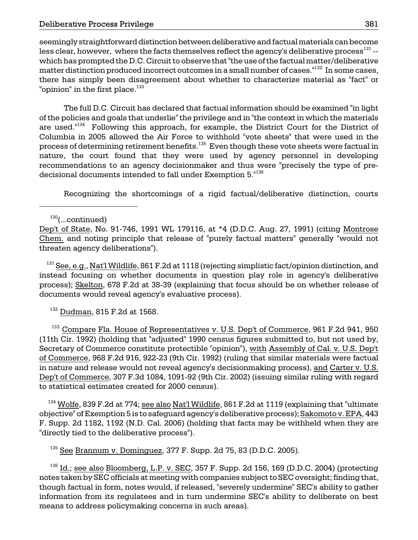seemingly straightforward distinction between deliberative and factual materials can become less clear, however, where the facts themselves reflect the agency's deliberative process<sup>131</sup> -which has prompted the D.C. Circuit to observe that "the use of the factual matter/deliberative matter distinction produced incorrect outcomes in a small number of cases."<sup>132</sup> In some cases, there has simply been disagreement about whether to characterize material as "fact" or "opinion" in the first place. $133$ 

The full D.C. Circuit has declared that factual information should be examined "in light of the policies and goals that underlie" the privilege and in "the context in which the materials are used."<sup>134</sup> Following this approach, for example, the District Court for the District of Columbia in 2005 allowed the Air Force to withhold "vote sheets" that were used in the process of determining retirement benefits.<sup>135</sup> Even though these vote sheets were factual in nature, the court found that they were used by agency personnel in developing recommendations to an agency decisionmaker and thus were "precisely the type of predecisional documents intended to fall under Exemption 5."<sup>136</sup>

Recognizing the shortcomings of a rigid factual/deliberative distinction, courts

 $^{131}$  See, e.g., Nat'l Wildlife, 861 F.2d at 1118 (rejecting simplistic fact/opinion distinction, and instead focusing on whether documents in question play role in agency's deliberative process); Skelton, 678 F.2d at 38-39 (explaining that focus should be on whether release of documents would reveal agency's evaluative process).

132 Dudman, 815 F.2d at 1568.

<sup>133</sup> Compare Fla. House of Representatives v. U.S. Dep't of Commerce, 961 F.2d 941, 950 (11th Cir. 1992) (holding that "adjusted" 1990 census figures submitted to, but not used by, Secretary of Commerce constitute protectible "opinion"), with Assembly of Cal. v. U.S. Dep't of Commerce, 968 F.2d 916, 922-23 (9th Cir. 1992) (ruling that similar materials were factual in nature and release would not reveal agency's decisionmaking process), and Carter v. U.S. Dep't of Commerce, 307 F.3d 1084, 1091-92 (9th Cir. 2002) (issuing similar ruling with regard to statistical estimates created for 2000 census).

 $^{134}$  Wolfe, 839 F.2d at 774; see also Nat'l Wildlife, 861 F.2d at 1119 (explaining that "ultimate objective" of Exemption 5 is to safeguard agency's deliberative process); Sakomoto v. EPA, 443 F. Supp. 2d 1182, 1192 (N.D. Cal. 2006) (holding that facts may be withheld when they are "directly tied to the deliberative process").

135 See Brannum v. Dominguez, 377 F. Supp. 2d 75, 83 (D.D.C. 2005).

 $136$  Id.; see also Bloomberg, L.P. v. SEC, 357 F. Supp. 2d 156, 169 (D.D.C. 2004) (protecting notes taken by SEC officials at meeting with companies subject to SEC oversight; finding that, though factual in form, notes would, if released, "severely undermine" SEC's ability to gather information from its regulatees and in turn undermine SEC's ability to deliberate on best means to address policymaking concerns in such areas).

 $130$ (...continued)

Dep't of State, No. 91-746, 1991 WL 179116, at \*4 (D.D.C. Aug. 27, 1991) (citing Montrose Chem. and noting principle that release of "purely factual matters" generally "would not threaten agency deliberations").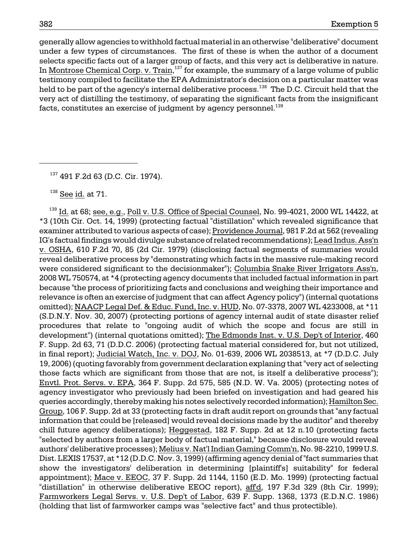generally allow agencies to withhold factual material in an otherwise "deliberative" document under a few types of circumstances. The first of these is when the author of a document selects specific facts out of a larger group of facts, and this very act is deliberative in nature. In Montrose Chemical Corp. v. Train,<sup>137</sup> for example, the summary of a large volume of public testimony compiled to facilitate the EPA Administrator's decision on a particular matter was held to be part of the agency's internal deliberative process.<sup>138</sup> The D.C. Circuit held that the very act of distilling the testimony, of separating the significant facts from the insignificant facts, constitutes an exercise of judgment by agency personnel.<sup>139</sup>

 $138$  See id. at 71.

 $^{139}$  Id. at 68; see, e.g., Poll v. U.S. Office of Special Counsel, No. 99-4021, 2000 WL 14422, at \*3 (10th Cir. Oct. 14, 1999) (protecting factual "distillation" which revealed significance that examiner attributed to various aspects of case); Providence Journal, 981 F.2d at 562 (revealing IG's factual findings would divulge substance of related recommendations); Lead Indus. Ass'n v. OSHA, 610 F.2d 70, 85 (2d Cir. 1979) (disclosing factual segments of summaries would reveal deliberative process by "demonstrating which facts in the massive rule-making record were considered significant to the decisionmaker"); Columbia Snake River Irrigators Ass'n, 2008 WL 750574, at \*4 (protecting agency documents that included factual information in part because "the process of prioritizing facts and conclusions and weighing their importance and relevance is often an exercise of judgment that can affect Agency policy") (internal quotations omitted); NAACP Legal Def. & Educ. Fund, Inc. v. HUD, No. 07-3378, 2007 WL 4233008, at \*11 (S.D.N.Y. Nov. 30, 2007) (protecting portions of agency internal audit of state disaster relief procedures that relate to "ongoing audit of which the scope and focus are still in development") (internal quotations omitted); The Edmonds Inst. v. U.S. Dep't of Interior, 460 F. Supp. 2d 63, 71 (D.D.C. 2006) (protecting factual material considered for, but not utilized, in final report); Judicial Watch, Inc. v. DOJ, No. 01-639, 2006 WL 2038513, at \*7 (D.D.C. July 19, 2006) (quoting favorably from government declaration explaning that "very act of selecting those facts which are significant from those that are not, is itself a deliberative process"); Envtl. Prot. Servs. v. EPA, 364 F. Supp. 2d 575, 585 (N.D. W. Va. 2005) (protecting notes of agency investigator who previously had been briefed on investigation and had geared his queries accordingly, thereby making his notes selectively recorded information); Hamilton Sec. Group, 106 F. Supp. 2d at 33 (protecting facts in draft audit report on grounds that "any factual information that could be [released] would reveal decisions made by the auditor" and thereby chill future agency deliberations); Heggestad, 182 F. Supp. 2d at 12 n.10 (protecting facts "selected by authors from a larger body of factual material," because disclosure would reveal authors' deliberative processes); Melius v. Nat'l Indian Gaming Comm'n, No. 98-2210, 1999 U.S. Dist. LEXIS 17537, at \*12 (D.D.C. Nov. 3, 1999) (affirming agency denial of "fact summaries that show the investigators' deliberation in determining [plaintiff's] suitability" for federal appointment); Mace v. EEOC, 37 F. Supp. 2d 1144, 1150 (E.D. Mo. 1999) (protecting factual "distillation" in otherwise deliberative EEOC report), affd, 197 F.3d 329 (8th Cir. 1999); Farmworkers Legal Servs. v. U.S. Dep't of Labor, 639 F. Supp. 1368, 1373 (E.D.N.C. 1986) (holding that list of farmworker camps was "selective fact" and thus protectible).

137 491 F.2d 63 (D.C. Cir. 1974).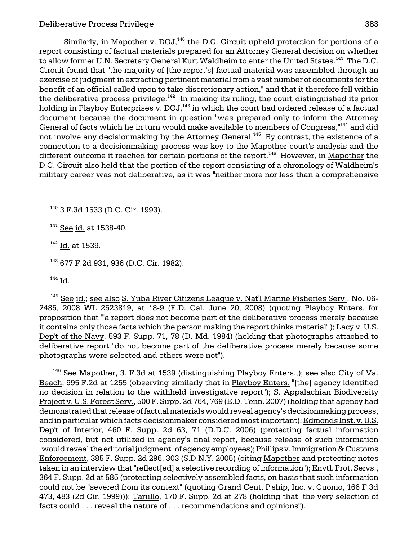Similarly, in Mapother v. DOJ, $^{140}$  the D.C. Circuit upheld protection for portions of a report consisting of factual materials prepared for an Attorney General decision on whether to allow former U.N. Secretary General Kurt Waldheim to enter the United States.<sup>141</sup> The D.C. Circuit found that "the majority of [the report's] factual material was assembled through an exercise of judgment in extracting pertinent material from a vast number of documents for the benefit of an official called upon to take discretionary action," and that it therefore fell within the deliberative process privilege.<sup>142</sup> In making its ruling, the court distinguished its prior holding in Playboy Enterprises v. DOJ,<sup>143</sup> in which the court had ordered release of a factual document because the document in question "was prepared only to inform the Attorney General of facts which he in turn would make available to members of Congress, <sup>1144</sup> and did not involve any decisionmaking by the Attorney General.<sup>145</sup> By contrast, the existence of a connection to a decisionmaking process was key to the Mapother court's analysis and the different outcome it reached for certain portions of the report.<sup>146</sup> However, in Mapother the D.C. Circuit also held that the portion of the report consisting of a chronology of Waldheim's military career was not deliberative, as it was "neither more nor less than a comprehensive

140 3 F.3d 1533 (D.C. Cir. 1993).

 $141$  See id. at 1538-40.

<sup>142</sup> Id. at 1539.

143 677 F.2d 931, 936 (D.C. Cir. 1982).

 $144$  Id.

 $145$  See id.; see also S. Yuba River Citizens League v. Nat'l Marine Fisheries Serv., No. 06-2485, 2008 WL 2523819, at \*8-9 (E.D. Cal. June 20, 2008) (quoting Playboy Enters. for proposition that "'a report does not become part of the deliberative process merely because it contains only those facts which the person making the report thinks material'"); Lacy v. U.S. Dep't of the Navy, 593 F. Supp. 71, 78 (D. Md. 1984) (holding that photographs attached to deliberative report "do not become part of the deliberative process merely because some photographs were selected and others were not").

<sup>146</sup> See Mapother, 3. F.3d at 1539 (distinguishing Playboy Enters.,); see also City of Va. Beach, 995 F.2d at 1255 (observing similarly that in Playboy Enters. "[the] agency identified no decision in relation to the withheld investigative report"); S. Appalachian Biodiversity Project v. U.S. Forest Serv., 500 F. Supp. 2d 764, 769 (E.D. Tenn. 2007) (holding that agency had demonstrated that release of factual materials would reveal agency's decisionmaking process, and in particular which facts decisionmaker considered most important); Edmonds Inst. v. U.S. Dep't of Interior, 460 F. Supp. 2d 63, 71 (D.D.C. 2006) (protecting factual information considered, but not utilized in agency's final report, because release of such information "would reveal the editorial judgment" of agency employees); Phillips v. Immigration & Customs Enforcement, 385 F. Supp. 2d 296, 303 (S.D.N.Y. 2005) (citing Mapother and protecting notes taken in an interview that "reflect[ed] a selective recording of information"); Envtl. Prot. Servs., 364 F. Supp. 2d at 585 (protecting selectively assembled facts, on basis that such information could not be "severed from its context" (quoting Grand Cent. P'ship, Inc. v. Cuomo, 166 F.3d 473, 483 (2d Cir. 1999))); Tarullo, 170 F. Supp. 2d at 278 (holding that "the very selection of facts could . . . reveal the nature of . . . recommendations and opinions").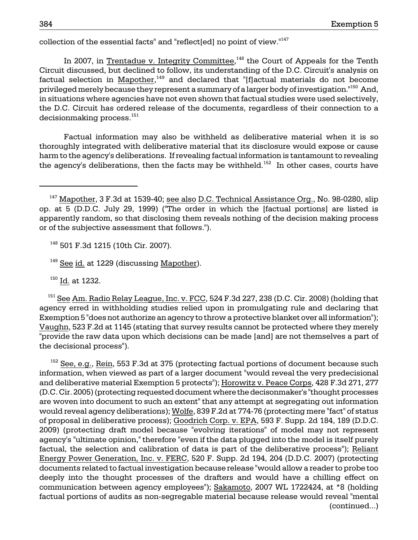collection of the essential facts" and "reflect[ed] no point of view."147

In 2007, in Trentadue v. Integrity Committee, $148$  the Court of Appeals for the Tenth Circuit discussed, but declined to follow, its understanding of the D.C. Circuit's analysis on factual selection in Mapother, $149$  and declared that "[f]actual materials do not become privileged merely because they represent a summary of a larger body of investigation."150 And, in situations where agencies have not even shown that factual studies were used selectively, the D.C. Circuit has ordered release of the documents, regardless of their connection to a decisionmaking process.<sup>151</sup>

Factual information may also be withheld as deliberative material when it is so thoroughly integrated with deliberative material that its disclosure would expose or cause harm to the agency's deliberations. If revealing factual information is tantamount to revealing the agency's deliberations, then the facts may be withheld.<sup>152</sup> In other cases, courts have

<sup>148</sup> 501 F.3d 1215 (10th Cir. 2007).

 $149$  See id. at 1229 (discussing Mapother).

<sup>150</sup> Id. at 1232.

<sup>151</sup> See Am. Radio Relay League, Inc. v. FCC, 524 F.3d 227, 238 (D.C. Cir. 2008) (holding that agency erred in withholding studies relied upon in promulgating rule and declaring that Exemption 5 "does not authorize an agency to throw a protective blanket over all information"); Vaughn, 523 F.2d at 1145 (stating that survey results cannot be protected where they merely "provide the raw data upon which decisions can be made [and] are not themselves a part of the decisional process").

 $152$  See, e.g., Rein, 553 F.3d at 375 (protecting factual portions of document because such information, when viewed as part of a larger document "would reveal the very predecisional and deliberative material Exemption 5 protects"); Horowitz v. Peace Corps, 428 F.3d 271, 277 (D.C. Cir. 2005) (protecting requested document where the decisonmaker's "thought processes are woven into document to such an extent" that any attempt at segregating out information would reveal agency deliberations); Wolfe, 839 F.2d at 774-76 (protecting mere "fact" of status of proposal in deliberative process); Goodrich Corp. v. EPA, 593 F. Supp. 2d 184, 189 (D.D.C. 2009) (protecting draft model because "evolving iterations" of model may not represent agency's "ultimate opinion," therefore "even if the data plugged into the model is itself purely factual, the selection and calibration of data is part of the deliberative process"); Reliant Energy Power Generation, Inc. v. FERC, 520 F. Supp. 2d 194, 204 (D.D.C. 2007) (protecting documents related to factual investigation because release "would allow a reader to probe too deeply into the thought processes of the drafters and would have a chilling effect on communication between agency employees"); Sakamoto, 2007 WL 1722424, at \*8 (holding factual portions of audits as non-segregable material because release would reveal "mental (continued...)

 $147$  Mapother, 3 F.3d at 1539-40; see also D.C. Technical Assistance Org., No. 98-0280, slip op. at 5 (D.D.C. July 29, 1999) ("The order in which the [factual portions] are listed is apparently random, so that disclosing them reveals nothing of the decision making process or of the subjective assessment that follows.").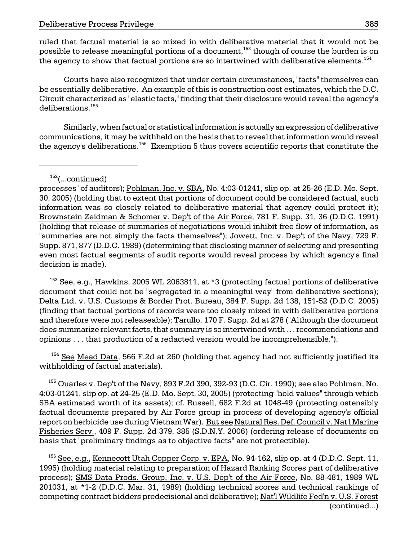the agency to show that factual portions are so intertwined with deliberative elements. $^{154}$ ruled that factual material is so mixed in with deliberative material that it would not be possible to release meaningful portions of a document,<sup>153</sup> though of course the burden is on

Courts have also recognized that under certain circumstances, "facts" themselves can be essentially deliberative. An example of this is construction cost estimates, which the D.C. Circuit characterized as "elastic facts," finding that their disclosure would reveal the agency's deliberations.<sup>155</sup>

the agency's deliberations. $^{156}\,$  Exemption 5 thus covers scientific reports that constitute the Similarly, when factual or statistical information is actually an expression of deliberative communications, it may be withheld on the basis that to reveal that information would reveal

 $152$ (...continued)

processes" of auditors); Pohlman, Inc. v. SBA, No. 4:03-01241, slip op. at 25-26 (E.D. Mo. Sept. 30, 2005) (holding that to extent that portions of document could be considered factual, such information was so closely related to deliberative material that agency could protect it); Brownstein Zeidman & Schomer v. Dep't of the Air Force, 781 F. Supp. 31, 36 (D.D.C. 1991) (holding that release of summaries of negotiations would inhibit free flow of information, as "summaries are not simply the facts themselves"); Jowett, Inc. v. Dep't of the Navy, 729 F. Supp. 871, 877 (D.D.C. 1989) (determining that disclosing manner of selecting and presenting even most factual segments of audit reports would reveal process by which agency's final decision is made).

 $153$  See, e.g., Hawkins, 2005 WL 2063811, at  $*3$  (protecting factual portions of deliberative document that could not be "segregated in a meaningful way" from deliberative sections); Delta Ltd. v. U.S. Customs & Border Prot. Bureau, 384 F. Supp. 2d 138, 151-52 (D.D.C. 2005) (finding that factual portions of records were too closely mixed in with deliberative portions and therefore were not releaseable); Tarullo, 170 F. Supp. 2d at 278 ("Although the document does summarize relevant facts, that summary is so intertwined with . . . recommendations and opinions . . . that production of a redacted version would be incomprehensible.").

 $154$  See Mead Data, 566 F.2d at 260 (holding that agency had not sufficiently justified its withholding of factual materials).

 $^{155}$  Quarles v. Dep't of the Navy, 893 F.2d 390, 392-93 (D.C. Cir. 1990); see also Pohlman, No. 4:03-01241, slip op. at 24-25 (E.D. Mo. Sept. 30, 2005) (protecting "hold values" through which SBA estimated worth of its assets); cf. Russell, 682 F.2d at 1048-49 (protecting ostensibly factual documents prepared by Air Force group in process of developing agency's official report on herbicide use during Vietnam War). But see Natural Res. Def. Council v. Nat'l Marine Fisheries Serv., 409 F. Supp. 2d 379, 385 (S.D.N.Y. 2006) (ordering release of documents on basis that "preliminary findings as to objective facts" are not protectible).

<sup>156</sup> See, e.g., Kennecott Utah Copp<u>er Corp. v. EPA</u>, No. 94-162, slip op. at 4 (D.D.C. Sept. 11, 1995) (holding material relating to preparation of Hazard Ranking Scores part of deliberative process); SMS Data Prods. Group, Inc. v. U.S. Dep't of the Air Force, No. 88-481, 1989 WL 201031, at \*1-2 (D.D.C. Mar. 31, 1989) (holding technical scores and technical rankings of competing contract bidders predecisional and deliberative); Nat'l Wildlife Fed'n v. U.S. Forest (continued...)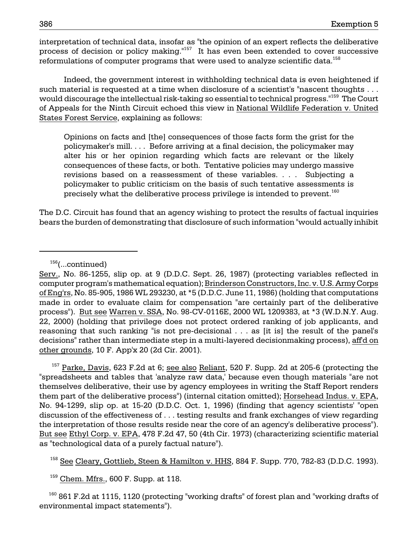reformulations of computer programs that were used to analyze scientific data. $^{158}\,$ interpretation of technical data, insofar as "the opinion of an expert reflects the deliberative process of decision or policy making."157 It has even been extended to cover successive

 Indeed, the government interest in withholding technical data is even heightened if would discourage the intellectual risk-taking so essential to technical progress."<sup>159</sup> The Court such material is requested at a time when disclosure of a scientist's "nascent thoughts . . . of Appeals for the Ninth Circuit echoed this view in National Wildlife Federation v. United States Forest Service, explaining as follows:

Opinions on facts and [the] consequences of those facts form the grist for the policymaker's mill. . . . Before arriving at a final decision, the policymaker may alter his or her opinion regarding which facts are relevant or the likely consequences of these facts, or both. Tentative policies may undergo massive revisions based on a reassessment of these variables. . . . Subjecting a policymaker to public criticism on the basis of such tentative assessments is precisely what the deliberative process privilege is intended to prevent.<sup>160</sup>

The D.C. Circuit has found that an agency wishing to protect the results of factual inquiries bears the burden of demonstrating that disclosure of such information "would actually inhibit

 $157$  Parke, Davis, 623 F.2d at 6; see also Reliant, 520 F. Supp. 2d at 205-6 (protecting the "spreadsheets and tables that 'analyze raw data,' because even though materials "are not themselves deliberative, their use by agency employees in writing the Staff Report renders them part of the deliberative process") (internal citation omitted); Horsehead Indus. v. EPA, No. 94-1299, slip op. at 15-20 (D.D.C. Oct. 1, 1996) (finding that agency scientists' "open discussion of the effectiveness of . . . testing results and frank exchanges of view regarding the interpretation of those results reside near the core of an agency's deliberative process"). But see Ethyl Corp. v. EPA, 478 F.2d 47, 50 (4th Cir. 1973) (characterizing scientific material as "technological data of a purely factual nature").

<sup>158</sup> See Cleary, Gottlieb, Steen & Hamilton v. HHS, 884 F. Supp. 770, 782-83 (D.D.C. 1993).

 $159$  Chem. Mfrs., 600 F. Supp. at 118.

 $160$  861 F.2d at 1115, 1120 (protecting "working drafts" of forest plan and "working drafts of environmental impact statements").

<sup>156(...</sup>continued)

Serv., No. 86-1255, slip op. at 9 (D.D.C. Sept. 26, 1987) (protecting variables reflected in 22, 2000) (holding that privilege does not protect ordered ranking of job applicants, and computer program's mathematical equation); Brinderson Constructors, Inc. v. U.S. Army Corps of Eng'rs, No. 85-905, 1986 WL 293230, at \*5 (D.D.C. June 11, 1986) (holding that computations made in order to evaluate claim for compensation "are certainly part of the deliberative process"). But see Warren v. SSA, No. 98-CV-0116E, 2000 WL 1209383, at \*3 (W.D.N.Y. Aug. reasoning that such ranking "is not pre-decisional . . . as [it is] the result of the panel's decisions" rather than intermediate step in a multi-layered decisionmaking process), aff'd on other grounds, 10 F. App'x 20 (2d Cir. 2001).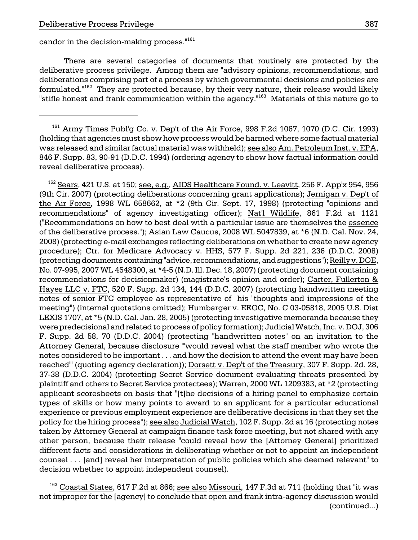candor in the decision-making process.<sup>"161</sup>

There are several categories of documents that routinely are protected by the deliberative process privilege. Among them are "advisory opinions, recommendations, and deliberations comprising part of a process by which governmental decisions and policies are formulated."<sup>162</sup> They are protected because, by their very nature, their release would likely "stifle honest and frank communication within the agency."<sup>163</sup> Materials of this nature go to

 $161$  Army Times Publ'g Co. v. Dep't of the Air Force, 998 F.2d 1067, 1070 (D.C. Cir. 1993) (holding that agencies must show how process would be harmed where some factual material was released and similar factual material was withheld); see also Am. Petroleum Inst. v. EPA, 846 F. Supp. 83, 90-91 (D.D.C. 1994) (ordering agency to show how factual information could reveal deliberative process).

<sup>162</sup> Sears, 421 U.S. at 150; see, e.g., AID<u>S Healthcare Found. v. Leavitt,</u> 256 F. App'x 954, 956 (9th Cir. 2007) (protecting deliberations concerning grant applications); Jernigan v. Dep't of the Air Force, 1998 WL 658662, at \*2 (9th Cir. Sept. 17, 1998) (protecting "opinions and recommendations" of agency investigating officer); Nat'l Wildlife, 861 F.2d at 1121 ("Recommendations on how to best deal with a particular issue are themselves the essence of the deliberative process."); Asian Law Caucus, 2008 WL 5047839, at \*6 (N.D. Cal. Nov. 24, 2008) (protecting e-mail exchanges reflecting deliberations on whether to create new agency procedure); Ctr. for Medicare Advocacy v. HHS, 577 F. Supp. 2d 221, 236 (D.D.C. 2008) (protecting documents containing "advice, recommendations, and suggestions"); Reilly v. DOE, No. 07-995, 2007 WL 4548300, at \*4-5 (N.D. Ill. Dec. 18, 2007) (protecting document containing recommendations for decisionmaker) (magistrate's opinion and order); Carter, Fullerton & Hayes LLC v. FTC, 520 F. Supp. 2d 134, 144 (D.D.C. 2007) (protecting handwritten meeting notes of senior FTC employee as representative of his "thoughts and impressions of the meeting") (internal quotations omitted); Humbarger v. EEOC, No. C 03-05818, 2005 U.S. Dist LEXIS 1707, at \*5 (N.D. Cal. Jan. 28, 2005) (protecting investigative memoranda because they were predecisional and related to process of policy formation); Judicial Watch, Inc. v. DOJ, 306 F. Supp. 2d 58, 70 (D.D.C. 2004) (protecting "handwritten notes" on an invitation to the Attorney General, because disclosure "'would reveal what the staff member who wrote the notes considered to be important . . . and how the decision to attend the event may have been reached'" (quoting agency declaration)); Dorsett v. Dep't of the Treasury, 307 F. Supp. 2d. 28, 37-38 (D.D.C. 2004) (protecting Secret Service document evaluating threats presented by plaintiff and others to Secret Service protectees); Warren, 2000 WL 1209383, at \*2 (protecting applicant scoresheets on basis that "[t]he decisions of a hiring panel to emphasize certain types of skills or how many points to award to an applicant for a particular educational experience or previous employment experience are deliberative decisions in that they set the policy for the hiring process"); see also Judicial Watch, 102 F. Supp. 2d at 16 (protecting notes taken by Attorney General at campaign finance task force meeting, but not shared with any other person, because their release "could reveal how the [Attorney General] prioritized different facts and considerations in deliberating whether or not to appoint an independent counsel . . . [and] reveal her interpretation of public policies which she deemed relevant" to decision whether to appoint independent counsel).

 $^{163}$  Coastal States, 617 F.2d at 866; <u>see also Missouri</u>, 147 F.3d at 711 (holding that "it was not improper for the [agency] to conclude that open and frank intra-agency discussion would (continued...)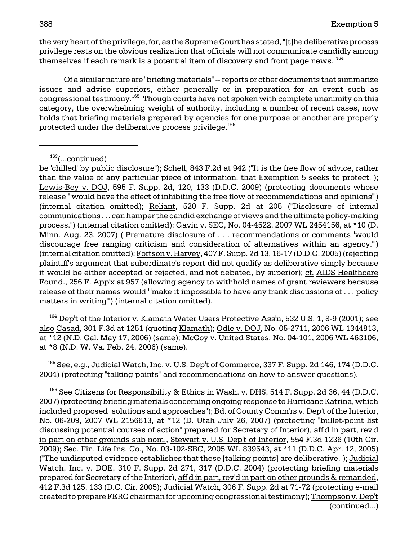the very heart of the privilege, for, as the Supreme Court has stated, "[t]he deliberative process privilege rests on the obvious realization that officials will not communicate candidly among themselves if each remark is a potential item of discovery and front page news."164

congressional testimony.<sup>165</sup> Though courts have not spoken with complete unanimity on this Of a similar nature are "briefing materials" -- reports or other documents that summarize issues and advise superiors, either generally or in preparation for an event such as category, the overwhelming weight of authority, including a number of recent cases, now holds that briefing materials prepared by agencies for one purpose or another are properly protected under the deliberative process privilege.<sup>166</sup>

at \*12 (N.D. Cal. May 17, 2006) (same); McCoy v. United States, No. 04-101, 2006 WL 463106, at \*8 (N.D. W. Va. Feb. 24, 2006) (same).  $164$  Dep't of the Interior v. Klamath Water Users Protective Ass'n, 532 U.S. 1, 8-9 (2001); see also Casad, 301 F.3d at 1251 (quoting Klamath); Odle v. DOJ, No. 05-2711, 2006 WL 1344813,

 $^{165}$  See, e.g., Judicial Watch, Inc. v. U.S. Dep't of Commerce, 337 F. Supp. 2d 146, 174 (D.D.C. 2004) (protecting "talking points" and recommendations on how to answer questions).

 $^{166}$  See Citizens for Responsibility  $\underline{\&}$  Ethics in Wash. v. DHS, 514 F. Supp. 2d 36, 44 (D.D.C. 2007) (protecting briefing materials concerning ongoing response to Hurricane Katrina, which included proposed "solutions and approaches"); Bd. of County Comm'rs v. Dep't of the Interior, No. 06-209, 2007 WL 2156613, at \*12 (D. Utah July 26, 2007) (protecting "bullet-point list discussing potential courses of action" prepared for Secretary of Interior), aff'd in part, rev'd in part on other grounds sub nom., Stewart v. U.S. Dep't of Interior, 554 F.3d 1236 (10th Cir. 2009); Sec. Fin. Life Ins. Co., No. 03-102-SBC, 2005 WL 839543, at \*11 (D.D.C. Apr. 12, 2005) ("The undisputed evidence establishes that these [talking points] are deliberative."); Judicial Watch, Inc. v. DOE, 310 F. Supp. 2d 271, 317 (D.D.C. 2004) (protecting briefing materials prepared for Secretary of the Interior), aff'd in part, rev'd in part on other grounds & remanded, 412 F.3d 125, 133 (D.C. Cir. 2005); Judicial Watch, 306 F. Supp. 2d at 71-72 (protecting e-mail created to prepare FERC chairman for upcoming congressional testimony); Thompson v. Dep't (continued...)

<sup>163(...</sup>continued)

process.") (internal citation omitted); <u>Gavin v. SEC,</u> No. 04-4522, 2007 WL 2454156, at \*10 (D.  $\,$  (internal citation omitted); Fortson v. Harvey, 407 F. Supp. 2d 13, 16-17 (D.D.C. 2005) (rejecting be 'chilled' by public disclosure"); Schell, 843 F.2d at 942 ("It is the free flow of advice, rather than the value of any particular piece of information, that Exemption 5 seeks to protect."); Lewis-Bey v. DOJ, 595 F. Supp. 2d, 120, 133 (D.D.C. 2009) (protecting documents whose release "'would have the effect of inhibiting the free flow of recommendations and opinions'") (internal citation omitted); Reliant, 520 F. Supp. 2d at 205 ("Disclosure of internal communications . . . can hamper the candid exchange of views and the ultimate policy-making Minn. Aug. 23, 2007) ("Premature disclosure of . . . recommendations or comments 'would discourage free ranging criticism and consideration of alternatives within an agency.'") plaintiff's argument that subordinate's report did not qualify as deliberative simply because it would be either accepted or rejected, and not debated, by superior); cf. AIDS Healthcare Found., 256 F. App'x at 957 (allowing agency to withhold names of grant reviewers because release of their names would "'make it impossible to have any frank discussions of . . . policy matters in writing'") (internal citation omitted).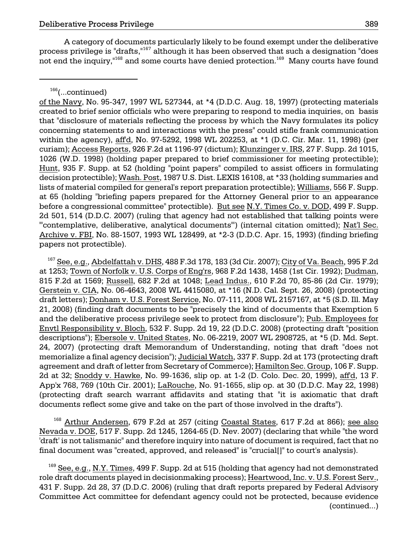A category of documents particularly likely to be found exempt under the deliberative process privilege is "drafts,"167 although it has been observed that such a designation "does not end the inquiry, $168$  and some courts have denied protection.  $169$  Many courts have found

of the Navy, No. 95-347, 1997 WL 527344, at \*4 (D.D.C. Aug. 18, 1997) (protecting materials created to brief senior officials who were preparing to respond to media inquiries, on basis that "disclosure of materials reflecting the process by which the Navy formulates its policy concerning statements to and interactions with the press" could stifle frank communication within the agency), aff'd, No. 97-5292, 1998 WL 202253, at \*1 (D.C. Cir. Mar. 11, 1998) (per curiam); Access Reports, 926 F.2d at 1196-97 (dictum); Klunzinger v. IRS, 27 F. Supp. 2d 1015, 1026 (W.D. 1998) (holding paper prepared to brief commissioner for meeting protectible); Hunt, 935 F. Supp. at 52 (holding "point papers" compiled to assist officers in formulating decision protectible); Wash. Post, 1987 U.S. Dist. LEXIS 16108, at \*33 (holding summaries and lists of material compiled for general's report preparation protectible); Williams, 556 F. Supp. at 65 (holding "briefing papers prepared for the Attorney General prior to an appearance before a congressional committee" protectible). But see N.Y. Times Co. v. DOD, 499 F. Supp. 2d 501, 514 (D.D.C. 2007) (ruling that agency had not established that talking points were "'contemplative, deliberative, analytical documents'") (internal citation omitted); Nat'l Sec. Archive v. FBI, No. 88-1507, 1993 WL 128499, at \*2-3 (D.D.C. Apr. 15, 1993) (finding briefing papers not protectible).

 $167$  See, e.g., Abdelfattah v. DHS, 488 F.3d 178, 183 (3d Cir. 2007); City of Va. Beach, 995 F.2d at 1253; Town of Norfolk v. U.S. Corps of Eng'rs, 968 F.2d 1438, 1458 (1st Cir. 1992); Dudman, 815 F.2d at 1569; Russell, 682 F.2d at 1048; Lead Indus., 610 F.2d 70, 85-86 (2d Cir. 1979); Gerstein v. CIA, No. 06-4643, 2008 WL 4415080, at \*16 (N.D. Cal. Sept. 26, 2008) (protecting draft letters); Donham v. U.S. Forest Service, No. 07-111, 2008 WL 2157167, at \*5 (S.D. Ill. May 21, 2008) (finding draft documents to be "precisely the kind of documents that Exemption 5 and the deliberative process privilege seek to protect from disclosure"); Pub. Employees for Envtl Responsibility v. Bloch, 532 F. Supp. 2d 19, 22 (D.D.C. 2008) (protecting draft "position descriptions"); Ebersole v. United States, No. 06-2219, 2007 WL 2908725, at \*5 (D. Md. Sept. 24, 2007) (protecting draft Memorandum of Understanding, noting that draft "does not memorialize a final agency decision"); Judicial Watch, 337 F. Supp. 2d at 173 (protecting draft agreement and draft of letter from Secretary of Commerce); Hamilton Sec. Group, 106 F. Supp. 2d at 32; Snoddy v. Hawke, No. 99-1636, slip op. at 1-2 (D. Colo. Dec. 20, 1999), aff'd, 13 F. App'x 768, 769 (10th Cir. 2001); LaRouche, No. 91-1655, slip op. at 30 (D.D.C. May 22, 1998) (protecting draft search warrant affidavits and stating that "it is axiomatic that draft documents reflect some give and take on the part of those involved in the drafts").

 Nevada v. DOE, 517 F. Supp. 2d 1245, 1264-65 (D. Nev. 2007) (declaring that while "the word <sup>168</sup> Arthur Andersen, 679 F.2d at 257 (citing Coastal States, 617 F.2d at 866); see also 'draft' is not talismanic" and therefore inquiry into nature of document is required, fact that no final document was "created, approved, and released" is "crucial[]" to court's analysis).

 $^{169}$  See, e.g., N.Y. Times, 499 F. Supp. 2d at 515 (holding that agency had not demonstrated role draft documents played in decisionmaking process); Heartwood, Inc. v. U.S. Forest Serv., 431 F. Supp. 2d 28, 37 (D.D.C. 2006) (ruling that draft reports prepared by Federal Advisory Committee Act committee for defendant agency could not be protected, because evidence (continued...)

 $166$ (...continued)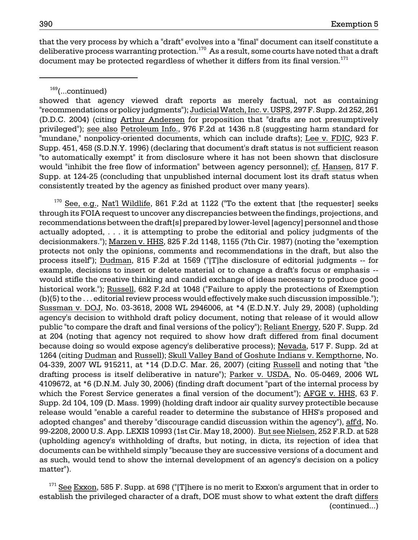that the very process by which a "draft" evolves into a "final" document can itself constitute a deliberative process warranting protection.<sup>170</sup> As a result, some courts have noted that a draft document may be protected regardless of whether it differs from its final version. $171$ 

169(...continued)

showed that agency viewed draft reports as merely factual, not as containing "recommendations or policy judgments"); Judicial Watch, Inc. v. USPS, 297 F. Supp. 2d 252, 261 (D.D.C. 2004) (citing Arthur Andersen for proposition that "drafts are not presumptively privileged"); see also Petroleum Info., 976 F.2d at 1436 n.8 (suggesting harm standard for "mundane," nonpolicy-oriented documents, which can include drafts); Lee v. FDIC, 923 F. Supp. 451, 458 (S.D.N.Y. 1996) (declaring that document's draft status is not sufficient reason "to automatically exempt" it from disclosure where it has not been shown that disclosure would "inhibit the free flow of information" between agency personnel); cf. Hansen, 817 F. Supp. at 124-25 (concluding that unpublished internal document lost its draft status when consistently treated by the agency as finished product over many years).

 $170$  See, e.g., Nat'l Wildlife, 861 F.2d at 1122 ("To the extent that [the requester] seeks through its FOIA request to uncover any discrepancies between the findings, projections, and recommendations between the draft[s] prepared by lower-level [agency] personnel and those actually adopted, . . . it is attempting to probe the editorial and policy judgments of the decisionmakers."); Marzen v. HHS, 825 F.2d 1148, 1155 (7th Cir. 1987) (noting the "exemption protects not only the opinions, comments and recommendations in the draft, but also the process itself"); Dudman, 815 F.2d at 1569 ("[T]he disclosure of editorial judgments -- for example, decisions to insert or delete material or to change a draft's focus or emphasis would stifle the creative thinking and candid exchange of ideas necessary to produce good historical work."); Russell, 682 F.2d at 1048 ("Failure to apply the protections of Exemption  $(b)(5)$  to the  $\dots$  editorial review process would effectively make such discussion impossible."); Sussman v. DOJ, No. 03-3618, 2008 WL 2946006, at \*4 (E.D.N.Y. July 29, 2008) (upholding agency's decision to withhold draft policy document, noting that release of it would allow public "to compare the draft and final versions of the policy"); Reliant Energy, 520 F. Supp. 2d at 204 (noting that agency not required to show how draft differed from final document because doing so would expose agency's deliberative process); Nevada, 517 F. Supp. 2d at 1264 (citing Dudman and Russell); Skull Valley Band of Goshute Indians v. Kempthorne, No. 04-339, 2007 WL 915211, at \*14 (D.D.C. Mar. 26, 2007) (citing Russell and noting that "the drafting process is itself deliberative in nature"); Parker v. USDA, No. 05-0469, 2006 WL 4109672, at \*6 (D.N.M. July 30, 2006) (finding draft document "part of the internal process by which the Forest Service generates a final version of the document"); AFGE v. HHS, 63 F. Supp. 2d 104, 109 (D. Mass. 1999) (holding draft indoor air quality survey protectible because release would "enable a careful reader to determine the substance of HHS's proposed and adopted changes" and thereby "discourage candid discussion within the agency"), aff'd, No. 99-2208, 2000 U.S. App. LEXIS 10993 (1st Cir. May 18, 2000). But see Nielsen, 252 F.R.D. at 528 (upholding agency's withholding of drafts, but noting, in dicta, its rejection of idea that documents can be withheld simply "because they are successive versions of a document and as such, would tend to show the internal development of an agency's decision on a policy matter").

 $171$  See Exxon, 585 F. Supp. at 698 ("[T]here is no merit to Exxon's argument that in order to establish the privileged character of a draft, DOE must show to what extent the draft differs (continued...)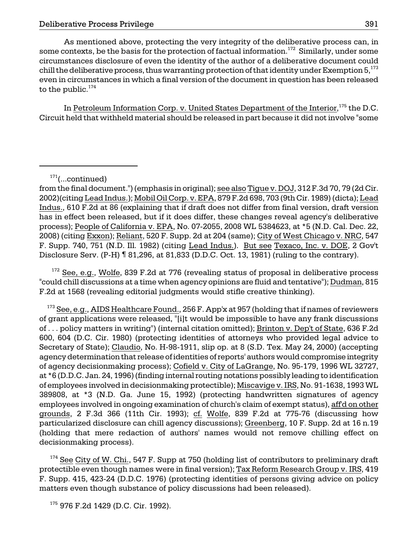As mentioned above, protecting the very integrity of the deliberative process can, in some contexts, be the basis for the protection of factual information.<sup>172</sup> Similarly, under some circumstances disclosure of even the identity of the author of a deliberative document could chill the deliberative process, thus warranting protection of that identity under Exemption  $5^{173}$ even in circumstances in which a final version of the document in question has been released to the public. $174$ 

In Petroleum Information Corp. v. United States Department of the Interior,<sup>175</sup> the D.C. Circuit held that withheld material should be released in part because it did not involve "some

 $172$  See, e.g., Wolfe, 839 F.2d at 776 (revealing status of proposal in deliberative process "could chill discussions at a time when agency opinions are fluid and tentative"); Dudman, 815 F.2d at 1568 (revealing editorial judgments would stifle creative thinking).

 $173$  See, e.g., AIDS Healthcare Found., 256 F. App'x at 957 (holding that if names of reviewers of grant applications were released, "[i]t would be impossible to have any frank discussions of . . . policy matters in writing") (internal citation omitted); Brinton v. Dep't of State, 636 F.2d 600, 604 (D.C. Cir. 1980) (protecting identities of attorneys who provided legal advice to Secretary of State); Claudio, No. H-98-1911, slip op. at 8 (S.D. Tex. May 24, 2000) (accepting agency determination that release of identities of reports' authors would compromise integrity of agency decisionmaking process); Cofield v. City of LaGrange, No. 95-179, 1996 WL 32727, at \*6 (D.D.C. Jan. 24, 1996) (finding internal routing notations possibly leading to identification of employees involved in decisionmaking protectible); Miscavige v. IRS, No. 91-1638, 1993 WL 389808, at \*3 (N.D. Ga. June 15, 1992) (protecting handwritten signatures of agency employees involved in ongoing examination of church's claim of exempt status), aff'd on other grounds, 2 F.3d 366 (11th Cir. 1993); cf. Wolfe, 839 F.2d at 775-76 (discussing how particularized disclosure can chill agency discussions); Greenberg, 10 F. Supp. 2d at 16 n.19 (holding that mere redaction of authors' names would not remove chilling effect on decisionmaking process).

 $174$  See City of W. Chi., 547 F. Supp at 750 (holding list of contributors to preliminary draft protectible even though names were in final version); Tax Reform Research Group v. IRS, 419 F. Supp. 415, 423-24 (D.D.C. 1976) (protecting identities of persons giving advice on policy matters even though substance of policy discussions had been released).

<sup>175</sup> 976 F.2d 1429 (D.C. Cir. 1992).

 $171$ (...continued)

from the final document.") (emphasis in original); see also Tigue v. DOJ, 312 F.3d 70, 79 (2d Cir. 2002)(citing Lead Indus.); Mobil Oil Corp. v. EPA, 879 F.2d 698, 703 (9th Cir. 1989) (dicta); Lead Indus., 610 F.2d at 86 (explaining that if draft does not differ from final version, draft version has in effect been released, but if it does differ, these changes reveal agency's deliberative process); People of California v. EPA, No. 07-2055, 2008 WL 5384623, at \*5 (N.D. Cal. Dec. 22, 2008) (citing Exxon); Reliant, 520 F. Supp. 2d at 204 (same); City of West Chicago v. NRC, 547 F. Supp. 740, 751 (N.D. Ill. 1982) (citing Lead Indus.). But see Texaco, Inc. v. DOE, 2 Gov't Disclosure Serv. (P-H) ¶ 81,296, at 81,833 (D.D.C. Oct. 13, 1981) (ruling to the contrary).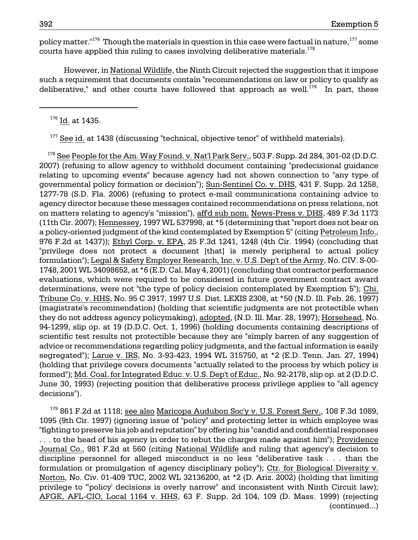courts have applied this ruling to cases involving deliberative materials. $^{178}$ policy matter. $176$  Though the materials in question in this case were factual in nature,  $177$  some

However, in National Wildlife, the Ninth Circuit rejected the suggestion that it impose such a requirement that documents contain "recommendations on law or policy to qualify as deliberative," and other courts have followed that approach as well.<sup>179</sup> In part, these

<sup>176</sup> Id. at 1435.

 $177$  See id. at 1438 (discussing "technical, objective tenor" of withheld materials).

formulation"); <u>Legal & Safety Employer Research, Inc. v. U.S. Dep't of the Army,</u> No. CIV. S-00- $178$  See People for the Am. Way Found. v. Nat'l Park Serv., 503 F. Supp. 2d 284, 301-02 (D.D.C. 2007) (refusing to allow agency to withhold document containing "predecisional guidance relating to upcoming events" because agency had not shown connection to "any type of governmental policy formation or decision"); Sun-Sentinel Co. v. DHS, 431 F. Supp. 2d 1258, 1277-78 (S.D. Fla. 2006) (refusing to protect e-mail communications containing advice to agency director because these messages contained recommendations on press relations, not on matters relating to agency's "mission"), aff'd sub nom. News-Press v. DHS, 489 F.3d 1173 (11th Cir. 2007); Hennessey, 1997 WL 537998, at \*5 (determining that "report does not bear on a policy-oriented judgment of the kind contemplated by Exemption 5" (citing Petroleum Info., 976 F.2d at 1437)); Ethyl Corp. v. EPA, 25 F.3d 1241, 1248 (4th Cir. 1994) (concluding that "privilege does not protect a document [that] is merely peripheral to actual policy 1748, 2001 WL 34098652, at \*6 (E.D. Cal. May 4, 2001) (concluding that contractor performance evaluations, which were required to be considered in future government contract award determinations, were not "the type of policy decision contemplated by Exemption 5"); Chi. Tribune Co. v. HHS, No. 95 C 3917, 1997 U.S. Dist. LEXIS 2308, at \*50 (N.D. Ill. Feb. 26, 1997) (magistrate's recommendation) (holding that scientific judgments are not protectible when they do not address agency policymaking), adopted, (N.D. Ill. Mar. 28, 1997); Horsehead, No. 94-1299, slip op. at 19 (D.D.C. Oct. 1, 1996) (holding documents containing descriptions of scientific test results not protectible because they are "simply barren of any suggestion of advice or recommendations regarding policy judgments, and the factual information is easily segregated"); Larue v. IRS, No. 3-93-423, 1994 WL 315750, at \*2 (E.D. Tenn. Jan. 27, 1994) (holding that privilege covers documents "actually related to the process by which policy is formed"); Md. Coal. for Integrated Educ. v. U.S. Dep't of Educ., No. 92-2178, slip op. at 2 (D.D.C. June 30, 1993) (rejecting position that deliberative process privilege applies to "all agency decisions").

 $179$  861 F.2d at 1118; see also Maricopa Audubon Soc'y v. U.S. Forest Serv., 108 F.3d 1089, 1095 (9th Cir. 1997) (ignoring issue of "policy" and protecting letter in which employee was "fighting to preserve his job and reputation" by offering his "candid and confidential responses . . . to the head of his agency in order to rebut the charges made against him"); Providence Journal Co., 981 F.2d at 560 (citing National Wildlife and ruling that agency's decision to discipline personnel for alleged misconduct is no less "deliberative task . . . than the formulation or promulgation of agency disciplinary policy"); Ctr. for Biological Diversity v. Norton, No. Civ. 01-409 TUC, 2002 WL 32136200, at \*2 (D. Ariz. 2002) (holding that limiting privilege to "'policy' decisions is overly narrow" and inconsistent with Ninth Circuit law); AFGE, AFL-CIO, Local 1164 v. HHS, 63 F. Supp. 2d 104, 109 (D. Mass. 1999) (rejecting (continued...)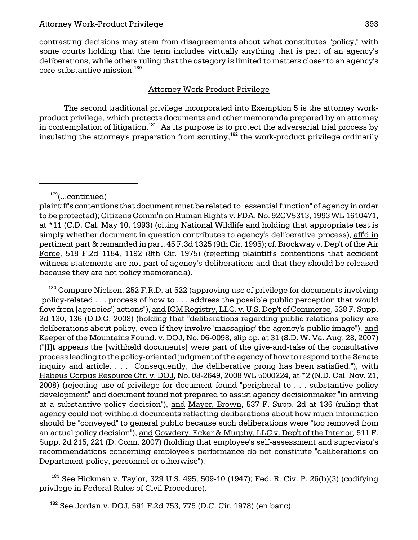contrasting decisions may stem from disagreements about what constitutes "policy," with some courts holding that the term includes virtually anything that is part of an agency's deliberations, while others ruling that the category is limited to matters closer to an agency's core substantive mission. $^{180}$ 

## Attorney Work-Product Privilege

The second traditional privilege incorporated into Exemption 5 is the attorney workproduct privilege, which protects documents and other memoranda prepared by an attorney in contemplation of litigation.<sup>181</sup> As its purpose is to protect the adversarial trial process by insulating the attorney's preparation from scrutiny,<sup>182</sup> the work-product privilege ordinarily

 $^{180}$  Compare Nielsen, 252 F.R.D. at 522 (approving use of privilege for documents involving "policy-related . . . process of how to . . . address the possible public perception that would flow from [agencies'] actions"), and ICM Registry, LLC. v. U.S. Dep't of Commerce, 538 F. Supp. 2d 130, 136 (D.D.C. 2008) (holding that "deliberations regarding public relations policy are deliberations about policy, even if they involve 'massaging' the agency's public image"), and Keeper of the Mountains Found. v. DOJ, No. 06-0098, slip op. at 31 (S.D. W. Va. Aug. 28, 2007) ("[I]t appears the [withheld documents] were part of the give-and-take of the consultative process leading to the policy-oriented judgment of the agency of how to respond to the Senate inquiry and article. . . . Consequently, the deliberative prong has been satisfied."), with Habeus Corpus Resource Ctr. v. DOJ, No. 08-2649, 2008 WL 5000224, at \*2 (N.D. Cal. Nov. 21, 2008) (rejecting use of privilege for document found "peripheral to . . . substantive policy development" and document found not prepared to assist agency decisionmaker "in arriving at a substantive policy decision"), and Mayer, Brown, 537 F. Supp. 2d at 136 (ruling that agency could not withhold documents reflecting deliberations about how much information should be "conveyed" to general public because such deliberations were "too removed from an actual policy decision"), and Cowdery, Ecker & Murphy, LLC v. Dep't of the Interior, 511 F. Supp. 2d 215, 221 (D. Conn. 2007) (holding that employee's self-assessment and supervisor's recommendations concerning employee's performance do not constitute "deliberations on Department policy, personnel or otherwise").

 $181$  See Hickman v. Taylor, 329 U.S. 495, 509-10 (1947); Fed. R. Civ. P. 26(b)(3) (codifying privilege in Federal Rules of Civil Procedure).

<sup>182</sup> See Jordan v. DOJ, 591 F.2d 753, 775 (D.C. Cir. 1978) (en banc).

 $179$ (...continued)

plaintiff's contentions that document must be related to "essential function" of agency in order to be protected); Citizens Comm'n on Human Rights v. FDA, No. 92CV5313, 1993 WL 1610471, at \*11 (C.D. Cal. May 10, 1993) (citing National Wildlife and holding that appropriate test is simply whether document in question contributes to agency's deliberative process), aff'd in pertinent part & remanded in part, 45 F.3d 1325 (9th Cir. 1995); cf. Brockway v. Dep't of the Air Force, 518 F.2d 1184, 1192 (8th Cir. 1975) (rejecting plaintiff's contentions that accident witness statements are not part of agency's deliberations and that they should be released because they are not policy memoranda).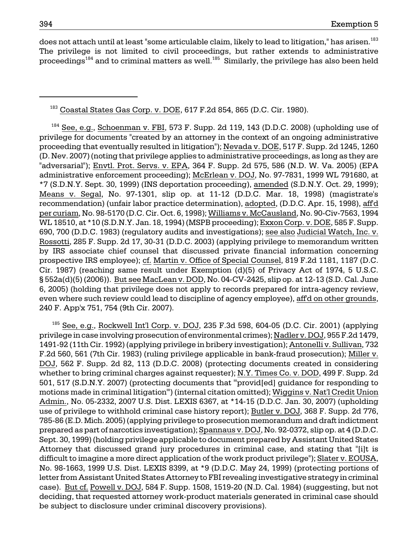does not attach until at least "some articulable claim, likely to lead to litigation," has arisen.<sup>183</sup> The privilege is not limited to civil proceedings, but rather extends to administrative proceedings<sup>184</sup> and to criminal matters as well.<sup>185</sup> Similarly, the privilege has also been held

<sup>183</sup> Coastal States Gas Corp. v. DOE, 617 F.2d 854, 865 (D.C. Cir. 1980).

 $184$  See, e.g., Schoenman v. FBI, 573 F. Supp. 2d 119, 143 (D.D.C. 2008) (upholding use of privilege for documents "created by an attorney in the context of an ongoing administrative proceeding that eventually resulted in litigation"); Nevada v. DOE, 517 F. Supp. 2d 1245, 1260 (D. Nev. 2007) (noting that privilege applies to administrative proceedings, as long as they are "adversarial"); Envtl. Prot. Servs. v. EPA, 364 F. Supp. 2d 575, 586 (N.D. W. Va. 2005) (EPA administrative enforcement proceeding); McErlean v. DOJ, No. 97-7831, 1999 WL 791680, at \*7 (S.D.N.Y. Sept. 30, 1999) (INS deportation proceeding), amended (S.D.N.Y. Oct. 29, 1999); Means v. Segal, No. 97-1301, slip op. at 11-12 (D.D.C. Mar. 18, 1998) (magistrate's recommendation) (unfair labor practice determination), adopted, (D.D.C. Apr. 15, 1998), aff'd per curiam, No. 98-5170 (D.C. Cir. Oct. 6, 1998); Williams v. McCausland, No. 90-Civ-7563, 1994 WL 18510, at \*10 (S.D.N.Y. Jan. 18, 1994) (MSPB proceeding); Exxon Corp. v. DOE, 585 F. Supp. 690, 700 (D.D.C. 1983) (regulatory audits and investigations); see also Judicial Watch, Inc. v. Rossotti, 285 F. Supp. 2d 17, 30-31 (D.D.C. 2003) (applying privilege to memorandum written by IRS associate chief counsel that discussed private financial information concerning prospective IRS employee); cf. Martin v. Office of Special Counsel, 819 F.2d 1181, 1187 (D.C. Cir. 1987) (reaching same result under Exemption (d)(5) of Privacy Act of 1974, 5 U.S.C. § 552a(d)(5) (2006)). But see MacLean v. DOD, No. 04-CV-2425, slip op. at 12-13 (S.D. Cal. June 6, 2005) (holding that privilege does not apply to records prepared for intra-agency review, even where such review could lead to discipline of agency employee), aff'd on other grounds, 240 F. App'x 751, 754 (9th Cir. 2007).

 $185$  See, e.g., Rockwell Int<sup>'</sup>l Corp. v. DOJ, 235 F.3d 598, 604-05 (D.C. Cir. 2001) (applying privilege in case involving prosecution of environmental crimes); Nadler v. DOJ, 955 F.2d 1479, 1491-92 (11th Cir. 1992) (applying privilege in bribery investigation); Antonelli v. Sullivan, 732 F.2d 560, 561 (7th Cir. 1983) (ruling privilege applicable in bank-fraud prosecution); Miller v. DOJ, 562 F. Supp. 2d 82, 113 (D.D.C. 2008) (protecting documents created in considering whether to bring criminal charges against requester); N.Y. Times Co. v. DOD, 499 F. Supp. 2d 501, 517 (S.D.N.Y. 2007) (protecting documents that "'provid[ed] guidance for responding to motions made in criminal litigation'") (internal citation omitted); Wiggins v. Nat'l Credit Union Admin., No. 05-2332, 2007 U.S. Dist. LEXIS 6367, at \*14-15 (D.D.C. Jan. 30, 2007) (upholding use of privilege to withhold criminal case history report); Butler v. DOJ, 368 F. Supp. 2d 776, 785-86 (E.D. Mich. 2005) (applying privilege to prosecution memorandum and draft indictment prepared as part of narcotics investigation); Spannaus v. DOJ, No. 92-0372, slip op. at 4 (D.D.C. Sept. 30, 1999) (holding privilege applicable to document prepared by Assistant United States Attorney that discussed grand jury procedures in criminal case, and stating that "[i]t is difficult to imagine a more direct application of the work product privilege"); Slater v. EOUSA, No. 98-1663, 1999 U.S. Dist. LEXIS 8399, at \*9 (D.D.C. May 24, 1999) (protecting portions of letter from Assistant United States Attorney to FBI revealing investigative strategy in criminal case). But cf. Powell v. DOJ, 584 F. Supp. 1508, 1519-20 (N.D. Cal. 1984) (suggesting, but not deciding, that requested attorney work-product materials generated in criminal case should be subject to disclosure under criminal discovery provisions).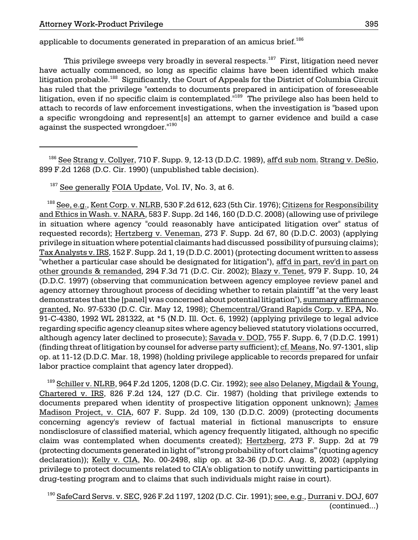applicable to documents generated in preparation of an amicus brief.<sup>186</sup>

This privilege sweeps very broadly in several respects.<sup>187</sup> First, litigation need never have actually commenced, so long as specific claims have been identified which make litigation probable.<sup>188</sup> Significantly, the Court of Appeals for the District of Columbia Circuit has ruled that the privilege "extends to documents prepared in anticipation of foreseeable litigation, even if no specific claim is contemplated.<sup>"189</sup> The privilege also has been held to attach to records of law enforcement investigations, when the investigation is "based upon a specific wrongdoing and represent[s] an attempt to garner evidence and build a case against the suspected wrongdoer.<sup>"190</sup>

 $186$  See Strang v. Collyer, 710 F. Supp. 9, 12-13 (D.D.C. 1989), affd sub nom. Strang v. DeSio, 899 F.2d 1268 (D.C. Cir. 1990) (unpublished table decision).

<sup>187</sup> See generally FOIA Update, Vol. IV, No. 3, at 6.

 $^{188}$  See, e.g., Kent Corp. v. NLRB, 530 F.2d 612, 623 (5th Cir. 1976); Citizens for Responsibility and Ethics in Wash. v. NARA, 583 F. Supp. 2d 146, 160 (D.D.C. 2008) (allowing use of privilege in situation where agency "could reasonably have anticipated litigation over" status of requested records); Hertzberg v. Veneman, 273 F. Supp. 2d 67, 80 (D.D.C. 2003) (applying privilege in situation where potential claimants had discussed possibility of pursuing claims); Tax Analysts v. IRS, 152 F. Supp. 2d 1, 19 (D.D.C. 2001) (protecting document written to assess "whether a particular case should be designated for litigation"), aff'd in part, rev'd in part on other grounds & remanded, 294 F.3d 71 (D.C. Cir. 2002); Blazy v. Tenet, 979 F. Supp. 10, 24 (D.D.C. 1997) (observing that communication between agency employee review panel and agency attorney throughout process of deciding whether to retain plaintiff "at the very least demonstrates that the [panel] was concerned about potential litigation"), summary affirmance granted, No. 97-5330 (D.C. Cir. May 12, 1998); Chemcentral/Grand Rapids Corp. v. EPA, No. 91-C-4380, 1992 WL 281322, at \*5 (N.D. Ill. Oct. 6, 1992) (applying privilege to legal advice regarding specific agency cleanup sites where agency believed statutory violations occurred, although agency later declined to prosecute); Savada v. DOD, 755 F. Supp. 6, 7 (D.D.C. 1991) (finding threat of litigation by counsel for adverse party sufficient); cf. Means, No. 97-1301, slip op. at 11-12 (D.D.C. Mar. 18, 1998) (holding privilege applicable to records prepared for unfair labor practice complaint that agency later dropped).

<sup>189</sup> Schiller v. NLRB, 964 F.2d 1205, 1208 (D.C. Cir. 1992); <u>see also Delaney, Migdail & Young,</u> Chartered v. IRS, 826 F.2d 124, 127 (D.C. Cir. 1987) (holding that privilege extends to documents prepared when identity of prospective litigation opponent unknown); James Madison Project, v. CIA, 607 F. Supp. 2d 109, 130 (D.D.C. 2009) (protecting documents concerning agency's review of factual material in fictional manuscripts to ensure nondisclosure of classified material, which agency frequently litigated, although no specific claim was contemplated when documents created); Hertzberg, 273 F. Supp. 2d at 79 (protecting documents generated in light of "'strong probability of tort claims'" (quoting agency declaration)); Kelly v. CIA, No. 00-2498, slip op. at 32-36 (D.D.C. Aug. 8, 2002) (applying privilege to protect documents related to CIA's obligation to notify unwitting participants in drug-testing program and to claims that such individuals might raise in court).

<sup>190</sup> SafeCard Servs. v. SEC, 926 F.2d 1197, 1202 (D.C. Cir. 1991); see, e.g., Durrani v. DOJ, 607 (continued...)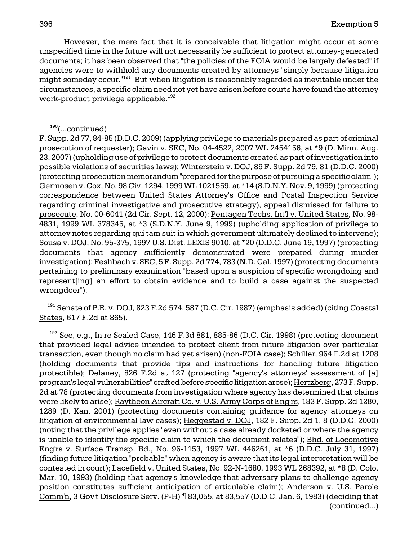However, the mere fact that it is conceivable that litigation might occur at some unspecified time in the future will not necessarily be sufficient to protect attorney-generated documents; it has been observed that "the policies of the FOIA would be largely defeated" if agencies were to withhold any documents created by attorneys "simply because litigation might someday occur."<sup>191</sup> But when litigation is reasonably regarded as inevitable under the circumstances, a specific claim need not yet have arisen before courts have found the attorney work-product privilege applicable.<sup>192</sup>

<sup>191</sup> Senate of P.R. v. DOJ, 823 F.2d 574, 587 (D.C. Cir. 1987) (emphasis added) (citing Coastal States, 617 F.2d at 865).

 $192$  See, e.g., In re Sealed Case, 146 F.3d 881, 885-86 (D.C. Cir. 1998) (protecting document that provided legal advice intended to protect client from future litigation over particular transaction, even though no claim had yet arisen) (non-FOIA case); Schiller, 964 F.2d at 1208 (holding documents that provide tips and instructions for handling future litigation protectible); Delaney, 826 F.2d at 127 (protecting "agency's attorneys' assessment of [a] program's legal vulnerabilities" crafted before specific litigation arose); Hertzberg, 273 F. Supp. 2d at 78 (protecting documents from investigation where agency has determined that claims were likely to arise); Raytheon Aircraft Co. v. U.S. Army Corps of Eng'rs, 183 F. Supp. 2d 1280, 1289 (D. Kan. 2001) (protecting documents containing guidance for agency attorneys on litigation of environmental law cases); Heggestad v. DOJ, 182 F. Supp. 2d 1, 8 (D.D.C. 2000) (noting that the privilege applies "even without a case already docketed or where the agency is unable to identify the specific claim to which the document relates"); Bhd. of Locomotive Eng'rs v. Surface Transp. Bd., No. 96-1153, 1997 WL 446261, at \*6 (D.D.C. July 31, 1997) (finding future litigation "probable" when agency is aware that its legal interpretation will be contested in court); Lacefield v. United States, No. 92-N-1680, 1993 WL 268392, at \*8 (D. Colo. Mar. 10, 1993) (holding that agency's knowledge that adversary plans to challenge agency position constitutes sufficient anticipation of articulable claim); Anderson v. U.S. Parole Comm'n, 3 Gov't Disclosure Serv. (P-H) ¶ 83,055, at 83,557 (D.D.C. Jan. 6, 1983) (deciding that (continued...)

 $190$ (...continued)

F. Supp. 2d 77, 84-85 (D.D.C. 2009) (applying privilege to materials prepared as part of criminal prosecution of requester); Gavin v. SEC, No. 04-4522, 2007 WL 2454156, at \*9 (D. Minn. Aug. 23, 2007) (upholding use of privilege to protect documents created as part of investigation into possible violations of securities laws); Winterstein v. DOJ, 89 F. Supp. 2d 79, 81 (D.D.C. 2000) (protecting prosecution memorandum "prepared for the purpose of pursuing a specific claim"); Germosen v. Cox, No. 98 Civ. 1294, 1999 WL 1021559, at \*14 (S.D.N.Y. Nov. 9, 1999) (protecting correspondence between United States Attorney's Office and Postal Inspection Service regarding criminal investigative and prosecutive strategy), appeal dismissed for failure to prosecute, No. 00-6041 (2d Cir. Sept. 12, 2000); Pentagen Techs. Int'l v. United States, No. 98- 4831, 1999 WL 378345, at \*3 (S.D.N.Y. June 9, 1999) (upholding application of privilege to attorney notes regarding qui tam suit in which government ultimately declined to intervene); Sousa v. DOJ, No. 95-375, 1997 U.S. Dist. LEXIS 9010, at \*20 (D.D.C. June 19, 1997) (protecting documents that agency sufficiently demonstrated were prepared during murder investigation); Feshbach v. SEC, 5 F. Supp. 2d 774, 783 (N.D. Cal. 1997) (protecting documents pertaining to preliminary examination "based upon a suspicion of specific wrongdoing and represent[ing] an effort to obtain evidence and to build a case against the suspected wrongdoer").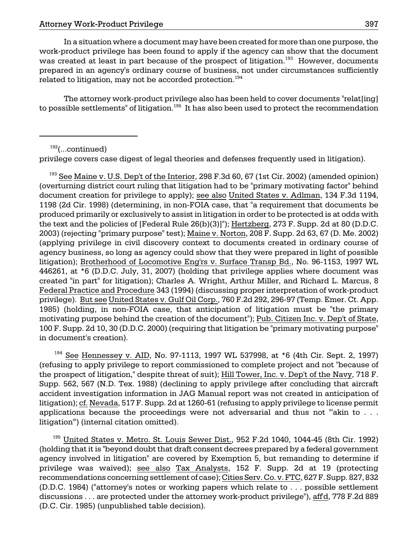In a situation where a document may have been created for more than one purpose, the work-product privilege has been found to apply if the agency can show that the document was created at least in part because of the prospect of litigation.<sup>193</sup> However, documents prepared in an agency's ordinary course of business, not under circumstances sufficiently related to litigation, may not be accorded protection. $^{194}$ 

The attorney work-product privilege also has been held to cover documents "relat[ing] to possible settlements" of litigation.<sup>195</sup> It has also been used to protect the recommendation

 $192$ (...continued)

privilege covers case digest of legal theories and defenses frequently used in litigation).

<sup>193</sup> See Maine v. U.S. Dep't of the Interior, 298 F.3d 60, 67 (1st Cir. 2002) (amended opinion) (overturning district court ruling that litigation had to be "primary motivating factor" behind document creation for privilege to apply); see also United States v. Adlman, 134 F.3d 1194, 1198 (2d Cir. 1998) (determining, in non-FOIA case, that "a requirement that documents be produced primarily or exclusively to assist in litigation in order to be protected is at odds with the text and the policies of [Federal Rule 26(b)(3)]"); Hertzberg, 273 F. Supp. 2d at 80 (D.D.C. 2003) (rejecting "primary purpose" test); Maine v. Norton, 208 F. Supp. 2d 63, 67 (D. Me. 2002) (applying privilege in civil discovery context to documents created in ordinary course of agency business, so long as agency could show that they were prepared in light of possible litigation); Brotherhood of Locomotive Eng'rs v. Surface Transp Bd., No. 96-1153, 1997 WL 446261, at \*6 (D.D.C. July, 31, 2007) (holding that privilege applies where document was created "in part" for litigation); Charles A. Wright, Arthur Miller, and Richard L. Marcus, 8 Federal Practice and Procedure 343 (1994) (discussing proper interpretation of work-product privilege). But see United States v. Gulf Oil Corp., 760 F.2d 292, 296-97 (Temp. Emer. Ct. App. 1985) (holding, in non-FOIA case, that anticipation of litigation must be "the primary motivating purpose behind the creation of the document"); Pub. Citizen Inc. v. Dep't of State, 100 F. Supp. 2d 10, 30 (D.D.C. 2000) (requiring that litigation be "primary motivating purpose" in document's creation).

<sup>194</sup> See Hennessey v. AID, No. 97-1113, 1997 WL 537998, at \*6 (4th Cir. Sept. 2, 1997) (refusing to apply privilege to report commissioned to complete project and not "because of the prospect of litigation," despite threat of suit); Hill Tower, Inc. v. Dep't of the Navy, 718 F. Supp. 562, 567 (N.D. Tex. 1988) (declining to apply privilege after concluding that aircraft accident investigation information in JAG Manual report was not created in anticipation of litigation); cf. Nevada, 517 F. Supp. 2d at 1260-61 (refusing to apply privilege to license permit applications because the proceedings were not adversarial and thus not "'akin to . . . litigation'") (internal citation omitted).

 $195$  United States v. Metro. St. Louis Sewer Dist., 952 F.2d 1040, 1044-45 (8th Cir. 1992) (holding that it is "beyond doubt that draft consent decrees prepared by a federal government agency involved in litigation" are covered by Exemption 5, but remanding to determine if privilege was waived); see also Tax Analysts, 152 F. Supp. 2d at 19 (protecting recommendations concerning settlement of case); Cities Serv. Co. v. FTC, 627 F. Supp. 827, 832 (D.D.C. 1984) ("attorney's notes or working papers which relate to . . . possible settlement discussions . . . are protected under the attorney work-product privilege"), affd, 778 F.2d 889 (D.C. Cir. 1985) (unpublished table decision).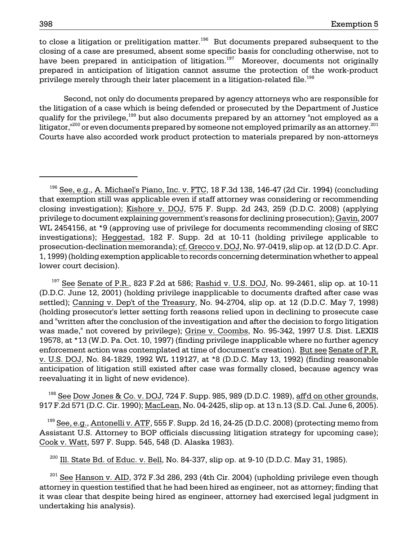to close a litigation or prelitigation matter.<sup>196</sup> But documents prepared subsequent to the closing of a case are presumed, absent some specific basis for concluding otherwise, not to have been prepared in anticipation of litigation.<sup>197</sup> Moreover, documents not originally prepared in anticipation of litigation cannot assume the protection of the work-product privilege merely through their later placement in a litigation-related file.<sup>198</sup>

Second, not only do documents prepared by agency attorneys who are responsible for the litigation of a case which is being defended or prosecuted by the Department of Justice qualify for the privilege,<sup>199</sup> but also documents prepared by an attorney "not employed as a litigator, $^{1200}$  or even documents prepared by someone not employed primarily as an attorney.<sup>201</sup> Courts have also accorded work product protection to materials prepared by non-attorneys

 $197$  See Senate of P.R., 823 F.2d at 586; Rashid v. U.S. DOJ, No. 99-2461, slip op. at 10-11 (D.D.C. June 12, 2001) (holding privilege inapplicable to documents drafted after case was settled); Canning v. Dep't of the Treasury, No. 94-2704, slip op. at 12 (D.D.C. May 7, 1998) (holding prosecutor's letter setting forth reasons relied upon in declining to prosecute case and "written after the conclusion of the investigation and after the decision to forgo litigation was made," not covered by privilege); Grine v. Coombs, No. 95-342, 1997 U.S. Dist. LEXIS 19578, at \*13 (W.D. Pa. Oct. 10, 1997) (finding privilege inapplicable where no further agency enforcement action was contemplated at time of document's creation). But see Senate of P.R. v. U.S. DOJ, No. 84-1829, 1992 WL 119127, at \*8 (D.D.C. May 13, 1992) (finding reasonable anticipation of litigation still existed after case was formally closed, because agency was reevaluating it in light of new evidence).

 $198$  See Dow Jones & Co. v. DOJ, 724 F. Supp. 985, 989 (D.D.C. 1989), affd on other grounds, 917 F.2d 571 (D.C. Cir. 1990); MacLean, No. 04-2425, slip op. at 13 n.13 (S.D. Cal. June 6, 2005).

 $199$  See, e.g., Antonelli v. ATF, 555 F. Supp. 2d 16, 24-25 (D.D.C. 2008) (protecting memo from Assistant U.S. Attorney to BOP officials discussing litigation strategy for upcoming case); Cook v. Watt, 597 F. Supp. 545, 548 (D. Alaska 1983).

 $^{200}$  Ill. State Bd. of Educ. v. Bell, No. 84-337, slip op. at 9-10 (D.D.C. May 31, 1985).

 $^{201}$  See Hanson v. AID, 372 F.3d 286, 293 (4th Cir. 2004) (upholding privilege even though attorney in question testified that he had been hired as engineer, not as attorney; finding that it was clear that despite being hired as engineer, attorney had exercised legal judgment in undertaking his analysis).

 $196$  See, e.g., A. Michael's Piano, Inc. v. FTC, 18 F.3d 138, 146-47 (2d Cir. 1994) (concluding that exemption still was applicable even if staff attorney was considering or recommending closing investigation); Kishore v. DOJ, 575 F. Supp. 2d 243, 259 (D.D.C. 2008) (applying privilege to document explaining government's reasons for declining prosecution); Gavin, 2007 WL 2454156, at \*9 (approving use of privilege for documents recommending closing of SEC investigations); Heggestad, 182 F. Supp. 2d at 10-11 (holding privilege applicable to prosecution-declination memoranda); cf. Grecco v. DOJ, No. 97-0419, slip op. at 12 (D.D.C. Apr. 1, 1999) (holding exemption applicable to records concerning determination whether to appeal lower court decision).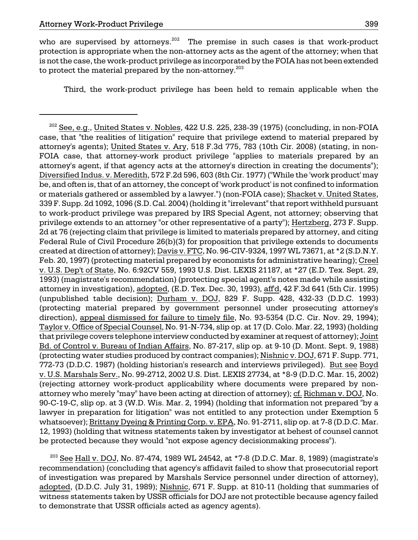who are supervised by attorneys.<sup>202</sup> The premise in such cases is that work-product protection is appropriate when the non-attorney acts as the agent of the attorney; when that is not the case, the work-product privilege as incorporated by the FOIA has not been extended to protect the material prepared by the non-attorney. $^{203}$ 

Third, the work-product privilege has been held to remain applicable when the

 $^{203}$  See Hall v. DOJ, No. 87-474, 1989 WL 24542, at \*7-8 (D.D.C. Mar. 8, 1989) (magistrate's recommendation) (concluding that agency's affidavit failed to show that prosecutorial report of investigation was prepared by Marshals Service personnel under direction of attorney), adopted, (D.D.C. July 31, 1989); Nishnic, 671 F. Supp. at 810-11 (holding that summaries of witness statements taken by USSR officials for DOJ are not protectible because agency failed to demonstrate that USSR officials acted as agency agents).

 $202$  See, e.g., United States v. Nobles, 422 U.S. 225, 238-39 (1975) (concluding, in non-FOIA case, that "the realities of litigation" require that privilege extend to material prepared by attorney's agents); United States v. Ary, 518 F.3d 775, 783 (10th Cir. 2008) (stating, in non-FOIA case, that attorney-work product privilege "applies to materials prepared by an attorney's agent, if that agency acts at the attorney's direction in creating the documents"); Diversified Indus. v. Meredith, 572 F.2d 596, 603 (8th Cir. 1977) ("While the 'work product' may be, and often is, that of an attorney, the concept of 'work product' is not confined to information or materials gathered or assembled by a lawyer.") (non-FOIA case); Shacket v. United States, 339 F. Supp. 2d 1092, 1096 (S.D. Cal. 2004) (holding it "irrelevant" that report withheld pursuant to work-product privilege was prepared by IRS Special Agent, not attorney; observing that privilege extends to an attorney "or other representative of a party"); Hertzberg, 273 F. Supp. 2d at 76 (rejecting claim that privilege is limited to materials prepared by attorney, and citing Federal Rule of Civil Procedure 26(b)(3) for proposition that privilege extends to documents created at direction of attorney); Davis v. FTC, No. 96-CIV-9324, 1997 WL 73671, at \*2 (S.D.N.Y. Feb. 20, 1997) (protecting material prepared by economists for administrative hearing); Creel v. U.S. Dep't of State, No. 6:92CV 559, 1993 U.S. Dist. LEXIS 21187, at \*27 (E.D. Tex. Sept. 29, 1993) (magistrate's recommendation) (protecting special agent's notes made while assisting attorney in investigation), adopted, (E.D. Tex. Dec. 30, 1993), aff'd, 42 F.3d 641 (5th Cir. 1995) (unpublished table decision); Durham v. DOJ, 829 F. Supp. 428, 432-33 (D.D.C. 1993) (protecting material prepared by government personnel under prosecuting attorney's direction), appeal dismissed for failure to timely file, No. 93-5354 (D.C. Cir. Nov. 29, 1994); Taylor v. Office of Special Counsel, No. 91-N-734, slip op. at 17 (D. Colo. Mar. 22, 1993) (holding that privilege covers telephone interview conducted by examiner at request of attorney); Joint Bd. of Control v. Bureau of Indian Affairs, No. 87-217, slip op. at 9-10 (D. Mont. Sept. 9, 1988) (protecting water studies produced by contract companies); Nishnic v. DOJ, 671 F. Supp. 771, 772-73 (D.D.C. 1987) (holding historian's research and interviews privileged). But see Boyd v. U.S. Marshals Serv., No. 99-2712, 2002 U.S. Dist. LEXIS 27734, at \*8-9 (D.D.C. Mar. 15, 2002) (rejecting attorney work-product applicability where documents were prepared by nonattorney who merely "may" have been acting at direction of attorney); cf. Richman v. DOJ, No. 90-C-19-C, slip op. at 3 (W.D. Wis. Mar. 2, 1994) (holding that information not prepared "by a lawyer in preparation for litigation" was not entitled to any protection under Exemption 5 whatsoever); Brittany Dyeing & Printing Corp. v. EPA, No. 91-2711, slip op. at 7-8 (D.D.C. Mar. 12, 1993) (holding that witness statements taken by investigator at behest of counsel cannot be protected because they would "not expose agency decisionmaking process").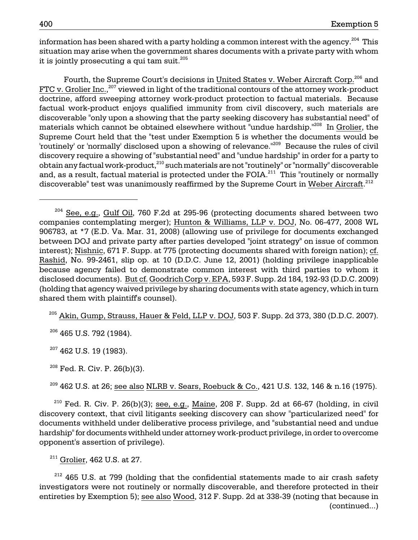information has been shared with a party holding a common interest with the agency.<sup>204</sup> This situation may arise when the government shares documents with a private party with whom it is jointly prosecuting a qui tam suit. $^{205}$ 

Fourth, the Supreme Court's decisions in United States v. Weber Aircraft Corp.<sup>206</sup> and FTC v. Grolier Inc.,<sup>207</sup> viewed in light of the traditional contours of the attorney work-product doctrine, afford sweeping attorney work-product protection to factual materials. Because factual work-product enjoys qualified immunity from civil discovery, such materials are discoverable "only upon a showing that the party seeking discovery has substantial need" of materials which cannot be obtained elsewhere without "undue hardship."<sup>208</sup> In Grolier, the Supreme Court held that the "test under Exemption 5 is whether the documents would be 'routinely' or 'normally' disclosed upon a showing of relevance."<sup>209</sup> Because the rules of civil discovery require a showing of "substantial need" and "undue hardship" in order for a party to obtain any factual work-product,<sup>210</sup> such materials are not "routinely" or "normally" discoverable and, as a result, factual material is protected under the FOIA.<sup>211</sup> This "routinely or normally discoverable" test was unanimously reaffirmed by the Supreme Court in Weber Aircraft.<sup>212</sup>

 $^{205}$  Akin, Gump, Strauss, Hauer & Feld, LLP v. DOJ, 503 F. Supp. 2d 373, 380 (D.D.C. 2007).

 $206$  465 U.S. 792 (1984).

 $207$  462 U.S. 19 (1983).

 $208$  Fed. R. Civ. P. 26(b)(3).

 $^{209}$  462 U.S. at 26; see also NLRB v. Sears, Roebuck & Co., 421 U.S. 132, 146 & n.16 (1975).

 $2^{210}$  Fed. R. Civ. P. 26(b)(3); see, e.g., Maine, 208 F. Supp. 2d at 66-67 (holding, in civil discovery context, that civil litigants seeking discovery can show "particularized need" for documents withheld under deliberative process privilege, and "substantial need and undue hardship" for documents withheld under attorney work-product privilege, in order to overcome opponent's assertion of privilege).

<sup>211</sup> Grolier, 462 U.S. at 27.

 $212$  465 U.S. at 799 (holding that the confidential statements made to air crash safety investigators were not routinely or normally discoverable, and therefore protected in their entireties by Exemption 5); see also Wood, 312 F. Supp. 2d at 338-39 (noting that because in (continued...)

<sup>204</sup> See, e.g., Gulf Oil, 760 F.2d at 295-96 (protecting documents shared between two companies contemplating merger); Hunton & Williams, LLP v. DOJ, No. 06-477, 2008 WL 906783, at \*7 (E.D. Va. Mar. 31, 2008) (allowing use of privilege for documents exchanged between DOJ and private party after parties developed "joint strategy" on issue of common interest); Nishnic, 671 F. Supp. at 775 (protecting documents shared with foreign nation); cf. Rashid, No. 99-2461, slip op. at 10 (D.D.C. June 12, 2001) (holding privilege inapplicable because agency failed to demonstrate common interest with third parties to whom it disclosed documents). But cf. Goodrich Corp v. EPA, 593 F. Supp. 2d 184, 192-93 (D.D.C. 2009) (holding that agency waived privilege by sharing documents with state agency, which in turn shared them with plaintiff's counsel).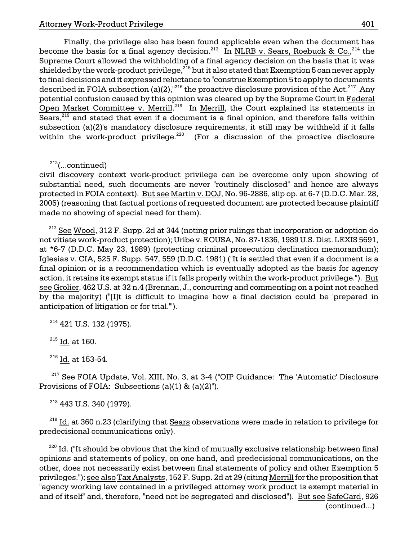Finally, the privilege also has been found applicable even when the document has become the basis for a final agency decision.<sup>213</sup> In NLRB v. Sears, Roebuck & Co.,<sup>214</sup> the Supreme Court allowed the withholding of a final agency decision on the basis that it was shielded by the work-product privilege, $^{215}$  but it also stated that Exemption 5 can never apply to final decisions and it expressed reluctance to "construe Exemption 5 to apply to documents described in FOIA subsection (a)(2),<sup>"216</sup> the proactive disclosure provision of the Act.<sup>217</sup> Any potential confusion caused by this opinion was cleared up by the Supreme Court in Federal Open Market Committee v. Merrill.<sup>218</sup> In Merrill, the Court explained its statements in Sears, $219$  and stated that even if a document is a final opinion, and therefore falls within subsection (a)(2)'s mandatory disclosure requirements, it still may be withheld if it falls within the work-product privilege. $220$  (For a discussion of the proactive disclosure

 $212$ (...continued)

 $213$  See Wood, 312 F. Supp. 2d at 344 (noting prior rulings that incorporation or adoption do not vitiate work-product protection); Uribe v. EOUSA, No. 87-1836, 1989 U.S. Dist. LEXIS 5691, at \*6-7 (D.D.C. May 23, 1989) (protecting criminal prosecution declination memorandum); Iglesias v. CIA, 525 F. Supp. 547, 559 (D.D.C. 1981) ("It is settled that even if a document is a final opinion or is a recommendation which is eventually adopted as the basis for agency action, it retains its exempt status if it falls properly within the work-product privilege."). But see Grolier, 462 U.S. at 32 n.4 (Brennan, J., concurring and commenting on a point not reached by the majority) ("[I]t is difficult to imagine how a final decision could be 'prepared in anticipation of litigation or for trial.'").

<sup>214</sup> 421 U.S. 132 (1975).

 $215$  Id. at 160.

<sup>216</sup> Id. at 153-54.

 $217$  See FOIA Update, Vol. XIII, No. 3, at 3-4 ("OIP Guidance: The 'Automatic' Disclosure Provisions of FOIA: Subsections (a)(1) & (a)(2)").

 $218$  443 U.S. 340 (1979).

 $219$  Id. at 360 n.23 (clarifying that Sears observations were made in relation to privilege for predecisional communications only).

<sup>220</sup> Id. ("It should be obvious that the kind of mutually exclusive relationship between final opinions and statements of policy, on one hand, and predecisional communications, on the other, does not necessarily exist between final statements of policy and other Exemption 5 privileges."); see also Tax Analysts, 152 F. Supp. 2d at 29 (citing Merrill for the proposition that "agency working law contained in a privileged attorney work product is exempt material in and of itself" and, therefore, "need not be segregated and disclosed"). But see SafeCard, 926 (continued...)

civil discovery context work-product privilege can be overcome only upon showing of substantial need, such documents are never "routinely disclosed" and hence are always protected in FOIA context). But see Martin v. DOJ, No. 96-2886, slip op. at 6-7 (D.D.C. Mar. 28, 2005) (reasoning that factual portions of requested document are protected because plaintiff made no showing of special need for them).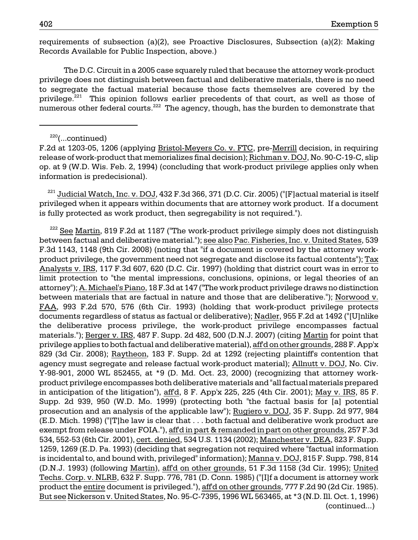requirements of subsection (a)(2), see Proactive Disclosures, Subsection (a)(2): Making Records Available for Public Inspection, above.)

The D.C. Circuit in a 2005 case squarely ruled that because the attorney work-product privilege does not distinguish between factual and deliberative materials, there is no need to segregate the factual material because those facts themselves are covered by the privilege.<sup>221</sup> This opinion follows earlier precedents of that court, as well as those of numerous other federal courts.<sup>222</sup> The agency, though, has the burden to demonstrate that

 $221$  Judicial Watch, Inc. v. DOJ, 432 F.3d 366, 371 (D.C. Cir. 2005) ("[F]actual material is itself privileged when it appears within documents that are attorney work product. If a document is fully protected as work product, then segregability is not required.").

 $222$  See Martin, 819 F.2d at 1187 ("The work-product privilege simply does not distinguish between factual and deliberative material."); see also Pac. Fisheries, Inc. v. United States, 539 F.3d 1143, 1148 (9th Cir. 2008) (noting that "if a document is covered by the attorney workproduct privilege, the government need not segregate and disclose its factual contents"); Tax Analysts v. IRS, 117 F.3d 607, 620 (D.C. Cir. 1997) (holding that district court was in error to limit protection to "the mental impressions, conclusions, opinions, or legal theories of an attorney"); A. Michael's Piano, 18 F.3d at 147 ("The work product privilege draws no distinction between materials that are factual in nature and those that are deliberative."); Norwood v. FAA, 993 F.2d 570, 576 (6th Cir. 1993) (holding that work-product privilege protects documents regardless of status as factual or deliberative); Nadler, 955 F.2d at 1492 ("[U]nlike the deliberative process privilege, the work-product privilege encompasses factual materials."); Berger v. IRS, 487 F. Supp. 2d 482, 500 (D.N.J. 2007) (citing Martin for point that privilege applies to both factual and deliberative material), aff'd on other grounds, 288 F. App'x 829 (3d Cir. 2008); Raytheon, 183 F. Supp. 2d at 1292 (rejecting plaintiff's contention that agency must segregate and release factual work-product material); Allnutt v. DOJ, No. Civ. Y-98-901, 2000 WL 852455, at \*9 (D. Md. Oct. 23, 2000) (recognizing that attorney workproduct privilege encompasses both deliberative materials and "all factual materials prepared in anticipation of the litigation"), affd, 8 F. App'x 225, 225 (4th Cir. 2001); May v. IRS, 85 F. Supp. 2d 939, 950 (W.D. Mo. 1999) (protecting both "the factual basis for [a] potential prosecution and an analysis of the applicable law"); Rugiero v. DOJ, 35 F. Supp. 2d 977, 984 (E.D. Mich. 1998) ("[T]he law is clear that . . . both factual and deliberative work product are exempt from release under FOIA."), aff'd in part & remanded in part on other grounds, 257 F.3d 534, 552-53 (6th Cir. 2001), cert. denied, 534 U.S. 1134 (2002); Manchester v. DEA, 823 F. Supp. 1259, 1269 (E.D. Pa. 1993) (deciding that segregation not required where "factual information is incidental to, and bound with, privileged" information); Manna v. DOJ, 815 F. Supp. 798, 814 (D.N.J. 1993) (following Martin), aff'd on other grounds, 51 F.3d 1158 (3d Cir. 1995); United Techs. Corp. v. NLRB, 632 F. Supp. 776, 781 (D. Conn. 1985) ("[I]f a document is attorney work product the entire document is privileged."), aff'd on other grounds, 777 F.2d 90 (2d Cir. 1985). But see Nickerson v. United States, No. 95-C-7395, 1996 WL 563465, at \*3 (N.D. Ill. Oct. 1, 1996) (continued...)

 $220$ (...continued)

F.2d at 1203-05, 1206 (applying Bristol-Meyers Co. v. FTC, pre-Merrill decision, in requiring release of work-product that memorializes final decision); Richman v. DOJ, No. 90-C-19-C, slip op. at 9 (W.D. Wis. Feb. 2, 1994) (concluding that work-product privilege applies only when information is predecisional).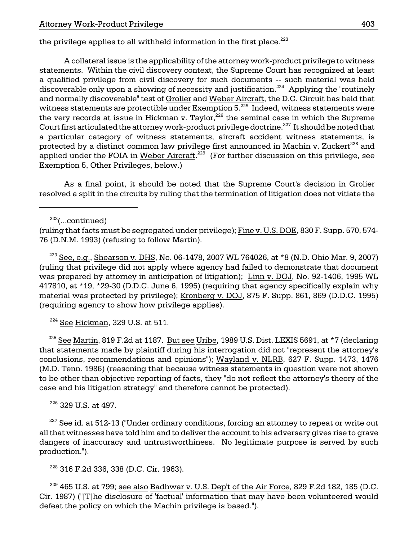the privilege applies to all withheld information in the first place.<sup>223</sup>

A collateral issue is the applicability of the attorney work-product privilege to witness statements. Within the civil discovery context, the Supreme Court has recognized at least a qualified privilege from civil discovery for such documents -- such material was held discoverable only upon a showing of necessity and justification.<sup>224</sup> Applying the "routinely and normally discoverable" test of Grolier and Weber Aircraft, the D.C. Circuit has held that witness statements are protectible under Exemption 5.<sup>225</sup> Indeed, witness statements were the very records at issue in  $Hickman$  v. Taylor,<sup>226</sup> the seminal case in which the Supreme Court first articulated the attorney work-product privilege doctrine.<sup>227</sup> It should be noted that a particular category of witness statements, aircraft accident witness statements, is protected by a distinct common law privilege first announced in Machin v. Zuckert<sup>228</sup> and applied under the FOIA in Weber Aircraft.<sup>229</sup> (For further discussion on this privilege, see Exemption 5, Other Privileges, below.)

As a final point, it should be noted that the Supreme Court's decision in Grolier resolved a split in the circuits by ruling that the termination of litigation does not vitiate the

(ruling that facts must be segregated under privilege); Fine v. U.S. DOE, 830 F. Supp. 570, 574- 76 (D.N.M. 1993) (refusing to follow Martin).

<sup>223</sup> See, e.g., Shearson v. DHS, No. 06-1478, 2007 WL 764026, at  $*8$  (N.D. Ohio Mar. 9, 2007) (ruling that privilege did not apply where agency had failed to demonstrate that document was prepared by attorney in anticipation of litigation); Linn v. DOJ, No. 92-1406, 1995 WL 417810, at \*19, \*29-30 (D.D.C. June 6, 1995) (requiring that agency specifically explain why material was protected by privilege); Kronberg v. DOJ, 875 F. Supp. 861, 869 (D.D.C. 1995) (requiring agency to show how privilege applies).

 $224$  See Hickman, 329 U.S. at 511.

 $^{225}$  See Martin, 819 F.2d at 1187. But see Uribe, 1989 U.S. Dist. LEXIS 5691, at \*7 (declaring that statements made by plaintiff during his interrogation did not "represent the attorney's conclusions, recommendations and opinions"); Wayland v. NLRB, 627 F. Supp. 1473, 1476 (M.D. Tenn. 1986) (reasoning that because witness statements in question were not shown to be other than objective reporting of facts, they "do not reflect the attorney's theory of the case and his litigation strategy" and therefore cannot be protected).

<sup>226</sup> 329 U.S. at 497.

 $227$  See id. at 512-13 ("Under ordinary conditions, forcing an attorney to repeat or write out all that witnesses have told him and to deliver the account to his adversary gives rise to grave dangers of inaccuracy and untrustworthiness. No legitimate purpose is served by such production.").

<sup>228</sup> 316 F.2d 336, 338 (D.C. Cir. 1963).

 $^{229}$  465 U.S. at 799; see also Badhwar v. U.S. Dep't of the Air Force, 829 F.2d 182, 185 (D.C. Cir. 1987) ("[T]he disclosure of 'factual' information that may have been volunteered would defeat the policy on which the Machin privilege is based.").

 $222$ (...continued)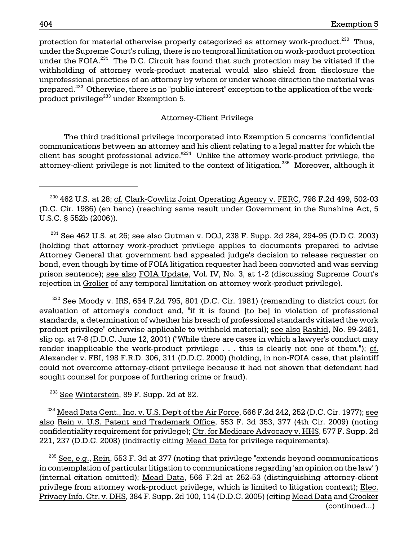protection for material otherwise properly categorized as attorney work-product.<sup>230</sup> Thus, under the Supreme Court's ruling, there is no temporal limitation on work-product protection under the FOIA. $^{231}$  The D.C. Circuit has found that such protection may be vitiated if the withholding of attorney work-product material would also shield from disclosure the unprofessional practices of an attorney by whom or under whose direction the material was prepared.<sup>232</sup> Otherwise, there is no "public interest" exception to the application of the workproduct privilege $^{233}$  under Exemption 5.

#### Attorney-Client Privilege

The third traditional privilege incorporated into Exemption 5 concerns "confidential communications between an attorney and his client relating to a legal matter for which the client has sought professional advice. $1234$  Unlike the attorney work-product privilege, the attorney-client privilege is not limited to the context of litigation.<sup>235</sup> Moreover, although it

 $^{231}$  See 462 U.S. at 26; see also Gutman v. DOJ, 238 F. Supp. 2d 284, 294-95 (D.D.C. 2003) (holding that attorney work-product privilege applies to documents prepared to advise Attorney General that government had appealed judge's decision to release requester on bond, even though by time of FOIA litigation requester had been convicted and was serving prison sentence); see also FOIA Update, Vol. IV, No. 3, at 1-2 (discussing Supreme Court's rejection in Grolier of any temporal limitation on attorney work-product privilege).

 $232$  See Moody v. IRS, 654 F.2d 795, 801 (D.C. Cir. 1981) (remanding to district court for evaluation of attorney's conduct and, "if it is found [to be] in violation of professional standards, a determination of whether his breach of professional standards vitiated the work product privilege" otherwise applicable to withheld material); see also Rashid, No. 99-2461, slip op. at 7-8 (D.D.C. June 12, 2001) ("While there are cases in which a lawyer's conduct may render inapplicable the work-product privilege . . . this is clearly not one of them."); cf. Alexander v. FBI, 198 F.R.D. 306, 311 (D.D.C. 2000) (holding, in non-FOIA case, that plaintiff could not overcome attorney-client privilege because it had not shown that defendant had sought counsel for purpose of furthering crime or fraud).

 $233$  See Winterstein, 89 F. Supp. 2d at 82.

 $^{234}$  Mead Data Cent., Inc. v. U.S. Dep't of the Air Force, 566 F.2d 242, 252 (D.C. Cir. 1977); see also Rein v. U.S. Patent and Trademark Office, 553 F. 3d 353, 377 (4th Cir. 2009) (noting confidentiality requirement for privilege); Ctr. for Medicare Advocacy v. HHS, 577 F. Supp. 2d 221, 237 (D.D.C. 2008) (indirectly citing Mead Data for privilege requirements).

 $^{235}$  See, e.g., Rein, 553 F. 3d at 377 (noting that privilege "extends beyond communications" in contemplation of particular litigation to communications regarding 'an opinion on the law'") (internal citation omitted); Mead Data, 566 F.2d at 252-53 (distinguishing attorney-client privilege from attorney work-product privilege, which is limited to litigation context); Elec. Privacy Info. Ctr. v. DHS, 384 F. Supp. 2d 100, 114 (D.D.C. 2005) (citing Mead Data and Crooker (continued...)

 $^{230}$  462 U.S. at 28; cf. Clark-Cowlitz Joint Operating Agency v. FERC, 798 F.2d 499, 502-03 (D.C. Cir. 1986) (en banc) (reaching same result under Government in the Sunshine Act, 5 U.S.C. § 552b (2006)).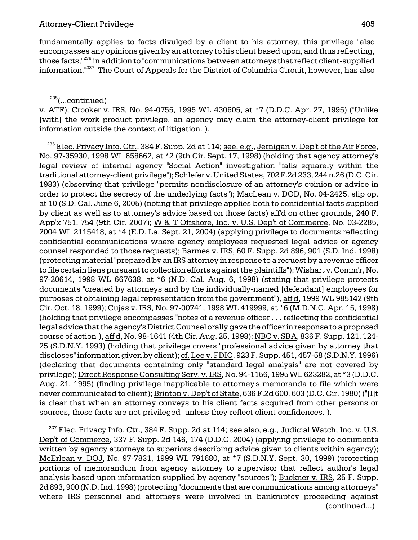fundamentally applies to facts divulged by a client to his attorney, this privilege "also encompasses any opinions given by an attorney to his client based upon, and thus reflecting, those facts,<sup>"236</sup> in addition to "communications between attorneys that reflect client-supplied information.<sup>"237</sup> The Court of Appeals for the District of Columbia Circuit, however, has also

 $235$ (...continued)

v. ATF); Crooker v. IRS, No. 94-0755, 1995 WL 430605, at \*7 (D.D.C. Apr. 27, 1995) ("Unlike [with] the work product privilege, an agency may claim the attorney-client privilege for information outside the context of litigation.").

 $^{236}$  Elec. Privacy Info. Ctr., 384 F. Supp. 2d at 114; see, e.g., Jernigan v. Dep't of the Air Force, No. 97-35930, 1998 WL 658662, at \*2 (9th Cir. Sept. 17, 1998) (holding that agency attorney's legal review of internal agency "Social Action" investigation "falls squarely within the traditional attorney-client privilege"); Schlefer v. United States, 702 F.2d 233, 244 n.26 (D.C. Cir. 1983) (observing that privilege "permits nondisclosure of an attorney's opinion or advice in order to protect the secrecy of the underlying facts"); MacLean v. DOD, No. 04-2425, slip op. at 10 (S.D. Cal. June 6, 2005) (noting that privilege applies both to confidential facts supplied by client as well as to attorney's advice based on those facts) aff'd on other grounds, 240 F. App'x 751, 754 (9th Cir. 2007); W & T Offshore, Inc. v. U.S. Dep't of Commerce, No. 03-2285, 2004 WL 2115418, at \*4 (E.D. La. Sept. 21, 2004) (applying privilege to documents reflecting confidential communications where agency employees requested legal advice or agency counsel responded to those requests); Barmes v. IRS, 60 F. Supp. 2d 896, 901 (S.D. Ind. 1998) (protecting material "prepared by an IRS attorney in response to a request by a revenue officer to file certain liens pursuant to collection efforts against the plaintiffs"); Wishart v. Comm'r, No. 97-20614, 1998 WL 667638, at \*6 (N.D. Cal. Aug. 6, 1998) (stating that privilege protects documents "created by attorneys and by the individually-named [defendant] employees for purposes of obtaining legal representation from the government"), aff'd, 1999 WL 985142 (9th Cir. Oct. 18, 1999); Cujas v. IRS, No. 97-00741, 1998 WL 419999, at \*6 (M.D.N.C. Apr. 15, 1998) (holding that privilege encompasses "notes of a revenue officer . . . reflecting the confidential legal advice that the agency's District Counsel orally gave the officer in response to a proposed course of action"), affd, No. 98-1641 (4th Cir. Aug. 25, 1998); NBC v. SBA, 836 F. Supp. 121, 124-25 (S.D.N.Y. 1993) (holding that privilege covers "professional advice given by attorney that discloses" information given by client); cf. Lee v. FDIC, 923 F. Supp. 451, 457-58 (S.D.N.Y. 1996) (declaring that documents containing only "standard legal analysis" are not covered by privilege); Direct Response Consulting Serv. v. IRS, No. 94-1156, 1995 WL 623282, at \*3 (D.D.C. Aug. 21, 1995) (finding privilege inapplicable to attorney's memoranda to file which were never communicated to client); Brinton v. Dep't of State, 636 F.2d 600, 603 (D.C. Cir. 1980) ("[I]t is clear that when an attorney conveys to his client facts acquired from other persons or sources, those facts are not privileged" unless they reflect client confidences.").

 $237$  Elec. Privacy Info. Ctr., 384 F. Supp. 2d at 114; see also, e.g., Judicial Watch, Inc. v. U.S. Dep't of Commerce, 337 F. Supp. 2d 146, 174 (D.D.C. 2004) (applying privilege to documents written by agency attorneys to superiors describing advice given to clients within agency); McErlean v. DOJ, No. 97-7831, 1999 WL 791680, at \*7 (S.D.N.Y. Sept. 30, 1999) (protecting portions of memorandum from agency attorney to supervisor that reflect author's legal analysis based upon information supplied by agency "sources"); Buckner v. IRS, 25 F. Supp. 2d 893, 900 (N.D. Ind. 1998) (protecting "documents that are communications among attorneys" where IRS personnel and attorneys were involved in bankruptcy proceeding against (continued...)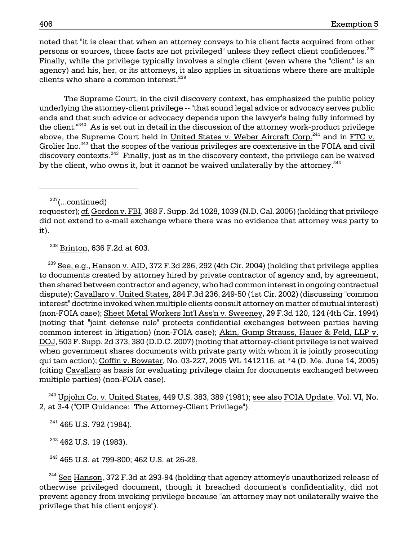clients who share a common interest.<sup>239</sup> noted that "it is clear that when an attorney conveys to his client facts acquired from other persons or sources, those facts are not privileged" unless they reflect client confidences.<sup>238</sup> Finally, while the privilege typically involves a single client (even where the "client" is an agency) and his, her, or its attorneys, it also applies in situations where there are multiple

discovery contexts.<sup>243</sup> Finally, just as in the discovery context, the privilege can be waived The Supreme Court, in the civil discovery context, has emphasized the public policy underlying the attorney-client privilege -- "that sound legal advice or advocacy serves public ends and that such advice or advocacy depends upon the lawyer's being fully informed by the client."<sup>240</sup> As is set out in detail in the discussion of the attorney work-product privilege above, the Supreme Court held in United States v. Weber Aircraft Corp. $^{241}$  and in FTC v. Grolier Inc.<sup>242</sup> that the scopes of the various privileges are coextensive in the FOIA and civil by the client, who owns it, but it cannot be waived unilaterally by the attorney.<sup>244</sup>

 $237$ (...continued)

238 Brinton, 636 F.2d at 603.

 (non-FOIA case); Sheet Metal Workers Int'l Ass'n v. Sweeney, 29 F.3d 120, 124 (4th Cir. 1994) common interest in litigation) (non-FOIA case); Akin, Gump Strauss, Hauer & Feld, LLP v. multiple parties) (non-FOIA case).  $^{239}$  See, e.g., Hanson v. AID, 372 F.3d 286, 292 (4th Cir. 2004) (holding that privilege applies to documents created by attorney hired by private contractor of agency and, by agreement, then shared between contractor and agency, who had common interest in ongoing contractual dispute); Cavallaro v. United States, 284 F.3d 236, 249-50 (1st Cir. 2002) (discussing "common interest" doctrine invoked when multiple clients consult attorney on matter of mutual interest) (noting that "joint defense rule" protects confidential exchanges between parties having DOJ, 503 F. Supp. 2d 373, 380 (D.D.C. 2007) (noting that attorney-client privilege is not waived when government shares documents with private party with whom it is jointly prosecuting qui tam action); Coffin v. Bowater, No. 03-227, 2005 WL 1412116, at \*4 (D. Me. June 14, 2005) (citing Cavallaro as basis for evaluating privilege claim for documents exchanged between

 $^{240}$  Upjohn Co. v. United States, 449 U.S. 383, 389 (1981); s<u>ee also FOIA Update,</u> Vol. VI, No. 2, at 3-4 ("OIP Guidance: The Attorney-Client Privilege").

<sup>241</sup> 465 U.S. 792 (1984).

 $242$  462 U.S. 19 (1983).

<sup>243</sup> 465 U.S. at 799-800; 462 U.S. at 26-28.

 prevent agency from invoking privilege because "an attorney may not unilaterally waive the  $^{244}$  See Hanson, 372 F.3d at 293-94 (holding that agency attorney's unauthorized release of otherwise privileged document, though it breached document's confidentiality, did not privilege that his client enjoys").

requester); cf. Gordon v. FBI, 388 F. Supp. 2d 1028, 1039 (N.D. Cal. 2005) (holding that privilege did not extend to e-mail exchange where there was no evidence that attorney was party to it).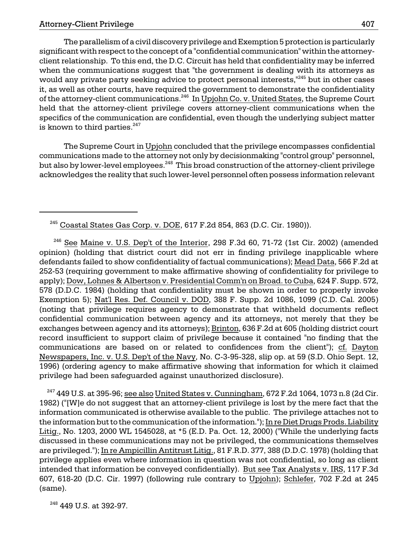of the attorney-client communications.<sup>246</sup> In <u>Upjohn Co. v. United States</u>, the Supreme Court The parallelism of a civil discovery privilege and Exemption 5 protection is particularly significant with respect to the concept of a "confidential communication" within the attorneyclient relationship. To this end, the D.C. Circuit has held that confidentiality may be inferred when the communications suggest that "the government is dealing with its attorneys as would any private party seeking advice to protect personal interests,<sup>"245</sup> but in other cases it, as well as other courts, have required the government to demonstrate the confidentiality held that the attorney-client privilege covers attorney-client communications when the specifics of the communication are confidential, even though the underlying subject matter is known to third parties. $247$ 

but also by lower-level employees.<sup>248</sup> This broad construction of the attorney-client privilege The Supreme Court in Upjohn concluded that the privilege encompasses confidential communications made to the attorney not only by decisionmaking "control group" personnel, acknowledges the reality that such lower-level personnel often possess information relevant

 Exemption 5); Nat'l Res. Def. Council v. DOD, 388 F. Supp. 2d 1086, 1099 (C.D. Cal. 2005) exchanges between agency and its attorneys); <u>Brinton,</u> 636 F.2d at 605 (holding district court Newspapers, Inc. v. U.S. Dep't of the Navy, No. C-3-95-328, slip op. at 59 (S.D. Ohio Sept. 12,  $246$  See Maine v. U.S. Dep't of the Interior, 298 F.3d 60, 71-72 (1st Cir. 2002) (amended opinion) (holding that district court did not err in finding privilege inapplicable where defendants failed to show confidentiality of factual communications); Mead Data, 566 F.2d at 252-53 (requiring government to make affirmative showing of confidentiality for privilege to apply); Dow, Lohnes & Albertson v. Presidential Comm'n on Broad. to Cuba, 624 F. Supp. 572, 578 (D.D.C. 1984) (holding that confidentiality must be shown in order to properly invoke (noting that privilege requires agency to demonstrate that withheld documents reflect confidential communication between agency and its attorneys, not merely that they be record insufficient to support claim of privilege because it contained "no finding that the communications are based on or related to confidences from the client"); cf. Dayton 1996) (ordering agency to make affirmative showing that information for which it claimed privilege had been safeguarded against unauthorized disclosure).

intended that information be conveyed confidentially). <u>But see Tax Analysts v. IRS,</u> 117 F.3d  $^{247}$  449 U.S. at 395-96; see also United States v. Cunningham, 672 F.2d 1064, 1073 n.8 (2d Cir. 1982) ("[W]e do not suggest that an attorney-client privilege is lost by the mere fact that the information communicated is otherwise available to the public. The privilege attaches not to the information but to the communication of the information."); In re Diet Drugs Prods. Liability Litig., No. 1203, 2000 WL 1545028, at \*5 (E.D. Pa. Oct. 12, 2000) ("While the underlying facts discussed in these communications may not be privileged, the communications themselves are privileged."); In re Ampicillin Antitrust Litig., 81 F.R.D. 377, 388 (D.D.C. 1978) (holding that privilege applies even where information in question was not confidential, so long as client 607, 618-20 (D.C. Cir. 1997) (following rule contrary to Upjohn); Schlefer, 702 F.2d at 245 (same).

<sup>248</sup> 449 U.S. at 392-97.

<sup>245</sup> Coastal States Gas Corp. v. DOE, 617 F.2d 854, 863 (D.C. Cir. 1980)).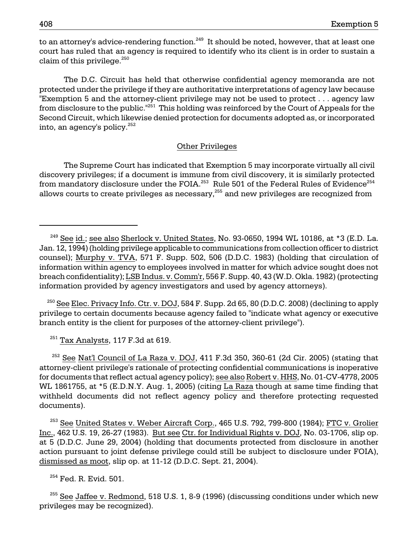to an attorney's advice-rendering function.<sup>249</sup> It should be noted, however, that at least one court has ruled that an agency is required to identify who its client is in order to sustain a claim of this privilege. $^{250}$ 

into, an agency's policy. $^{252}$ The D.C. Circuit has held that otherwise confidential agency memoranda are not protected under the privilege if they are authoritative interpretations of agency law because "Exemption 5 and the attorney-client privilege may not be used to protect . . . agency law from disclosure to the public."<sup>251</sup> This holding was reinforced by the Court of Appeals for the Second Circuit, which likewise denied protection for documents adopted as, or incorporated

#### Other Privileges

from mandatory disclosure under the FOIA. $^{253}\,$  Rule 501 of the Federal Rules of Evidence $^{254}\,$ The Supreme Court has indicated that Exemption 5 may incorporate virtually all civil discovery privileges; if a document is immune from civil discovery, it is similarly protected allows courts to create privileges as necessary,<sup>255</sup> and new privileges are recognized from

 $^{250}$  See Elec. Privacy Info. Ctr. v. DOJ, 584 F. Supp. 2d 65, 80 (D.D.C. 2008) (declining to apply privilege to certain documents because agency failed to "indicate what agency or executive branch entity is the client for purposes of the attorney-client privilege").

 $251$  Tax Analysts, 117 F.3d at 619.

 $252$  See Nat'l Council of La Raza v. DOJ, 411 F.3d 350, 360-61 (2d Cir. 2005) (stating that attorney-client privilege's rationale of protecting confidential communications is inoperative for documents that reflect actual agency policy); see also Robert v. HHS, No. 01-CV-4778, 2005 WL 1861755, at \*5 (E.D.N.Y. Aug. 1, 2005) (citing La Raza though at same time finding that withheld documents did not reflect agency policy and therefore protecting requested documents).

 $^{253}$  See United States v. Weber Aircraft Corp., 465 U.S. 792, 799-800 (1984); FTC v. Grolier Inc., 462 U.S. 19, 26-27 (1983). But see Ctr. for Individual Rights v. DOJ, No. 03-1706, slip op. at 5 (D.D.C. June 29, 2004) (holding that documents protected from disclosure in another action pursuant to joint defense privilege could still be subject to disclosure under FOIA), dismissed as moot, slip op. at 11-12 (D.D.C. Sept. 21, 2004).

 $254$  Fed. R. Evid. 501.

 $^{255}$  See Jaffee v. Redmond, 518 U.S. 1, 8-9 (1996) (discussing conditions under which new privileges may be recognized).

 $^{249}$  See id.; see also Sherlock v. United States, No. 93-0650, 1994 WL 10186, at \*3 (E.D. La. Jan. 12, 1994) (holding privilege applicable to communications from collection officer to district counsel); Murphy v. TVA, 571 F. Supp. 502, 506 (D.D.C. 1983) (holding that circulation of information within agency to employees involved in matter for which advice sought does not breach confidentiality); LSB Indus. v. Comm'r, 556 F. Supp. 40, 43 (W.D. Okla. 1982) (protecting information provided by agency investigators and used by agency attorneys).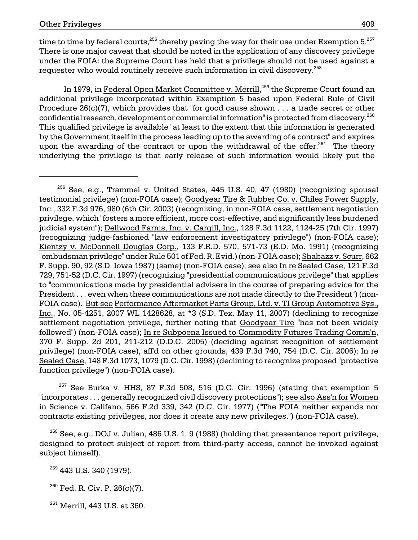time to time by federal courts,<sup>256</sup> thereby paving the way for their use under Exemption  $5.^{257}$ There is one major caveat that should be noted in the application of any discovery privilege under the FOIA: the Supreme Court has held that a privilege should not be used against a requester who would routinely receive such information in civil discovery.<sup>258</sup>

In 1979, in Federal Open Market Committee v. Merrill,<sup>259</sup> the Supreme Court found an additional privilege incorporated within Exemption 5 based upon Federal Rule of Civil Procedure  $26(c)(7)$ , which provides that "for good cause shown . . . a trade secret or other confidential research, development or commercial information" is protected from discovery.<sup>260</sup> This qualified privilege is available "at least to the extent that this information is generated by the Government itself in the process leading up to the awarding of a contract" and expires upon the awarding of the contract or upon the withdrawal of the offer.<sup>261</sup> The theory underlying the privilege is that early release of such information would likely put the

<sup>257</sup> See Burka v. HHS, 87 F.3d 508, 516 (D.C. Cir. 1996) (stating that exemption 5 "incorporates . . . generally recognized civil discovery protections"); see also Ass'n for Women in Science v. Califano, 566 F.2d 339, 342 (D.C. Cir. 1977) ("The FOIA neither expands nor contracts existing privileges, nor does it create any new privileges.") (non-FOIA case).

 $^{258}$  See, e.g., DOJ v. Julian, 486 U.S. 1, 9 (1988) (holding that presentence report privilege, designed to protect subject of report from third-party access, cannot be invoked against subject himself).

<sup>259</sup> 443 U.S. 340 (1979).

 $^{260}$  Fed. R. Civ. P. 26(c)(7).

 $^{261}$  Merrill, 443 U.S. at 360.

 $256$  See, e.g., Trammel v. United States, 445 U.S. 40, 47 (1980) (recognizing spousal testimonial privilege) (non-FOIA case); Goodyear Tire & Rubber Co. v. Chiles Power Supply, Inc., 332 F.3d 976, 980 (6th Cir. 2003) (recognizing, in non-FOIA case, settlement negotiation privilege, which "fosters a more efficient, more cost-effective, and significantly less burdened judicial system"); Dellwood Farms, Inc. v. Cargill, Inc., 128 F.3d 1122, 1124-25 (7th Cir. 1997) (recognizing judge-fashioned "law enforcement investigatory privilege") (non-FOIA case); Kientzy v. McDonnell Douglas Corp., 133 F.R.D. 570, 571-73 (E.D. Mo. 1991) (recognizing "ombudsman privilege" under Rule 501 of Fed. R. Evid.) (non-FOIA case); Shabazz v. Scurr, 662 F. Supp. 90, 92 (S.D. Iowa 1987) (same) (non-FOIA case); see also In re Sealed Case, 121 F.3d 729, 751-52 (D.C. Cir. 1997) (recognizing "presidential communications privilege" that applies to "communications made by presidential advisers in the course of preparing advice for the President . . . even when these communications are not made directly to the President") (non-FOIA case). But see Performance Aftermarket Parts Group, Ltd. v. TI Group Automotive Sys., Inc., No. 05-4251, 2007 WL 1428628, at \*3 (S.D. Tex. May 11, 2007) (declining to recognize settlement negotiation privilege, further noting that Goodyear Tire "has not been widely followed") (non-FOIA case); In re Subpoena Issued to Commodity Futures Trading Comm'n, 370 F. Supp. 2d 201, 211-212 (D.D.C. 2005) (deciding against recognition of settlement privilege) (non-FOIA case), aff'd on other grounds, 439 F.3d 740, 754 (D.C. Cir. 2006); In re Sealed Case, 148 F.3d 1073, 1079 (D.C. Cir. 1998) (declining to recognize proposed "protective function privilege") (non-FOIA case).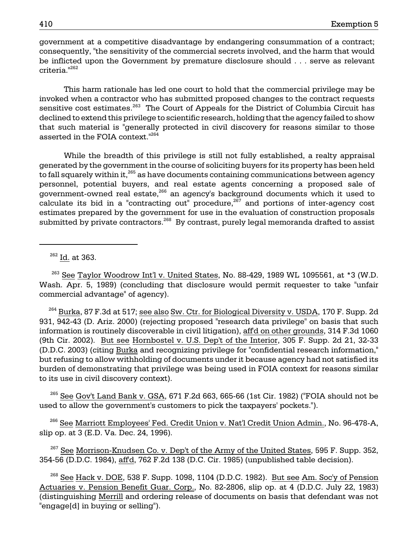government at a competitive disadvantage by endangering consummation of a contract; consequently, "the sensitivity of the commercial secrets involved, and the harm that would be inflicted upon the Government by premature disclosure should . . . serve as relevant criteria."<sup>262</sup>

This harm rationale has led one court to hold that the commercial privilege may be invoked when a contractor who has submitted proposed changes to the contract requests sensitive cost estimates.<sup>263</sup> The Court of Appeals for the District of Columbia Circuit has declined to extend this privilege to scientific research, holding that the agency failed to show that such material is "generally protected in civil discovery for reasons similar to those asserted in the FOIA context."<sup>264</sup>

While the breadth of this privilege is still not fully established, a realty appraisal generated by the government in the course of soliciting buyers for its property has been held to fall squarely within it,<sup>265</sup> as have documents containing communications between agency personnel, potential buyers, and real estate agents concerning a proposed sale of government-owned real estate,<sup>266</sup> an agency's background documents which it used to calculate its bid in a "contracting out" procedure,  $267$  and portions of inter-agency cost estimates prepared by the government for use in the evaluation of construction proposals submitted by private contractors. 268 By contrast, purely legal memoranda drafted to assist

 $262$  Id. at 363.

 $^{263}$  See Taylor Woodrow Int'l v. United States, No. 88-429, 1989 WL 1095561, at \*3 (W.D. Wash. Apr. 5, 1989) (concluding that disclosure would permit requester to take "unfair commercial advantage" of agency).

<sup>264</sup> Burka, 87 F.3d at 517; see also Sw. Ctr. for Biological Diversity v. USDA, 170 F. Supp. 2d 931, 942-43 (D. Ariz. 2000) (rejecting proposed "research data privilege" on basis that such information is routinely discoverable in civil litigation), aff'd on other grounds, 314 F.3d 1060 (9th Cir. 2002). But see Hornbostel v. U.S. Dep't of the Interior, 305 F. Supp. 2d 21, 32-33 (D.D.C. 2003) (citing Burka and recognizing privilege for "confidential research information," but refusing to allow withholding of documents under it because agency had not satisfied its burden of demonstrating that privilege was being used in FOIA context for reasons similar to its use in civil discovery context).

 $^{265}$  See Gov't Land Bank v. GSA, 671 F.2d 663, 665-66 (1st Cir. 1982) ("FOIA should not be used to allow the government's customers to pick the taxpayers' pockets.").

 266 See Marriott Employees' Fed. Credit Union v. Nat'l Credit Union Admin., No. 96-478-A, slip op. at 3 (E.D. Va. Dec. 24, 1996).

 $267$  See Morrison-Knudsen Co. v. Dep't of the Army of the United States, 595 F. Supp. 352, 354-56 (D.D.C. 1984), aff'd, 762 F.2d 138 (D.C. Cir. 1985) (unpublished table decision).

 $^{268}$  See Hack v. DOE, 538 F. Supp. 1098, 1104 (D.D.C. 1982). But see Am. Soc'y of Pension Actuaries v. Pension Benefit Guar. Corp., No. 82-2806, slip op. at 4 (D.D.C. July 22, 1983) (distinguishing Merrill and ordering release of documents on basis that defendant was not "engage[d] in buying or selling").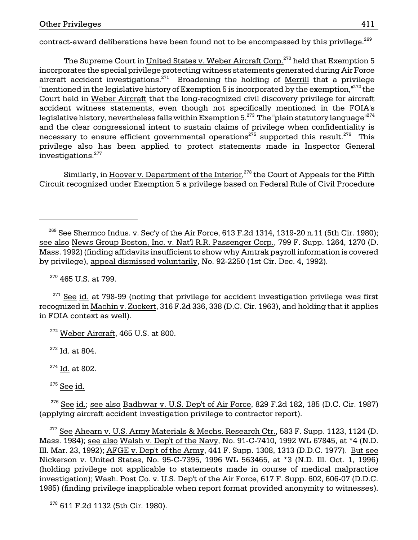contract-award deliberations have been found not to be encompassed by this privilege.<sup>269</sup>

legislative history, nevertheless falls within Exemption 5. $^{273}$  The "plain statutory language" $^{274}$ The Supreme Court in United States v. Weber Aircraft Corp.<sup>270</sup> held that Exemption 5 incorporates the special privilege protecting witness statements generated during Air Force aircraft accident investigations. $271$  Broadening the holding of Merrill that a privilege "mentioned in the legislative history of Exemption 5 is incorporated by the exemption, $^{1272}$  the Court held in Weber Aircraft that the long-recognized civil discovery privilege for aircraft accident witness statements, even though not specifically mentioned in the FOIA's and the clear congressional intent to sustain claims of privilege when confidentiality is necessary to ensure efficient governmental operations<sup>275</sup> supported this result.<sup>276</sup> This privilege also has been applied to protect statements made in Inspector General investigations.277

Similarly, in Hoover v. Department of the Interior,<sup>278</sup> the Court of Appeals for the Fifth Circuit recognized under Exemption 5 a privilege based on Federal Rule of Civil Procedure

270 465 U.S. at 799.

 $271$  See id. at 798-99 (noting that privilege for accident investigation privilege was first recognized in Machin v. Zuckert, 316 F.2d 336, 338 (D.C. Cir. 1963), and holding that it applies in FOIA context as well).

<sup>273</sup> Id. at 804.

 $^{276}$  See id.; see also Badhwar v. U.S. Dep't of Air Force, 829 F.2d 182, 185 (D.C. Cir. 1987) (applying aircraft accident investigation privilege to contractor report).

 Nickerson v. United States, No. 95-C-7395, 1996 WL 563465, at \*3 (N.D. Ill. Oct. 1, 1996) <sup>277</sup> See Ahearn v. U.S. Army Materials & Mechs. Research Ctr., 583 F. Supp. 1123, 1124 (D. Mass. 1984); see also Walsh v. Dep't of the Navy, No. 91-C-7410, 1992 WL 67845, at \*4 (N.D. Ill. Mar. 23, 1992); AFGE v. Dep't of the Army, 441 F. Supp. 1308, 1313 (D.D.C. 1977). But see (holding privilege not applicable to statements made in course of medical malpractice investigation); Wash. Post Co. v. U.S. Dep't of the Air Force, 617 F. Supp. 602, 606-07 (D.D.C. 1985) (finding privilege inapplicable when report format provided anonymity to witnesses).

<sup>278</sup> 611 F.2d 1132 (5th Cir. 1980).

 $^{269}$  See Shermco Indus. v. Sec'y of the Air Force, 613 F.2d 1314, 1319-20 n.11 (5th Cir. 1980); see also News Group Boston, Inc. v. Nat'l R.R. Passenger Corp., 799 F. Supp. 1264, 1270 (D. Mass. 1992) (finding affidavits insufficient to show why Amtrak payroll information is covered by privilege), appeal dismissed voluntarily, No. 92-2250 (1st Cir. Dec. 4, 1992).

 $272$  Weber Aircraft, 465 U.S. at 800.

<sup>274</sup> Id. at 802.

 $^{275}$  See id.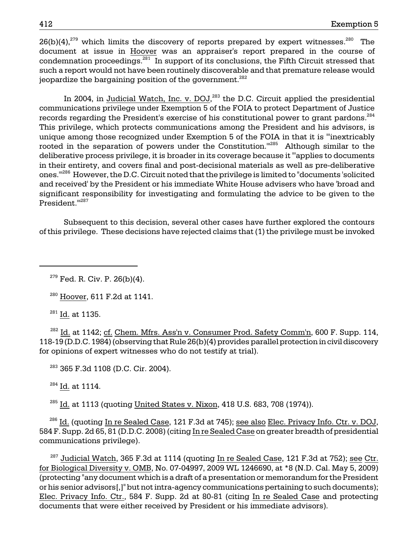$26(b)(4)$ ,  $279$  which limits the discovery of reports prepared by expert witnesses. The document at issue in Hoover was an appraiser's report prepared in the course of condemnation proceedings. $^{281}$  In support of its conclusions, the Fifth Circuit stressed that such a report would not have been routinely discoverable and that premature release would jeopardize the bargaining position of the government. $^{282}$ 

 ones.'"286 However, the D.C. Circuit noted that the privilege is limited to "documents 'solicited In 2004, in Judicial Watch, Inc. v. DOJ,<sup>283</sup> the D.C. Circuit applied the presidential communications privilege under Exemption 5 of the FOIA to protect Department of Justice records regarding the President's exercise of his constitutional power to grant pardons.<sup>284</sup> This privilege, which protects communications among the President and his advisors, is unique among those recognized under Exemption 5 of the FOIA in that it is "'inextricably rooted in the separation of powers under the Constitution."<sup>285</sup> Although similar to the deliberative process privilege, it is broader in its coverage because it "'applies to documents in their entirety, and covers final and post-decisional materials as well as pre-deliberative and received' by the President or his immediate White House advisers who have 'broad and significant responsibility for investigating and formulating the advice to be given to the President."<sup>1287</sup>

Subsequent to this decision, several other cases have further explored the contours of this privilege. These decisions have rejected claims that (1) the privilege must be invoked

<sup>281</sup> Id. at 1135.

 $282$  Id. at 1142; cf. Chem. Mfrs. Ass'n v. Consumer Prod. Safety Comm'n, 600 F. Supp. 114, 118-19 (D.D.C. 1984) (observing that Rule 26(b)(4) provides parallel protection in civil discovery for opinions of expert witnesses who do not testify at trial).

283 365 F.3d 1108 (D.C. Cir. 2004).

 $^{284}$  Id. at 1114.

<sup>285</sup> Id. at 1113 (quoting United States v. Nixon, 418 U.S. 683, 708 (1974)).

 $^{286}$  Id. (quoting In re Sealed Case, 121 F.3d at 745); see also Elec. Privacy Info. Ctr. v. DOJ, 584 F. Supp. 2d 65, 81 (D.D.C. 2008) (citing In re Sealed Case on greater breadth of presidential communications privilege).

 $^{287}$  Judicial Watch, 365 F.3d at 1114 (quoting In re Sealed Case, 121 F.3d at 752); see Ctr. for Biological Diversity v. OMB, No. 07-04997, 2009 WL 1246690, at \*8 (N.D. Cal. May 5, 2009) (protecting "any document which is a draft of a presentation or memorandum for the President or his senior advisors[,]" but not intra-agency communications pertaining to such documents); Elec. Privacy Info. Ctr., 584 F. Supp. 2d at 80-81 (citing In re Sealed Case and protecting documents that were either received by President or his immediate advisors).

 $279$  Fed. R. Civ. P. 26(b)(4).

 $280$  Hoover, 611 F.2d at 1141.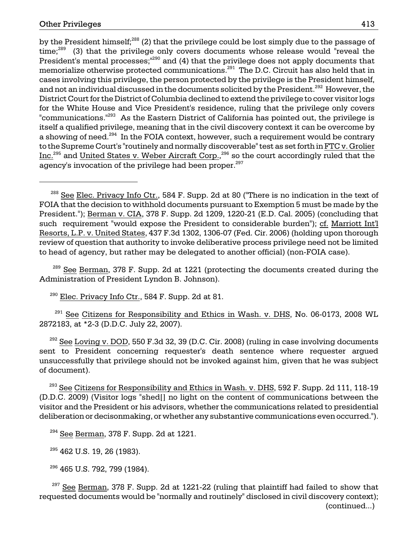by the President himself;<sup>288</sup> (2) that the privilege could be lost simply due to the passage of  $time<sup>289</sup>$  (3) that the privilege only covers documents whose release would "reveal the President's mental processes;<sup>"290</sup> and (4) that the privilege does not apply documents that memorialize otherwise protected communications.<sup>291</sup> The D.C. Circuit has also held that in cases involving this privilege, the person protected by the privilege is the President himself, and not an individual discussed in the documents solicited by the President.<sup>292</sup> However, the District Court for the District of Columbia declined to extend the privilege to cover visitor logs for the White House and Vice President's residence, ruling that the privilege only covers "communications.<sup>"293</sup> As the Eastern District of California has pointed out, the privilege is itself a qualified privilege, meaning that in the civil discovery context it can be overcome by a showing of need.<sup>294</sup> In the FOIA context, however, such a requirement would be contrary to the Supreme Court's "routinely and normally discoverable" test as set forth in FTC v. Grolier Inc.<sup>295</sup> and United States v. Weber Aircraft Corp.,<sup>296</sup> so the court accordingly ruled that the agency's invocation of the privilege had been proper.<sup>297</sup>

 $289$  See Berman, 378 F. Supp. 2d at 1221 (protecting the documents created during the Administration of President Lyndon B. Johnson).

 $290$  Elec. Privacy Info Ctr., 584 F. Supp. 2d at 81.

<sup>291</sup> See Citizens for Responsibility and Ethics in Wash. v. DHS, No. 06-0173, 2008 WL 2872183, at \*2-3 (D.D.C. July 22, 2007).

 $292$  See Loving v. DOD, 550 F.3d 32, 39 (D.C. Cir. 2008) (ruling in case involving documents sent to President concerning requester's death sentence where requester argued unsuccessfully that privilege should not be invoked against him, given that he was subject of document).

 $^{293}$  See Citizens for Responsibility and Ethics in Wash. v. DHS, 592 F. Supp. 2d 111, 118-19 (D.D.C. 2009) (Visitor logs "shed[] no light on the content of communications between the visitor and the President or his advisors, whether the communications related to presidential deliberation or decisonmaking, or whether any substantive communications even occurred.").

 $294$  See Berman, 378 F. Supp. 2d at 1221.

 $295$  462 U.S. 19, 26 (1983).

296 465 U.S. 792, 799 (1984).

 $297$  See Berman, 378 F. Supp. 2d at 1221-22 (ruling that plaintiff had failed to show that requested documents would be "normally and routinely" disclosed in civil discovery context); (continued...)

<sup>&</sup>lt;sup>288</sup> See Elec. Privacy Info Ctr., 584 F. Supp. 2d at 80 ("There is no indication in the text of FOIA that the decision to withhold documents pursuant to Exemption 5 must be made by the President."); Berman v. CIA, 378 F. Supp. 2d 1209, 1220-21 (E.D. Cal. 2005) (concluding that such requirement "would expose the President to considerable burden"); cf. Marriott Int'l Resorts, L.P. v. United States, 437 F.3d 1302, 1306-07 (Fed. Cir. 2006) (holding upon thorough review of question that authority to invoke deliberative process privilege need not be limited to head of agency, but rather may be delegated to another official) (non-FOIA case).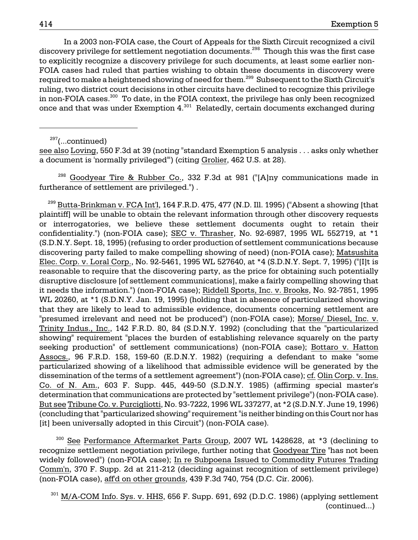In a 2003 non-FOIA case, the Court of Appeals for the Sixth Circuit recognized a civil discovery privilege for settlement negotiation documents.<sup>298</sup> Though this was the first case to explicitly recognize a discovery privilege for such documents, at least some earlier non-FOIA cases had ruled that parties wishing to obtain these documents in discovery were required to make a heightened showing of need for them.299 Subsequent to the Sixth Circuit's ruling, two district court decisions in other circuits have declined to recognize this privilege in non-FOIA cases.<sup>300</sup> To date, in the FOIA context, the privilege has only been recognized once and that was under Exemption 4.<sup>301</sup> Relatedly, certain documents exchanged during

 $297$ (...continued)

see also Loving, 550 F.3d at 39 (noting "standard Exemption 5 analysis . . . asks only whether a document is 'normally privileged'") (citing Grolier, 462 U.S. at 28).

 298 Goodyear Tire & Rubber Co., 332 F.3d at 981 ("[A]ny communications made in furtherance of settlement are privileged.") .

 $^{299}$  Butta-Brinkman v. FCA Int'l, 164 F.R.D. 475, 477 (N.D. Ill. 1995) ("Absent a showing [that plaintiff] will be unable to obtain the relevant information through other discovery requests or interrogatories, we believe these settlement documents ought to retain their confidentiality.") (non-FOIA case); SEC v. Thrasher, No. 92-6987, 1995 WL 552719, at \*1 (S.D.N.Y. Sept. 18, 1995) (refusing to order production of settlement communications because discovering party failed to make compelling showing of need) (non-FOIA case); Matsushita Elec. Corp. v. Loral Corp., No. 92-5461, 1995 WL 527640, at \*4 (S.D.N.Y. Sept. 7, 1995) ("[I]t is reasonable to require that the discovering party, as the price for obtaining such potentially disruptive disclosure [of settlement communications], make a fairly compelling showing that it needs the information.") (non-FOIA case); Riddell Sports, Inc. v. Brooks, No. 92-7851, 1995 WL 20260, at \*1 (S.D.N.Y. Jan. 19, 1995) (holding that in absence of particularized showing that they are likely to lead to admissible evidence, documents concerning settlement are "presumed irrelevant and need not be produced") (non-FOIA case); Morse/ Diesel, Inc. v. Trinity Indus., Inc., 142 F.R.D. 80, 84 (S.D.N.Y. 1992) (concluding that the "particularized showing" requirement "places the burden of establishing relevance squarely on the party seeking production" of settlement communications) (non-FOIA case); Bottaro v. Hatton Assocs., 96 F.R.D. 158, 159-60 (E.D.N.Y. 1982) (requiring a defendant to make "some particularized showing of a likelihood that admissible evidence will be generated by the dissemination of the terms of a settlement agreement") (non-FOIA case); cf. Olin Corp. v. Ins. Co. of N. Am., 603 F. Supp. 445, 449-50 (S.D.N.Y. 1985) (affirming special master's determination that communications are protected by "settlement privilege") (non-FOIA case). But see Tribune Co. v. Purcigliotti, No. 93-7222, 1996 WL 337277, at \*2 (S.D.N.Y. June 19, 1996) (concluding that "particularized showing" requirement "is neither binding on this Court nor has [it] been universally adopted in this Circuit") (non-FOIA case).

<sup>300</sup> See Performance Aftermarket Parts Group, 2007 WL 1428628, at \*3 (declining to recognize settlement negotiation privilege, further noting that Goodyear Tire "has not been widely followed") (non-FOIA case); In re Subpoena Issued to Commodity Futures Trading Comm'n, 370 F. Supp. 2d at 211-212 (deciding against recognition of settlement privilege) (non-FOIA case), aff'd on other grounds, 439 F.3d 740, 754 (D.C. Cir. 2006).

 $301$  M/A-COM Info. Sys. v. HHS, 656 F. Supp. 691, 692 (D.D.C. 1986) (applying settlement (continued...)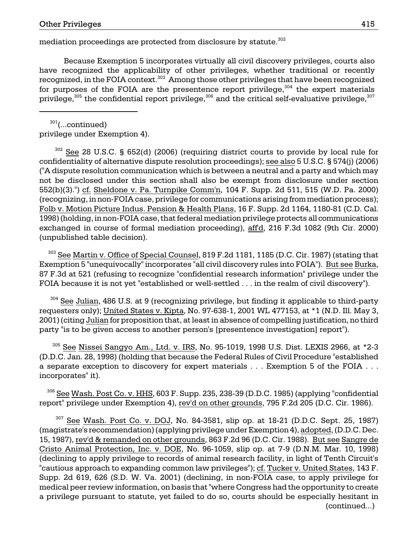mediation proceedings are protected from disclosure by statute.<sup>302</sup>

Because Exemption 5 incorporates virtually all civil discovery privileges, courts also have recognized the applicability of other privileges, whether traditional or recently recognized, in the FOIA context. 303 Among those other privileges that have been recognized for purposes of the FOIA are the presentence report privilege, $304$  the expert materials privilege, $305$  the confidential report privilege,  $306$  and the critical self-evaluative privilege,  $307$ 

 $301$ (...continued) privilege under Exemption 4).

 302 See 28 U.S.C. § 652(d) (2006) (requiring district courts to provide by local rule for confidentiality of alternative dispute resolution proceedings); see also 5 U.S.C. § 574(j) (2006) ("A dispute resolution communication which is between a neutral and a party and which may not be disclosed under this section shall also be exempt from disclosure under section 552(b)(3).") cf. Sheldone v. Pa. Turnpike Comm'n, 104 F. Supp. 2d 511, 515 (W.D. Pa. 2000) (recognizing, in non-FOIA case, privilege for communications arising from mediation process); Folb v. Motion Picture Indus. Pension & Health Plans, 16 F. Supp. 2d 1164, 1180-81 (C.D. Cal. 1998) (holding, in non-FOIA case, that federal mediation privilege protects all communications exchanged in course of formal mediation proceeding), aff'd, 216 F.3d 1082 (9th Cir. 2000) (unpublished table decision).

<sup>303</sup> See Martin v. Office of Special Counsel, 819 F.2d 1181, 1185 (D.C. Cir. 1987) (stating that Exemption 5 "unequivocally" incorporates "all civil discovery rules into FOIA"). But see Burka, 87 F.3d at 521 (refusing to recognize "confidential research information" privilege under the FOIA because it is not yet "established or well-settled . . . in the realm of civil discovery").

 $304$  See Julian, 486 U.S. at 9 (recognizing privilege, but finding it applicable to third-party requesters only); United States v. Kipta, No. 97-638-1, 2001 WL 477153, at \*1 (N.D. Ill. May 3, 2001) (citing Julian for proposition that, at least in absence of compelling justification, no third party "is to be given access to another person's [presentence investigation] report").

 $305$  See Nissei Sangyo Am., Ltd. v. IRS, No. 95-1019, 1998 U.S. Dist. LEXIS 2966, at  $*2-3$ (D.D.C. Jan. 28, 1998) (holding that because the Federal Rules of Civil Procedure "established a separate exception to discovery for expert materials . . . Exemption 5 of the FOIA . . . incorporates" it).

 $306$  See Wash. Post Co. v. HHS, 603 F. Supp. 235, 238-39 (D.D.C. 1985) (applying "confidential report" privilege under Exemption 4), rev'd on other grounds, 795 F.2d 205 (D.C. Cir. 1986).

See Wash. Post Co. v. DOJ, No. 84-3581, slip op. at 18-21 (D.D.C. Sept. 25, 1987) (magistrate's recommendation) (applying privilege under Exemption 4), adopted, (D.D.C. Dec. 15, 1987), rev'd & remanded on other grounds, 863 F.2d 96 (D.C. Cir. 1988). But see Sangre de Cristo Animal Protection, Inc. v. DOE, No. 96-1059, slip op. at 7-9 (D.N.M. Mar. 10, 1998) (declining to apply privilege to records of animal research facility, in light of Tenth Circuit's "cautious approach to expanding common law privileges"); cf. Tucker v. United States, 143 F. Supp. 2d 619, 626 (S.D. W. Va. 2001) (declining, in non-FOIA case, to apply privilege for medical peer review information, on basis that "where Congress had the opportunity to create a privilege pursuant to statute, yet failed to do so, courts should be especially hesitant in (continued...)